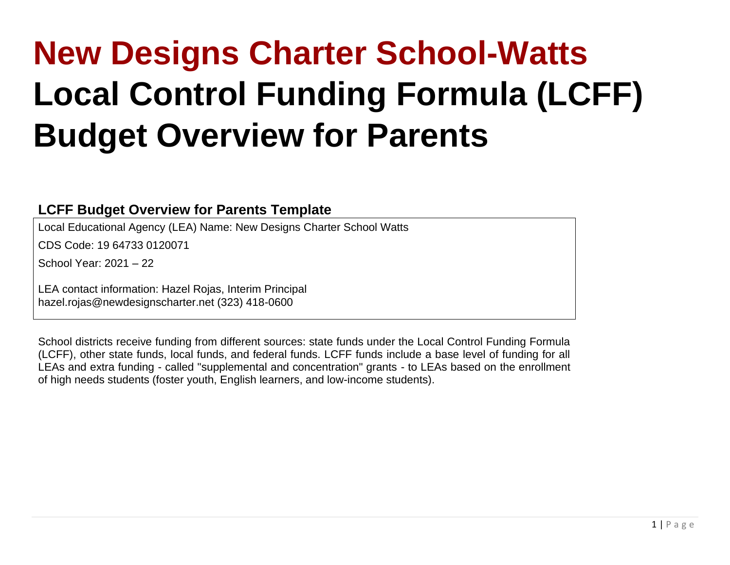# **New Designs Charter School-Watts Local Control Funding Formula (LCFF) Budget Overview for Parents**

#### **LCFF Budget Overview for Parents Template**

Local Educational Agency (LEA) Name: New Designs Charter School Watts

CDS Code: 19 64733 0120071

School Year: 2021 – 22

LEA contact information: Hazel Rojas, Interim Principal hazel.rojas@newdesignscharter.net (323) 418-0600

School districts receive funding from different sources: state funds under the Local Control Funding Formula (LCFF), other state funds, local funds, and federal funds. LCFF funds include a base level of funding for all LEAs and extra funding - called "supplemental and concentration" grants - to LEAs based on the enrollment of high needs students (foster youth, English learners, and low-income students).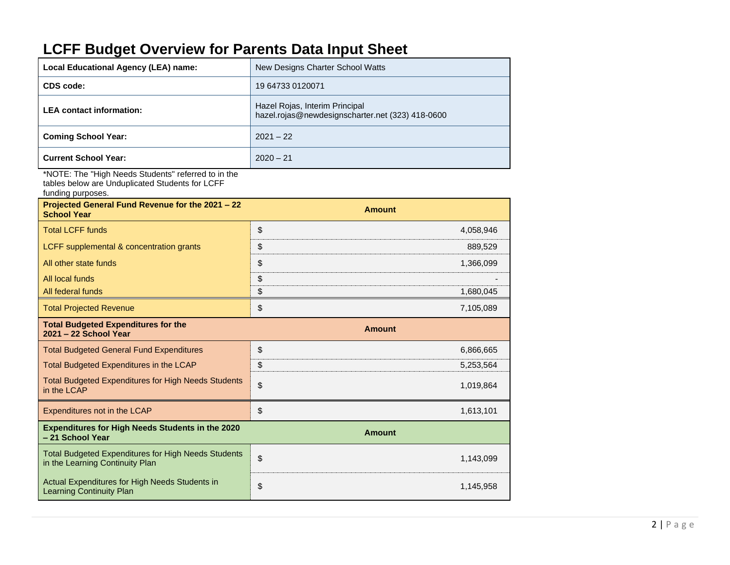# **LCFF Budget Overview for Parents Data Input Sheet**

| Local Educational Agency (LEA) name:                | New Designs Charter School Watts                                                   |
|-----------------------------------------------------|------------------------------------------------------------------------------------|
| CDS code:                                           | 19 64733 0120071                                                                   |
| <b>LEA</b> contact information:                     | Hazel Rojas, Interim Principal<br>hazel.rojas@newdesignscharter.net (323) 418-0600 |
| <b>Coming School Year:</b>                          | $2021 - 22$                                                                        |
| <b>Current School Year:</b>                         | $2020 - 21$                                                                        |
| *NOTE: The "High Needs Students" referred to in the |                                                                                    |

tables below are Unduplicated Students for LCFF

funding purposes.

| Projected General Fund Revenue for the 2021 - 22<br><b>School Year</b>                        | <b>Amount</b>   |
|-----------------------------------------------------------------------------------------------|-----------------|
| <b>Total LCFF funds</b>                                                                       | \$<br>4,058,946 |
| LCFF supplemental & concentration grants                                                      | \$<br>889,529   |
| All other state funds                                                                         | \$<br>1,366,099 |
| All local funds                                                                               | \$              |
| All federal funds                                                                             | \$<br>1,680,045 |
| <b>Total Projected Revenue</b>                                                                | \$<br>7,105,089 |
| <b>Total Budgeted Expenditures for the</b><br>2021 - 22 School Year                           | <b>Amount</b>   |
| <b>Total Budgeted General Fund Expenditures</b>                                               | \$<br>6,866,665 |
| Total Budgeted Expenditures in the LCAP                                                       | \$<br>5,253,564 |
| <b>Total Budgeted Expenditures for High Needs Students</b><br>in the LCAP                     | \$<br>1,019,864 |
| Expenditures not in the LCAP                                                                  | \$<br>1,613,101 |
| <b>Expenditures for High Needs Students in the 2020</b><br>- 21 School Year                   | <b>Amount</b>   |
| <b>Total Budgeted Expenditures for High Needs Students</b><br>in the Learning Continuity Plan | \$<br>1,143,099 |
| Actual Expenditures for High Needs Students in<br><b>Learning Continuity Plan</b>             | \$<br>1,145,958 |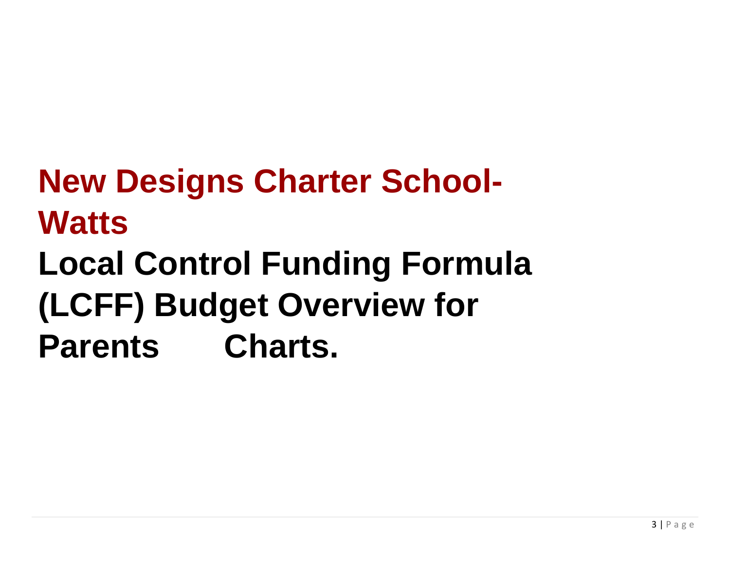# **New Designs Charter School-Watts Local Control Funding Formula (LCFF) Budget Overview for Parents Charts.**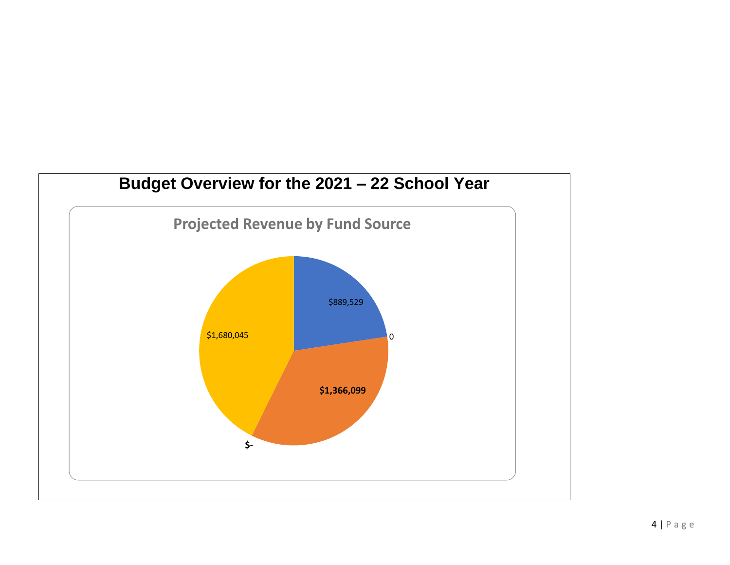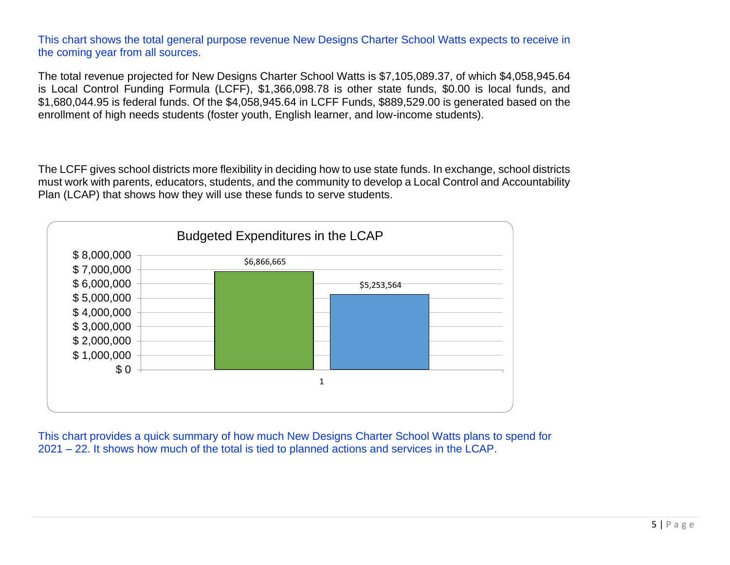This chart shows the total general purpose revenue New Designs Charter School Watts expects to receive in the coming year from all sources.

The total revenue projected for New Designs Charter School Watts is \$7,105,089.37, of which \$4,058,945.64 is Local Control Funding Formula (LCFF), \$1,366,098.78 is other state funds, \$0.00 is local funds, and \$1,680,044.95 is federal funds. Of the \$4,058,945.64 in LCFF Funds, \$889,529.00 is generated based on the enrollment of high needs students (foster youth, English learner, and low-income students).

The LCFF gives school districts more flexibility in deciding how to use state funds. In exchange, school districts must work with parents, educators, students, and the community to develop a Local Control and Accountability Plan (LCAP) that shows how they will use these funds to serve students.



This chart provides a quick summary of how much New Designs Charter School Watts plans to spend for 2021 – 22. It shows how much of the total is tied to planned actions and services in the LCAP.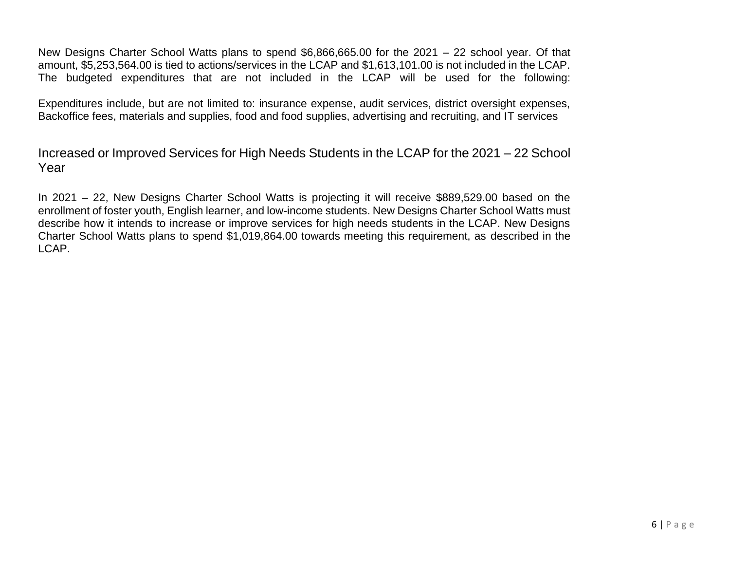New Designs Charter School Watts plans to spend \$6,866,665.00 for the 2021 – 22 school year. Of that amount, \$5,253,564.00 is tied to actions/services in the LCAP and \$1,613,101.00 is not included in the LCAP. The budgeted expenditures that are not included in the LCAP will be used for the following:

Expenditures include, but are not limited to: insurance expense, audit services, district oversight expenses, Backoffice fees, materials and supplies, food and food supplies, advertising and recruiting, and IT services

Increased or Improved Services for High Needs Students in the LCAP for the 2021 – 22 School Year

In 2021 – 22, New Designs Charter School Watts is projecting it will receive \$889,529.00 based on the enrollment of foster youth, English learner, and low-income students. New Designs Charter School Watts must describe how it intends to increase or improve services for high needs students in the LCAP. New Designs Charter School Watts plans to spend \$1,019,864.00 towards meeting this requirement, as described in the LCAP.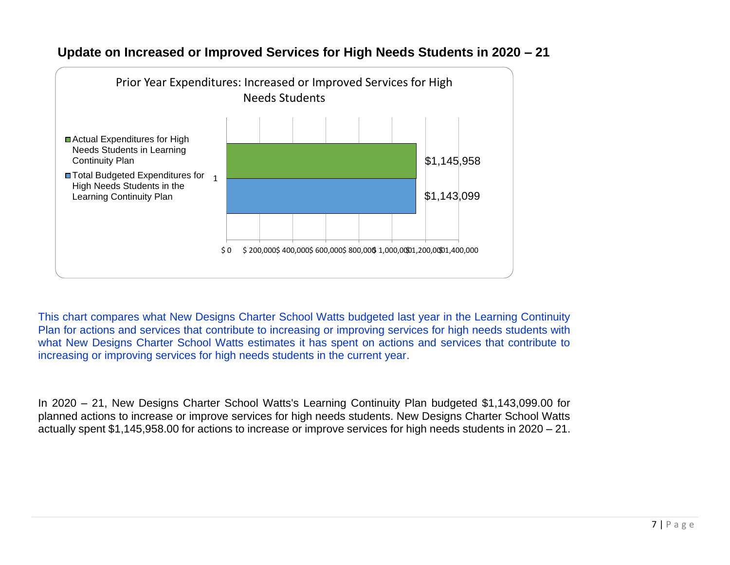

#### **Update on Increased or Improved Services for High Needs Students in 2020 – 21**

This chart compares what New Designs Charter School Watts budgeted last year in the Learning Continuity Plan for actions and services that contribute to increasing or improving services for high needs students with what New Designs Charter School Watts estimates it has spent on actions and services that contribute to increasing or improving services for high needs students in the current year.

In 2020 – 21, New Designs Charter School Watts's Learning Continuity Plan budgeted \$1,143,099.00 for planned actions to increase or improve services for high needs students. New Designs Charter School Watts actually spent \$1,145,958.00 for actions to increase or improve services for high needs students in 2020 – 21.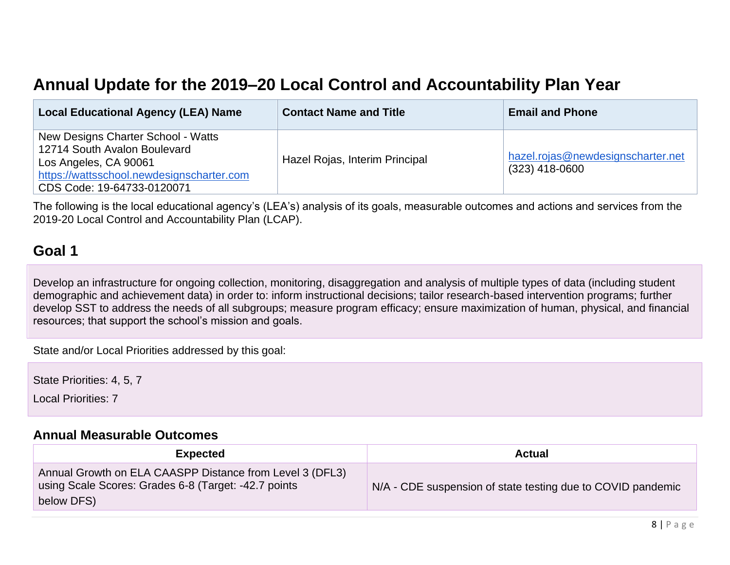# **Annual Update for the 2019–20 Local Control and Accountability Plan Year**

| <b>Local Educational Agency (LEA) Name</b>                                                                                                                             | <b>Contact Name and Title</b>  | <b>Email and Phone</b>                                |
|------------------------------------------------------------------------------------------------------------------------------------------------------------------------|--------------------------------|-------------------------------------------------------|
| New Designs Charter School - Watts<br>12714 South Avalon Boulevard<br>Los Angeles, CA 90061<br>https://wattsschool.newdesignscharter.com<br>CDS Code: 19-64733-0120071 | Hazel Rojas, Interim Principal | hazel.rojas@newdesignscharter.net<br>$(323)$ 418-0600 |

The following is the local educational agency's (LEA's) analysis of its goals, measurable outcomes and actions and services from the 2019-20 Local Control and Accountability Plan (LCAP).

## **Goal 1**

Develop an infrastructure for ongoing collection, monitoring, disaggregation and analysis of multiple types of data (including student demographic and achievement data) in order to: inform instructional decisions; tailor research-based intervention programs; further develop SST to address the needs of all subgroups; measure program efficacy; ensure maximization of human, physical, and financial resources; that support the school's mission and goals.

State and/or Local Priorities addressed by this goal:

State Priorities: 4, 5, 7

Local Priorities: 7

#### **[Annual Measurable Outcomes](#page-34-0)**

| <b>Expected</b>                                                                                                                | <b>Actual</b>                                               |
|--------------------------------------------------------------------------------------------------------------------------------|-------------------------------------------------------------|
| Annual Growth on ELA CAASPP Distance from Level 3 (DFL3)<br>using Scale Scores: Grades 6-8 (Target: -42.7 points<br>below DFS) | N/A - CDE suspension of state testing due to COVID pandemic |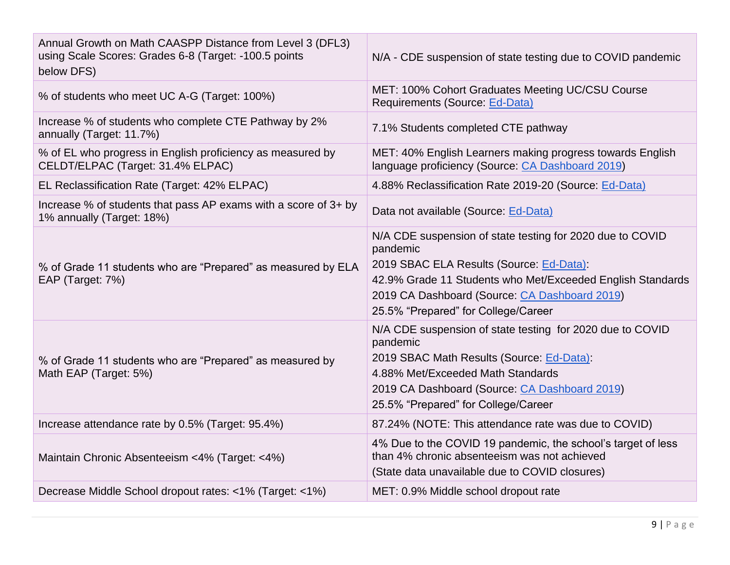| Annual Growth on Math CAASPP Distance from Level 3 (DFL3)<br>using Scale Scores: Grades 6-8 (Target: -100.5 points<br>below DFS) | N/A - CDE suspension of state testing due to COVID pandemic                                                                                                                                                                                                             |
|----------------------------------------------------------------------------------------------------------------------------------|-------------------------------------------------------------------------------------------------------------------------------------------------------------------------------------------------------------------------------------------------------------------------|
| % of students who meet UC A-G (Target: 100%)                                                                                     | MET: 100% Cohort Graduates Meeting UC/CSU Course<br>Requirements (Source: Ed-Data)                                                                                                                                                                                      |
| Increase % of students who complete CTE Pathway by 2%<br>annually (Target: 11.7%)                                                | 7.1% Students completed CTE pathway                                                                                                                                                                                                                                     |
| % of EL who progress in English proficiency as measured by<br>CELDT/ELPAC (Target: 31.4% ELPAC)                                  | MET: 40% English Learners making progress towards English<br>language proficiency (Source: CA Dashboard 2019)                                                                                                                                                           |
| EL Reclassification Rate (Target: 42% ELPAC)                                                                                     | 4.88% Reclassification Rate 2019-20 (Source: Ed-Data)                                                                                                                                                                                                                   |
| Increase % of students that pass AP exams with a score of 3+ by<br>1% annually (Target: 18%)                                     | Data not available (Source: Ed-Data)                                                                                                                                                                                                                                    |
| % of Grade 11 students who are "Prepared" as measured by ELA<br>EAP (Target: 7%)                                                 | N/A CDE suspension of state testing for 2020 due to COVID<br>pandemic<br>2019 SBAC ELA Results (Source: Ed-Data):<br>42.9% Grade 11 Students who Met/Exceeded English Standards<br>2019 CA Dashboard (Source: CA Dashboard 2019)<br>25.5% "Prepared" for College/Career |
| % of Grade 11 students who are "Prepared" as measured by<br>Math EAP (Target: 5%)                                                | N/A CDE suspension of state testing for 2020 due to COVID<br>pandemic<br>2019 SBAC Math Results (Source: Ed-Data):<br>4.88% Met/Exceeded Math Standards<br>2019 CA Dashboard (Source: CA Dashboard 2019)<br>25.5% "Prepared" for College/Career                         |
| Increase attendance rate by 0.5% (Target: 95.4%)                                                                                 | 87.24% (NOTE: This attendance rate was due to COVID)                                                                                                                                                                                                                    |
| Maintain Chronic Absenteeism <4% (Target: <4%)                                                                                   | 4% Due to the COVID 19 pandemic, the school's target of less<br>than 4% chronic absenteeism was not achieved<br>(State data unavailable due to COVID closures)                                                                                                          |
| Decrease Middle School dropout rates: <1% (Target: <1%)                                                                          | MET: 0.9% Middle school dropout rate                                                                                                                                                                                                                                    |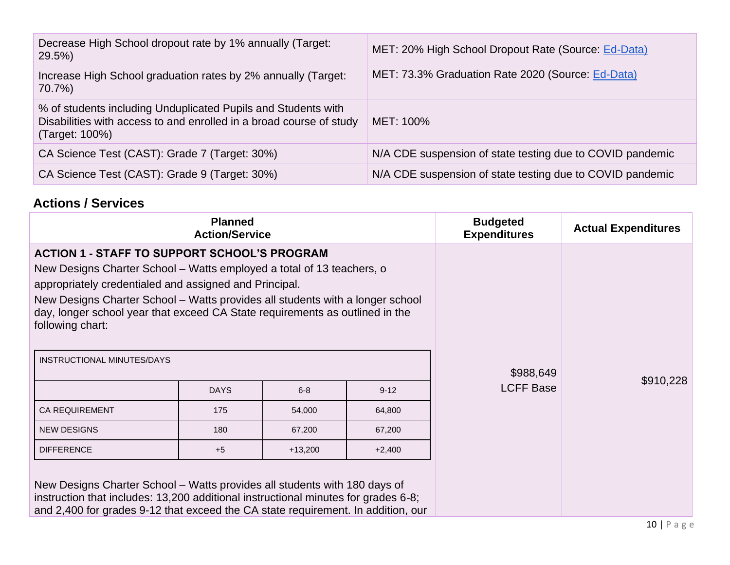| Decrease High School dropout rate by 1% annually (Target:<br>29.5%                                                                                     | MET: 20% High School Dropout Rate (Source: Ed-Data)       |
|--------------------------------------------------------------------------------------------------------------------------------------------------------|-----------------------------------------------------------|
| Increase High School graduation rates by 2% annually (Target:<br>70.7%)                                                                                | MET: 73.3% Graduation Rate 2020 (Source: Ed-Data)         |
| % of students including Unduplicated Pupils and Students with<br>Disabilities with access to and enrolled in a broad course of study<br>(Target: 100%) | MET: 100%                                                 |
| CA Science Test (CAST): Grade 7 (Target: 30%)                                                                                                          | N/A CDE suspension of state testing due to COVID pandemic |
| CA Science Test (CAST): Grade 9 (Target: 30%)                                                                                                          | N/A CDE suspension of state testing due to COVID pandemic |

## **Actions / Services**

| <b>Planned</b><br><b>Action/Service</b>                                                                                                                                                                                                                                                                                                                                     |                                    |           |          | <b>Budgeted</b><br><b>Expenditures</b> | <b>Actual Expenditures</b> |
|-----------------------------------------------------------------------------------------------------------------------------------------------------------------------------------------------------------------------------------------------------------------------------------------------------------------------------------------------------------------------------|------------------------------------|-----------|----------|----------------------------------------|----------------------------|
| <b>ACTION 1 - STAFF TO SUPPORT SCHOOL'S PROGRAM</b><br>New Designs Charter School – Watts employed a total of 13 teachers, o<br>appropriately credentialed and assigned and Principal.<br>New Designs Charter School – Watts provides all students with a longer school<br>day, longer school year that exceed CA State requirements as outlined in the<br>following chart: |                                    |           |          |                                        |                            |
| INSTRUCTIONAL MINUTES/DAYS                                                                                                                                                                                                                                                                                                                                                  |                                    |           |          | \$988,649                              |                            |
|                                                                                                                                                                                                                                                                                                                                                                             | <b>DAYS</b><br>$6 - 8$<br>$9 - 12$ |           |          | <b>LCFF Base</b>                       | \$910,228                  |
| <b>CA REQUIREMENT</b>                                                                                                                                                                                                                                                                                                                                                       | 175                                | 54,000    | 64,800   |                                        |                            |
| <b>NEW DESIGNS</b>                                                                                                                                                                                                                                                                                                                                                          | 180                                | 67,200    | 67,200   |                                        |                            |
| <b>DIFFERENCE</b>                                                                                                                                                                                                                                                                                                                                                           | $+5$                               | $+13,200$ | $+2,400$ |                                        |                            |
| New Designs Charter School – Watts provides all students with 180 days of<br>instruction that includes: 13,200 additional instructional minutes for grades 6-8;<br>and 2,400 for grades 9-12 that exceed the CA state requirement. In addition, our                                                                                                                         |                                    |           |          |                                        |                            |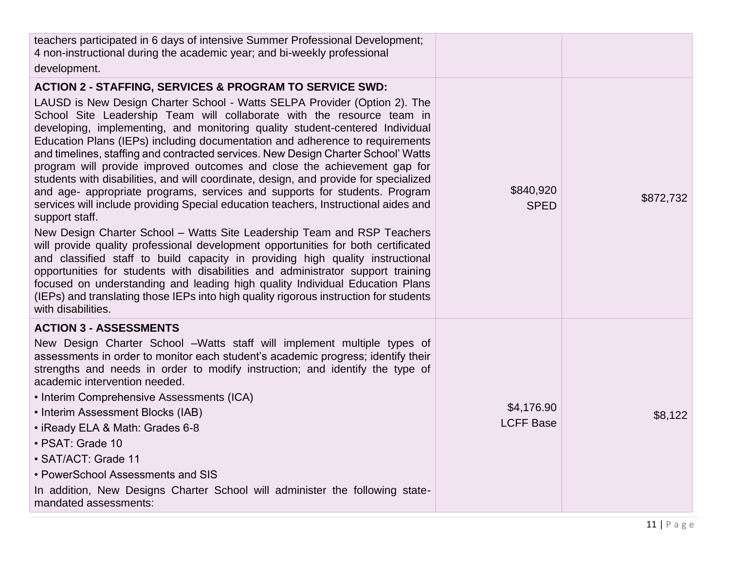| teachers participated in 6 days of intensive Summer Professional Development;<br>4 non-instructional during the academic year; and bi-weekly professional<br>development.                                                                                                                                                                                                                                                                                                                                                                                                                                                                                                                                                                                                                                                                                                                                                                                                                                                                                                                                                                                                                                                                                                                                                                                                     |                                |           |
|-------------------------------------------------------------------------------------------------------------------------------------------------------------------------------------------------------------------------------------------------------------------------------------------------------------------------------------------------------------------------------------------------------------------------------------------------------------------------------------------------------------------------------------------------------------------------------------------------------------------------------------------------------------------------------------------------------------------------------------------------------------------------------------------------------------------------------------------------------------------------------------------------------------------------------------------------------------------------------------------------------------------------------------------------------------------------------------------------------------------------------------------------------------------------------------------------------------------------------------------------------------------------------------------------------------------------------------------------------------------------------|--------------------------------|-----------|
| <b>ACTION 2 - STAFFING, SERVICES &amp; PROGRAM TO SERVICE SWD:</b><br>LAUSD is New Design Charter School - Watts SELPA Provider (Option 2). The<br>School Site Leadership Team will collaborate with the resource team in<br>developing, implementing, and monitoring quality student-centered Individual<br>Education Plans (IEPs) including documentation and adherence to requirements<br>and timelines, staffing and contracted services. New Design Charter School' Watts<br>program will provide improved outcomes and close the achievement gap for<br>students with disabilities, and will coordinate, design, and provide for specialized<br>and age- appropriate programs, services and supports for students. Program<br>services will include providing Special education teachers, Instructional aides and<br>support staff.<br>New Design Charter School – Watts Site Leadership Team and RSP Teachers<br>will provide quality professional development opportunities for both certificated<br>and classified staff to build capacity in providing high quality instructional<br>opportunities for students with disabilities and administrator support training<br>focused on understanding and leading high quality Individual Education Plans<br>(IEPs) and translating those IEPs into high quality rigorous instruction for students<br>with disabilities. | \$840,920<br><b>SPED</b>       | \$872,732 |
| <b>ACTION 3 - ASSESSMENTS</b><br>New Design Charter School -Watts staff will implement multiple types of<br>assessments in order to monitor each student's academic progress; identify their<br>strengths and needs in order to modify instruction; and identify the type of<br>academic intervention needed.<br>• Interim Comprehensive Assessments (ICA)<br>• Interim Assessment Blocks (IAB)<br>• iReady ELA & Math: Grades 6-8<br>· PSAT: Grade 10<br>• SAT/ACT: Grade 11<br>• PowerSchool Assessments and SIS<br>In addition, New Designs Charter School will administer the following state-<br>mandated assessments:                                                                                                                                                                                                                                                                                                                                                                                                                                                                                                                                                                                                                                                                                                                                                   | \$4,176.90<br><b>LCFF Base</b> | \$8,122   |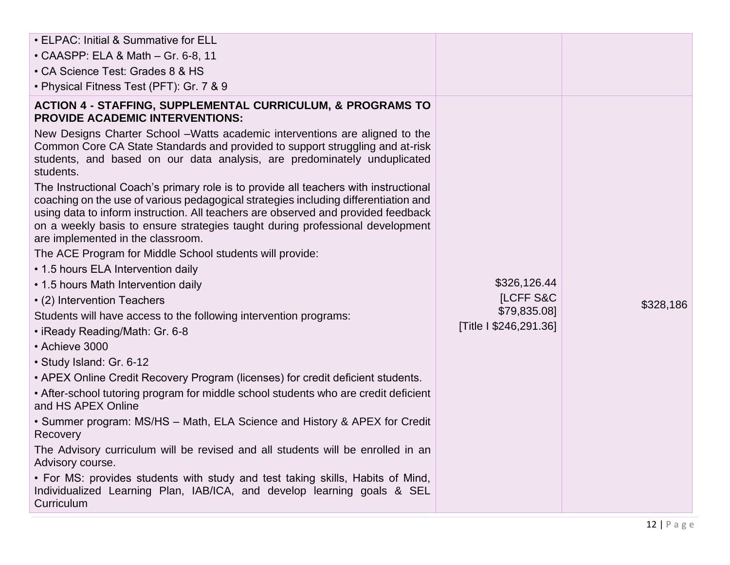| • ELPAC: Initial & Summative for ELL                                                                                                                                                                                                                                                                                                                                                   |                        |           |
|----------------------------------------------------------------------------------------------------------------------------------------------------------------------------------------------------------------------------------------------------------------------------------------------------------------------------------------------------------------------------------------|------------------------|-----------|
| $\cdot$ CAASPP: ELA & Math $-$ Gr. 6-8, 11                                                                                                                                                                                                                                                                                                                                             |                        |           |
| • CA Science Test: Grades 8 & HS                                                                                                                                                                                                                                                                                                                                                       |                        |           |
| • Physical Fitness Test (PFT): Gr. 7 & 9                                                                                                                                                                                                                                                                                                                                               |                        |           |
| <b>ACTION 4 - STAFFING, SUPPLEMENTAL CURRICULUM, &amp; PROGRAMS TO</b><br><b>PROVIDE ACADEMIC INTERVENTIONS:</b>                                                                                                                                                                                                                                                                       |                        |           |
| New Designs Charter School -Watts academic interventions are aligned to the<br>Common Core CA State Standards and provided to support struggling and at-risk<br>students, and based on our data analysis, are predominately unduplicated<br>students.                                                                                                                                  |                        |           |
| The Instructional Coach's primary role is to provide all teachers with instructional<br>coaching on the use of various pedagogical strategies including differentiation and<br>using data to inform instruction. All teachers are observed and provided feedback<br>on a weekly basis to ensure strategies taught during professional development<br>are implemented in the classroom. |                        |           |
| The ACE Program for Middle School students will provide:                                                                                                                                                                                                                                                                                                                               |                        |           |
| • 1.5 hours ELA Intervention daily                                                                                                                                                                                                                                                                                                                                                     |                        |           |
| • 1.5 hours Math Intervention daily                                                                                                                                                                                                                                                                                                                                                    | \$326,126.44           |           |
| • (2) Intervention Teachers                                                                                                                                                                                                                                                                                                                                                            | <b>ILCFF S&amp;C</b>   | \$328,186 |
| Students will have access to the following intervention programs:                                                                                                                                                                                                                                                                                                                      | \$79,835.08]           |           |
| • iReady Reading/Math: Gr. 6-8                                                                                                                                                                                                                                                                                                                                                         | [Title I \$246,291.36] |           |
| • Achieve 3000                                                                                                                                                                                                                                                                                                                                                                         |                        |           |
| · Study Island: Gr. 6-12                                                                                                                                                                                                                                                                                                                                                               |                        |           |
| • APEX Online Credit Recovery Program (licenses) for credit deficient students.                                                                                                                                                                                                                                                                                                        |                        |           |
| • After-school tutoring program for middle school students who are credit deficient<br>and HS APEX Online                                                                                                                                                                                                                                                                              |                        |           |
| • Summer program: MS/HS – Math, ELA Science and History & APEX for Credit<br>Recovery                                                                                                                                                                                                                                                                                                  |                        |           |
| The Advisory curriculum will be revised and all students will be enrolled in an<br>Advisory course.                                                                                                                                                                                                                                                                                    |                        |           |
| • For MS: provides students with study and test taking skills, Habits of Mind,<br>Individualized Learning Plan, IAB/ICA, and develop learning goals & SEL<br>Curriculum                                                                                                                                                                                                                |                        |           |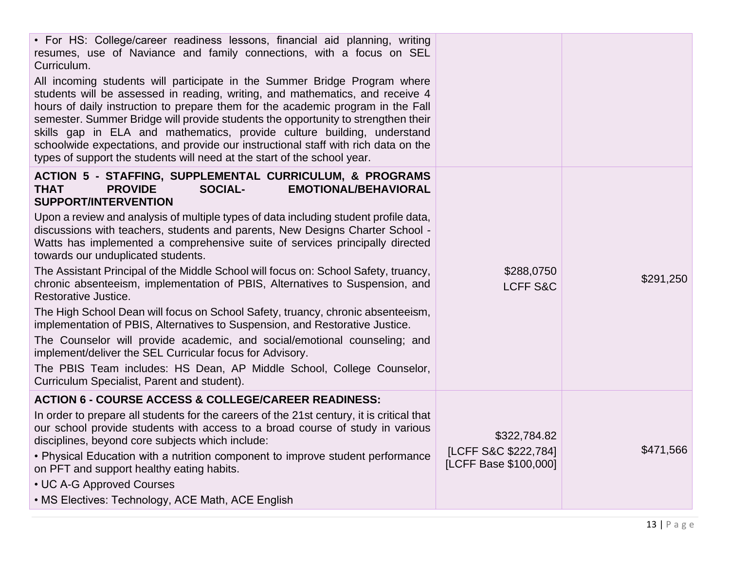| • For HS: College/career readiness lessons, financial aid planning, writing<br>resumes, use of Naviance and family connections, with a focus on SEL<br>Curriculum.                                                                                                                                                                                                                                                                                                                                                                                                              |                                                               |           |
|---------------------------------------------------------------------------------------------------------------------------------------------------------------------------------------------------------------------------------------------------------------------------------------------------------------------------------------------------------------------------------------------------------------------------------------------------------------------------------------------------------------------------------------------------------------------------------|---------------------------------------------------------------|-----------|
| All incoming students will participate in the Summer Bridge Program where<br>students will be assessed in reading, writing, and mathematics, and receive 4<br>hours of daily instruction to prepare them for the academic program in the Fall<br>semester. Summer Bridge will provide students the opportunity to strengthen their<br>skills gap in ELA and mathematics, provide culture building, understand<br>schoolwide expectations, and provide our instructional staff with rich data on the<br>types of support the students will need at the start of the school year. |                                                               |           |
| <b>ACTION 5 - STAFFING, SUPPLEMENTAL CURRICULUM, &amp; PROGRAMS</b><br><b>PROVIDE</b><br><b>SOCIAL-</b><br><b>EMOTIONAL/BEHAVIORAL</b><br><b>THAT</b><br><b>SUPPORT/INTERVENTION</b>                                                                                                                                                                                                                                                                                                                                                                                            |                                                               |           |
| Upon a review and analysis of multiple types of data including student profile data,<br>discussions with teachers, students and parents, New Designs Charter School -<br>Watts has implemented a comprehensive suite of services principally directed<br>towards our unduplicated students.                                                                                                                                                                                                                                                                                     |                                                               |           |
| The Assistant Principal of the Middle School will focus on: School Safety, truancy,<br>chronic absenteeism, implementation of PBIS, Alternatives to Suspension, and<br>Restorative Justice.                                                                                                                                                                                                                                                                                                                                                                                     | \$288,0750<br><b>LCFF S&amp;C</b>                             | \$291,250 |
| The High School Dean will focus on School Safety, truancy, chronic absenteeism,<br>implementation of PBIS, Alternatives to Suspension, and Restorative Justice.<br>The Counselor will provide academic, and social/emotional counseling; and<br>implement/deliver the SEL Curricular focus for Advisory.                                                                                                                                                                                                                                                                        |                                                               |           |
| The PBIS Team includes: HS Dean, AP Middle School, College Counselor,<br>Curriculum Specialist, Parent and student).                                                                                                                                                                                                                                                                                                                                                                                                                                                            |                                                               |           |
| <b>ACTION 6 - COURSE ACCESS &amp; COLLEGE/CAREER READINESS:</b>                                                                                                                                                                                                                                                                                                                                                                                                                                                                                                                 |                                                               |           |
| In order to prepare all students for the careers of the 21st century, it is critical that<br>our school provide students with access to a broad course of study in various<br>disciplines, beyond core subjects which include:<br>• Physical Education with a nutrition component to improve student performance<br>on PFT and support healthy eating habits.                                                                                                                                                                                                                   | \$322,784.82<br>[LCFF S&C \$222,784]<br>[LCFF Base \$100,000] | \$471,566 |
| • UC A-G Approved Courses<br>• MS Electives: Technology, ACE Math, ACE English                                                                                                                                                                                                                                                                                                                                                                                                                                                                                                  |                                                               |           |
|                                                                                                                                                                                                                                                                                                                                                                                                                                                                                                                                                                                 |                                                               |           |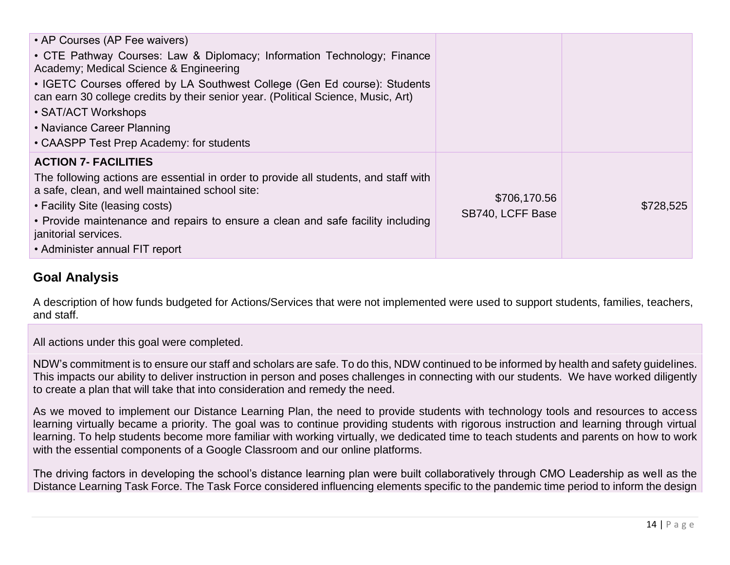| • AP Courses (AP Fee waivers)<br>• CTE Pathway Courses: Law & Diplomacy; Information Technology; Finance<br>Academy; Medical Science & Engineering<br>• IGETC Courses offered by LA Southwest College (Gen Ed course): Students<br>can earn 30 college credits by their senior year. (Political Science, Music, Art)<br>• SAT/ACT Workshops<br>• Naviance Career Planning<br>• CAASPP Test Prep Academy: for students |                                  |           |
|-----------------------------------------------------------------------------------------------------------------------------------------------------------------------------------------------------------------------------------------------------------------------------------------------------------------------------------------------------------------------------------------------------------------------|----------------------------------|-----------|
| <b>ACTION 7- FACILITIES</b><br>The following actions are essential in order to provide all students, and staff with<br>a safe, clean, and well maintained school site:<br>• Facility Site (leasing costs)<br>• Provide maintenance and repairs to ensure a clean and safe facility including<br>janitorial services.<br>• Administer annual FIT report                                                                | \$706,170.56<br>SB740, LCFF Base | \$728,525 |

#### **Goal Analysis**

A description of how funds budgeted for Actions/Services that were not implemented were used to support students, families, teachers, and staff.

All actions under this goal were completed.

NDW's commitment is to ensure our staff and scholars are safe. To do this, NDW continued to be informed by health and safety guidelines. This impacts our ability to deliver instruction in person and poses challenges in connecting with our students. We have worked diligently to create a plan that will take that into consideration and remedy the need.

As we moved to implement our Distance Learning Plan, the need to provide students with technology tools and resources to access learning virtually became a priority. The goal was to continue providing students with rigorous instruction and learning through virtual learning. To help students become more familiar with working virtually, we dedicated time to teach students and parents on how to work with the essential components of a Google Classroom and our online platforms.

The driving factors in developing the school's distance learning plan were built collaboratively through CMO Leadership as well as the Distance Learning Task Force. The Task Force considered influencing elements specific to the pandemic time period to inform the design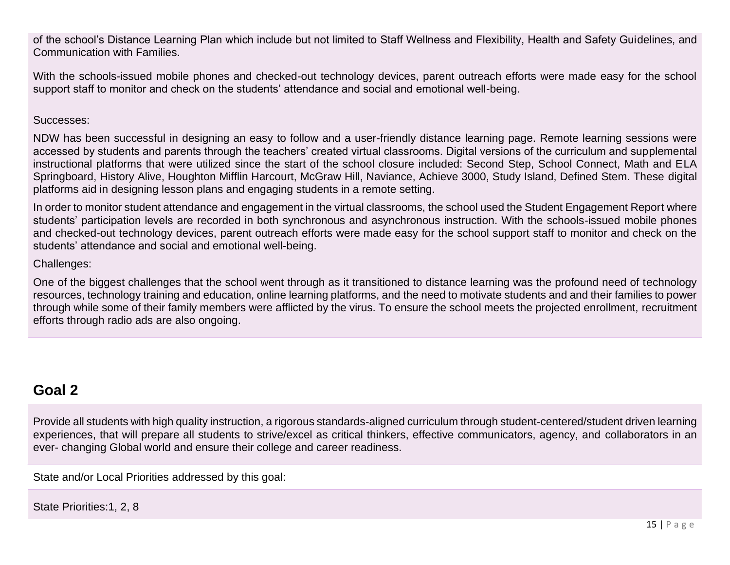of the school's Distance Learning Plan which include but not limited to Staff Wellness and Flexibility, Health and Safety Guidelines, and Communication with Families.

With the schools-issued mobile phones and checked-out technology devices, parent outreach efforts were made easy for the school support staff to monitor and check on the students' attendance and social and emotional well-being.

#### Successes:

NDW has been successful in designing an easy to follow and a user-friendly distance learning page. Remote learning sessions were accessed by students and parents through the teachers' created virtual classrooms. Digital versions of the curriculum and supplemental instructional platforms that were utilized since the start of the school closure included: Second Step, School Connect, Math and ELA Springboard, History Alive, Houghton Mifflin Harcourt, McGraw Hill, Naviance, Achieve 3000, Study Island, Defined Stem. These digital platforms aid in designing lesson plans and engaging students in a remote setting.

In order to monitor student attendance and engagement in the virtual classrooms, the school used the Student Engagement Report where students' participation levels are recorded in both synchronous and asynchronous instruction. With the schools-issued mobile phones and checked-out technology devices, parent outreach efforts were made easy for the school support staff to monitor and check on the students' attendance and social and emotional well-being.

Challenges:

One of the biggest challenges that the school went through as it transitioned to distance learning was the profound need of technology resources, technology training and education, online learning platforms, and the need to motivate students and and their families to power through while some of their family members were afflicted by the virus. To ensure the school meets the projected enrollment, recruitment efforts through radio ads are also ongoing.

## **Goal 2**

Provide all students with high quality instruction, a rigorous standards-aligned curriculum through student-centered/student driven learning experiences, that will prepare all students to strive/excel as critical thinkers, effective communicators, agency, and collaborators in an ever- changing Global world and ensure their college and career readiness.

State and/or Local Priorities addressed by this goal:

State Priorities:1, 2, 8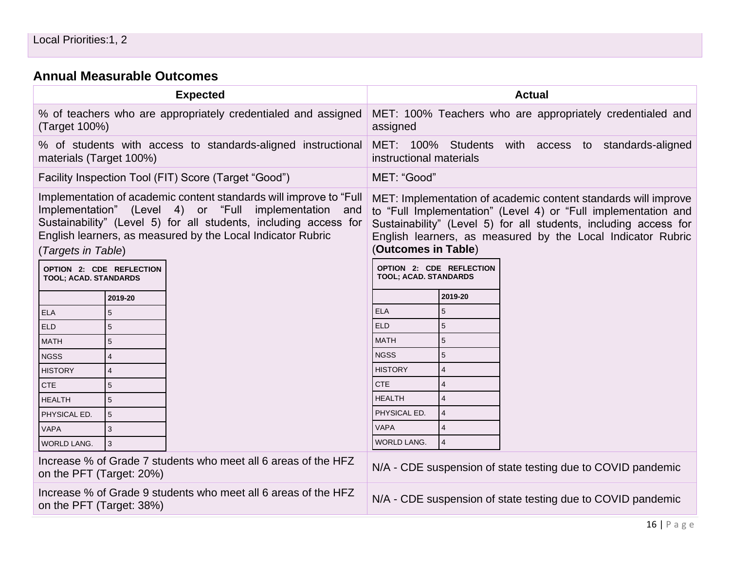#### **[Annual Measurable Outcomes](#page-34-0)**

|                                                                                                                                                                                                                                                                                       |                 | <b>Expected</b>                                              | <b>Actual</b>                                                                                                                                                                                                                                                                              |                                                                                   |  |  |  |  |
|---------------------------------------------------------------------------------------------------------------------------------------------------------------------------------------------------------------------------------------------------------------------------------------|-----------------|--------------------------------------------------------------|--------------------------------------------------------------------------------------------------------------------------------------------------------------------------------------------------------------------------------------------------------------------------------------------|-----------------------------------------------------------------------------------|--|--|--|--|
| % of teachers who are appropriately credentialed and assigned<br>(Target 100%)                                                                                                                                                                                                        |                 |                                                              | MET: 100% Teachers who are appropriately credentialed and<br>assigned                                                                                                                                                                                                                      |                                                                                   |  |  |  |  |
| materials (Target 100%)                                                                                                                                                                                                                                                               |                 | % of students with access to standards-aligned instructional |                                                                                                                                                                                                                                                                                            | MET: 100% Students<br>with access to standards-aligned<br>instructional materials |  |  |  |  |
|                                                                                                                                                                                                                                                                                       |                 | Facility Inspection Tool (FIT) Score (Target "Good")         | MET: "Good"                                                                                                                                                                                                                                                                                |                                                                                   |  |  |  |  |
| Implementation of academic content standards will improve to "Full"<br>Implementation" (Level 4) or "Full implementation and<br>Sustainability" (Level 5) for all students, including access for<br>English learners, as measured by the Local Indicator Rubric<br>(Targets in Table) |                 |                                                              | MET: Implementation of academic content standards will improve<br>to "Full Implementation" (Level 4) or "Full implementation and<br>Sustainability" (Level 5) for all students, including access for<br>English learners, as measured by the Local Indicator Rubric<br>(Outcomes in Table) |                                                                                   |  |  |  |  |
| OPTION 2: CDE REFLECTION<br>TOOL; ACAD. STANDARDS                                                                                                                                                                                                                                     |                 |                                                              | TOOL; ACAD. STANDARDS                                                                                                                                                                                                                                                                      | OPTION 2: CDE REFLECTION                                                          |  |  |  |  |
|                                                                                                                                                                                                                                                                                       | 2019-20         |                                                              |                                                                                                                                                                                                                                                                                            | 2019-20                                                                           |  |  |  |  |
| <b>ELA</b>                                                                                                                                                                                                                                                                            | 5               |                                                              | <b>ELA</b>                                                                                                                                                                                                                                                                                 | 5                                                                                 |  |  |  |  |
| <b>ELD</b>                                                                                                                                                                                                                                                                            | 5               |                                                              | <b>ELD</b>                                                                                                                                                                                                                                                                                 | 5                                                                                 |  |  |  |  |
| <b>MATH</b>                                                                                                                                                                                                                                                                           | 5               |                                                              | <b>MATH</b>                                                                                                                                                                                                                                                                                | 5                                                                                 |  |  |  |  |
| <b>NGSS</b>                                                                                                                                                                                                                                                                           | $\overline{4}$  |                                                              | <b>NGSS</b>                                                                                                                                                                                                                                                                                | 5                                                                                 |  |  |  |  |
| <b>HISTORY</b>                                                                                                                                                                                                                                                                        | $\overline{4}$  |                                                              | <b>HISTORY</b>                                                                                                                                                                                                                                                                             | $\overline{4}$                                                                    |  |  |  |  |
| <b>CTE</b>                                                                                                                                                                                                                                                                            | 5               |                                                              | <b>CTE</b>                                                                                                                                                                                                                                                                                 | $\overline{4}$                                                                    |  |  |  |  |
| <b>HEALTH</b>                                                                                                                                                                                                                                                                         | 5               |                                                              | <b>HEALTH</b>                                                                                                                                                                                                                                                                              | $\overline{4}$                                                                    |  |  |  |  |
| PHYSICAL ED.                                                                                                                                                                                                                                                                          | $5\phantom{.0}$ |                                                              | PHYSICAL ED.                                                                                                                                                                                                                                                                               | $\overline{4}$                                                                    |  |  |  |  |
| <b>VAPA</b>                                                                                                                                                                                                                                                                           | 3               |                                                              | <b>VAPA</b>                                                                                                                                                                                                                                                                                | $\overline{4}$                                                                    |  |  |  |  |
| <b>WORLD LANG.</b>                                                                                                                                                                                                                                                                    | 3               |                                                              | WORLD LANG.                                                                                                                                                                                                                                                                                | $\overline{4}$                                                                    |  |  |  |  |
| Increase % of Grade 7 students who meet all 6 areas of the HFZ<br>on the PFT (Target: 20%)                                                                                                                                                                                            |                 |                                                              | N/A - CDE suspension of state testing due to COVID pandemic                                                                                                                                                                                                                                |                                                                                   |  |  |  |  |
| Increase % of Grade 9 students who meet all 6 areas of the HFZ<br>N/A - CDE suspension of state testing due to COVID pandemic<br>on the PFT (Target: 38%)                                                                                                                             |                 |                                                              |                                                                                                                                                                                                                                                                                            |                                                                                   |  |  |  |  |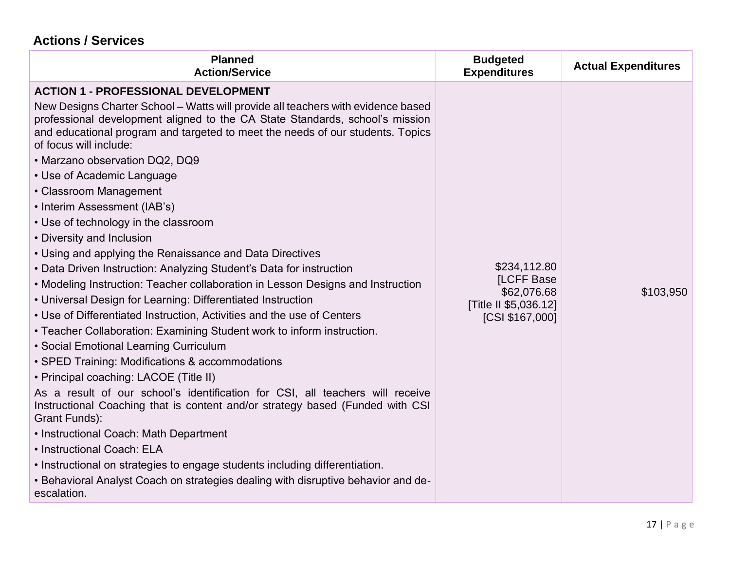## **Actions / Services**

| <b>Planned</b><br><b>Action/Service</b>                                                                                                                                                                                                                                                                                                                                                                                                                                                                                                                                                                                                                                                                                                                                                                                                                                                                                                                                                                                                                                                                                                                                                                                                                                                                                                                                                                                                                                                                                                                 | <b>Budgeted</b><br><b>Expenditures</b>                                                       | <b>Actual Expenditures</b> |
|---------------------------------------------------------------------------------------------------------------------------------------------------------------------------------------------------------------------------------------------------------------------------------------------------------------------------------------------------------------------------------------------------------------------------------------------------------------------------------------------------------------------------------------------------------------------------------------------------------------------------------------------------------------------------------------------------------------------------------------------------------------------------------------------------------------------------------------------------------------------------------------------------------------------------------------------------------------------------------------------------------------------------------------------------------------------------------------------------------------------------------------------------------------------------------------------------------------------------------------------------------------------------------------------------------------------------------------------------------------------------------------------------------------------------------------------------------------------------------------------------------------------------------------------------------|----------------------------------------------------------------------------------------------|----------------------------|
| <b>ACTION 1 - PROFESSIONAL DEVELOPMENT</b><br>New Designs Charter School – Watts will provide all teachers with evidence based<br>professional development aligned to the CA State Standards, school's mission<br>and educational program and targeted to meet the needs of our students. Topics<br>of focus will include:<br>• Marzano observation DQ2, DQ9<br>• Use of Academic Language<br>• Classroom Management<br>• Interim Assessment (IAB's)<br>• Use of technology in the classroom<br>• Diversity and Inclusion<br>• Using and applying the Renaissance and Data Directives<br>• Data Driven Instruction: Analyzing Student's Data for instruction<br>• Modeling Instruction: Teacher collaboration in Lesson Designs and Instruction<br>• Universal Design for Learning: Differentiated Instruction<br>• Use of Differentiated Instruction, Activities and the use of Centers<br>• Teacher Collaboration: Examining Student work to inform instruction.<br>• Social Emotional Learning Curriculum<br>• SPED Training: Modifications & accommodations<br>• Principal coaching: LACOE (Title II)<br>As a result of our school's identification for CSI, all teachers will receive<br>Instructional Coaching that is content and/or strategy based (Funded with CSI<br>Grant Funds):<br>• Instructional Coach: Math Department<br>• Instructional Coach: ELA<br>. Instructional on strategies to engage students including differentiation.<br>. Behavioral Analyst Coach on strategies dealing with disruptive behavior and de-<br>escalation. | \$234,112.80<br><b>ILCFF Base</b><br>\$62,076.68<br>[Title II \$5,036.12]<br>[CSI \$167,000] | \$103,950                  |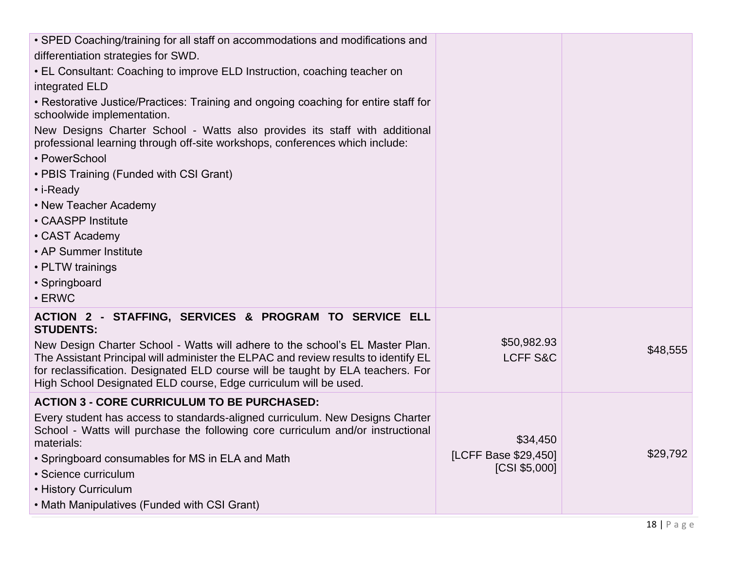| • SPED Coaching/training for all staff on accommodations and modifications and                                                                             |                      |          |
|------------------------------------------------------------------------------------------------------------------------------------------------------------|----------------------|----------|
| differentiation strategies for SWD.                                                                                                                        |                      |          |
| • EL Consultant: Coaching to improve ELD Instruction, coaching teacher on                                                                                  |                      |          |
| integrated ELD                                                                                                                                             |                      |          |
| • Restorative Justice/Practices: Training and ongoing coaching for entire staff for<br>schoolwide implementation.                                          |                      |          |
| New Designs Charter School - Watts also provides its staff with additional<br>professional learning through off-site workshops, conferences which include: |                      |          |
| • PowerSchool                                                                                                                                              |                      |          |
| • PBIS Training (Funded with CSI Grant)                                                                                                                    |                      |          |
| • i-Ready                                                                                                                                                  |                      |          |
| • New Teacher Academy                                                                                                                                      |                      |          |
| • CAASPP Institute                                                                                                                                         |                      |          |
| • CAST Academy                                                                                                                                             |                      |          |
| • AP Summer Institute                                                                                                                                      |                      |          |
| • PLTW trainings                                                                                                                                           |                      |          |
| • Springboard                                                                                                                                              |                      |          |
| $\cdot$ ERWC                                                                                                                                               |                      |          |
| ACTION 2 - STAFFING, SERVICES & PROGRAM TO SERVICE ELL<br><b>STUDENTS:</b>                                                                                 |                      |          |
| New Design Charter School - Watts will adhere to the school's EL Master Plan.                                                                              | \$50,982.93          | \$48,555 |
| The Assistant Principal will administer the ELPAC and review results to identify EL                                                                        | <b>LCFF S&amp;C</b>  |          |
| for reclassification. Designated ELD course will be taught by ELA teachers. For<br>High School Designated ELD course, Edge curriculum will be used.        |                      |          |
| <b>ACTION 3 - CORE CURRICULUM TO BE PURCHASED:</b>                                                                                                         |                      |          |
| Every student has access to standards-aligned curriculum. New Designs Charter                                                                              |                      |          |
| School - Watts will purchase the following core curriculum and/or instructional                                                                            |                      |          |
| materials:                                                                                                                                                 | \$34,450             |          |
| • Springboard consumables for MS in ELA and Math                                                                                                           | [LCFF Base \$29,450] | \$29,792 |
| • Science curriculum                                                                                                                                       | [CSI \$5,000]        |          |
| • History Curriculum                                                                                                                                       |                      |          |
| • Math Manipulatives (Funded with CSI Grant)                                                                                                               |                      |          |
|                                                                                                                                                            |                      |          |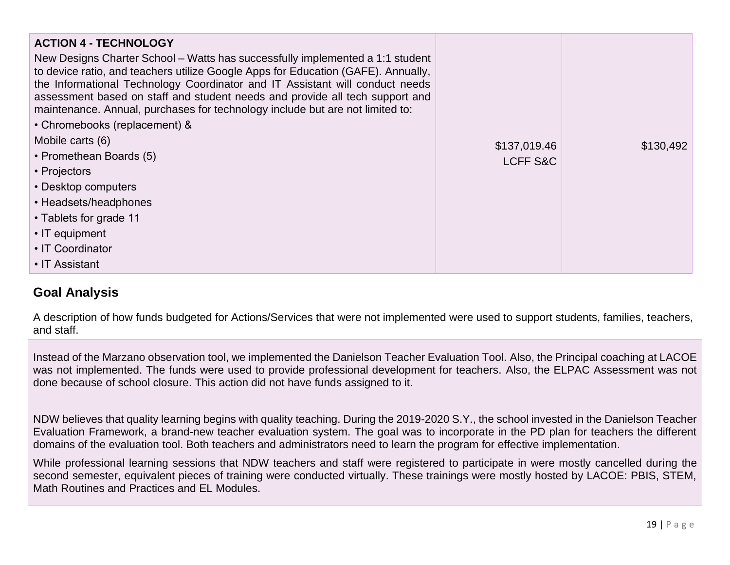| <b>ACTION 4 - TECHNOLOGY</b><br>New Designs Charter School – Watts has successfully implemented a 1:1 student<br>to device ratio, and teachers utilize Google Apps for Education (GAFE). Annually,<br>the Informational Technology Coordinator and IT Assistant will conduct needs<br>assessment based on staff and student needs and provide all tech support and<br>maintenance. Annual, purchases for technology include but are not limited to:<br>• Chromebooks (replacement) & |                                     |           |
|--------------------------------------------------------------------------------------------------------------------------------------------------------------------------------------------------------------------------------------------------------------------------------------------------------------------------------------------------------------------------------------------------------------------------------------------------------------------------------------|-------------------------------------|-----------|
| Mobile carts (6)<br>• Promethean Boards (5)<br>• Projectors<br>• Desktop computers<br>• Headsets/headphones<br>• Tablets for grade 11<br>• IT equipment<br>• IT Coordinator<br>• IT Assistant                                                                                                                                                                                                                                                                                        | \$137,019.46<br><b>LCFF S&amp;C</b> | \$130,492 |

#### **Goal Analysis**

A description of how funds budgeted for Actions/Services that were not implemented were used to support students, families, teachers, and staff.

Instead of the Marzano observation tool, we implemented the Danielson Teacher Evaluation Tool. Also, the Principal coaching at LACOE was not implemented. The funds were used to provide professional development for teachers. Also, the ELPAC Assessment was not done because of school closure. This action did not have funds assigned to it.

NDW believes that quality learning begins with quality teaching. During the 2019-2020 S.Y., the school invested in the Danielson Teacher Evaluation Framework, a brand-new teacher evaluation system. The goal was to incorporate in the PD plan for teachers the different domains of the evaluation tool. Both teachers and administrators need to learn the program for effective implementation.

While professional learning sessions that NDW teachers and staff were registered to participate in were mostly cancelled during the second semester, equivalent pieces of training were conducted virtually. These trainings were mostly hosted by LACOE: PBIS, STEM, Math Routines and Practices and EL Modules.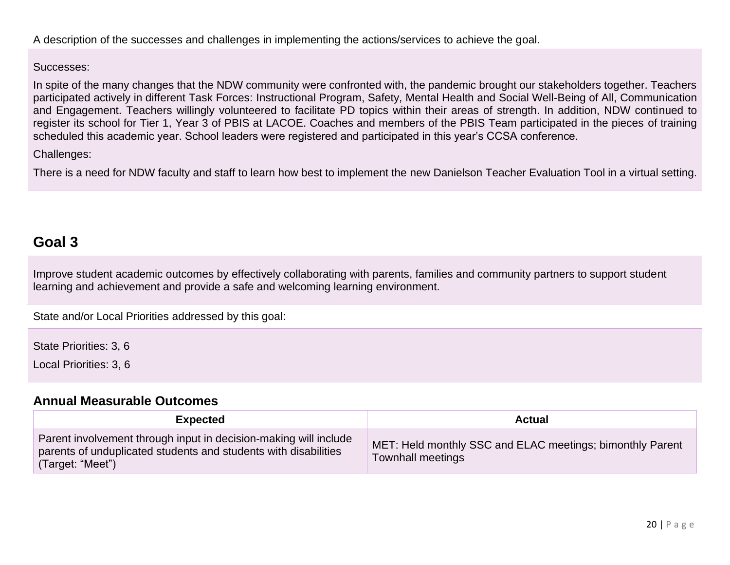#### Successes:

In spite of the many changes that the NDW community were confronted with, the pandemic brought our stakeholders together. Teachers participated actively in different Task Forces: Instructional Program, Safety, Mental Health and Social Well-Being of All, Communication and Engagement. Teachers willingly volunteered to facilitate PD topics within their areas of strength. In addition, NDW continued to register its school for Tier 1, Year 3 of PBIS at LACOE. Coaches and members of the PBIS Team participated in the pieces of training scheduled this academic year. School leaders were registered and participated in this year's CCSA conference.

#### Challenges:

There is a need for NDW faculty and staff to learn how best to implement the new Danielson Teacher Evaluation Tool in a virtual setting.

## **Goal 3**

Improve student academic outcomes by effectively collaborating with parents, families and community partners to support student learning and achievement and provide a safe and welcoming learning environment.

State and/or Local Priorities addressed by this goal:

State Priorities: 3, 6

Local Priorities: 3, 6

#### **[Annual Measurable Outcomes](#page-34-0)**

| <b>Expected</b>                                                                                                                                         | <b>Actual</b>                                                                         |
|---------------------------------------------------------------------------------------------------------------------------------------------------------|---------------------------------------------------------------------------------------|
| Parent involvement through input in decision-making will include<br>parents of unduplicated students and students with disabilities<br>(Target: "Meet") | MET: Held monthly SSC and ELAC meetings; bimonthly Parent<br><b>Townhall meetings</b> |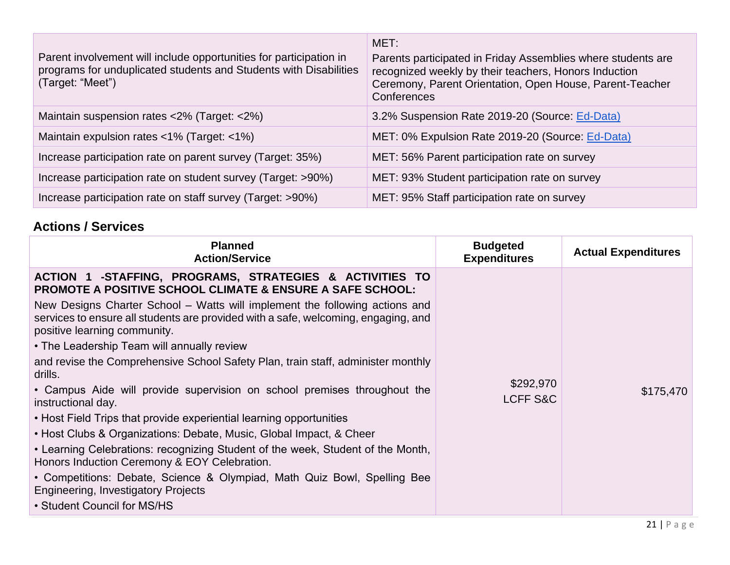| Parent involvement will include opportunities for participation in<br>programs for unduplicated students and Students with Disabilities<br>(Target: "Meet") | MET:<br>Parents participated in Friday Assemblies where students are<br>recognized weekly by their teachers, Honors Induction<br>Ceremony, Parent Orientation, Open House, Parent-Teacher<br>Conferences |
|-------------------------------------------------------------------------------------------------------------------------------------------------------------|----------------------------------------------------------------------------------------------------------------------------------------------------------------------------------------------------------|
| Maintain suspension rates <2% (Target: <2%)                                                                                                                 | 3.2% Suspension Rate 2019-20 (Source: Ed-Data)                                                                                                                                                           |
| Maintain expulsion rates <1% (Target: <1%)                                                                                                                  | MET: 0% Expulsion Rate 2019-20 (Source: Ed-Data)                                                                                                                                                         |
| Increase participation rate on parent survey (Target: 35%)                                                                                                  | MET: 56% Parent participation rate on survey                                                                                                                                                             |
| Increase participation rate on student survey (Target: >90%)                                                                                                | MET: 93% Student participation rate on survey                                                                                                                                                            |
| Increase participation rate on staff survey (Target: >90%)                                                                                                  | MET: 95% Staff participation rate on survey                                                                                                                                                              |

#### **Actions / Services**

| <b>Planned</b><br><b>Action/Service</b>                                                                                                                                                                                                                                                                                                                                                                                                                                                                                                                                              | <b>Budgeted</b><br><b>Expenditures</b> | <b>Actual Expenditures</b> |
|--------------------------------------------------------------------------------------------------------------------------------------------------------------------------------------------------------------------------------------------------------------------------------------------------------------------------------------------------------------------------------------------------------------------------------------------------------------------------------------------------------------------------------------------------------------------------------------|----------------------------------------|----------------------------|
| ACTION 1 -STAFFING, PROGRAMS, STRATEGIES & ACTIVITIES TO<br><b>PROMOTE A POSITIVE SCHOOL CLIMATE &amp; ENSURE A SAFE SCHOOL:</b><br>New Designs Charter School – Watts will implement the following actions and<br>services to ensure all students are provided with a safe, welcoming, engaging, and<br>positive learning community.<br>• The Leadership Team will annually review<br>and revise the Comprehensive School Safety Plan, train staff, administer monthly<br>drills.<br>• Campus Aide will provide supervision on school premises throughout the<br>instructional day. | \$292,970<br><b>LCFF S&amp;C</b>       | \$175,470                  |
| • Host Field Trips that provide experiential learning opportunities<br>• Host Clubs & Organizations: Debate, Music, Global Impact, & Cheer<br>• Learning Celebrations: recognizing Student of the week, Student of the Month,<br>Honors Induction Ceremony & EOY Celebration.<br>• Competitions: Debate, Science & Olympiad, Math Quiz Bowl, Spelling Bee<br>Engineering, Investigatory Projects<br>• Student Council for MS/HS                                                                                                                                                      |                                        |                            |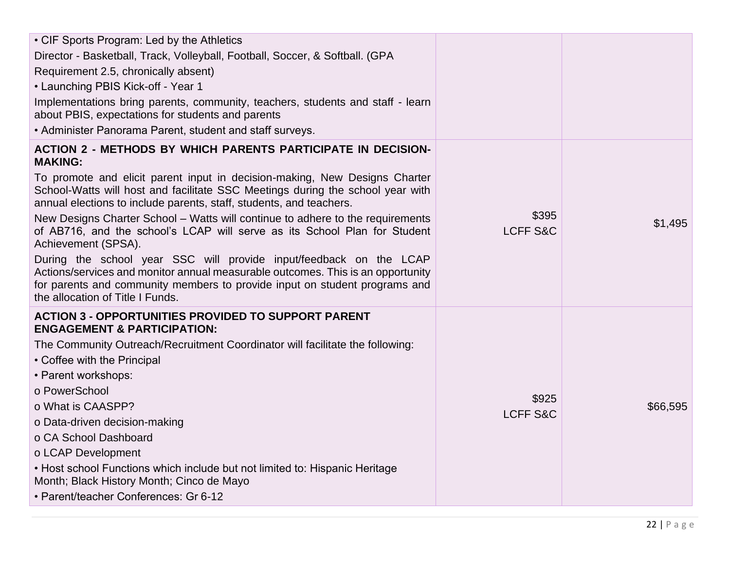| • CIF Sports Program: Led by the Athletics                                                                                                                                                                                                                                                                                                                                                                                |                              |          |
|---------------------------------------------------------------------------------------------------------------------------------------------------------------------------------------------------------------------------------------------------------------------------------------------------------------------------------------------------------------------------------------------------------------------------|------------------------------|----------|
| Director - Basketball, Track, Volleyball, Football, Soccer, & Softball. (GPA                                                                                                                                                                                                                                                                                                                                              |                              |          |
| Requirement 2.5, chronically absent)                                                                                                                                                                                                                                                                                                                                                                                      |                              |          |
| • Launching PBIS Kick-off - Year 1                                                                                                                                                                                                                                                                                                                                                                                        |                              |          |
| Implementations bring parents, community, teachers, students and staff - learn<br>about PBIS, expectations for students and parents                                                                                                                                                                                                                                                                                       |                              |          |
| • Administer Panorama Parent, student and staff surveys.                                                                                                                                                                                                                                                                                                                                                                  |                              |          |
| <b>ACTION 2 - METHODS BY WHICH PARENTS PARTICIPATE IN DECISION-</b><br><b>MAKING:</b>                                                                                                                                                                                                                                                                                                                                     |                              |          |
| To promote and elicit parent input in decision-making, New Designs Charter<br>School-Watts will host and facilitate SSC Meetings during the school year with<br>annual elections to include parents, staff, students, and teachers.<br>New Designs Charter School - Watts will continue to adhere to the requirements<br>of AB716, and the school's LCAP will serve as its School Plan for Student<br>Achievement (SPSA). | \$395<br><b>LCFF S&amp;C</b> | \$1,495  |
| During the school year SSC will provide input/feedback on the LCAP<br>Actions/services and monitor annual measurable outcomes. This is an opportunity<br>for parents and community members to provide input on student programs and<br>the allocation of Title I Funds.                                                                                                                                                   |                              |          |
| <b>ACTION 3 - OPPORTUNITIES PROVIDED TO SUPPORT PARENT</b><br><b>ENGAGEMENT &amp; PARTICIPATION:</b><br>The Community Outreach/Recruitment Coordinator will facilitate the following:<br>• Coffee with the Principal<br>• Parent workshops:<br>o PowerSchool<br>o What is CAASPP?                                                                                                                                         | \$925                        | \$66,595 |
| o Data-driven decision-making<br>o CA School Dashboard<br>o LCAP Development<br>• Host school Functions which include but not limited to: Hispanic Heritage<br>Month; Black History Month; Cinco de Mayo<br>• Parent/teacher Conferences: Gr 6-12                                                                                                                                                                         | <b>LCFF S&amp;C</b>          |          |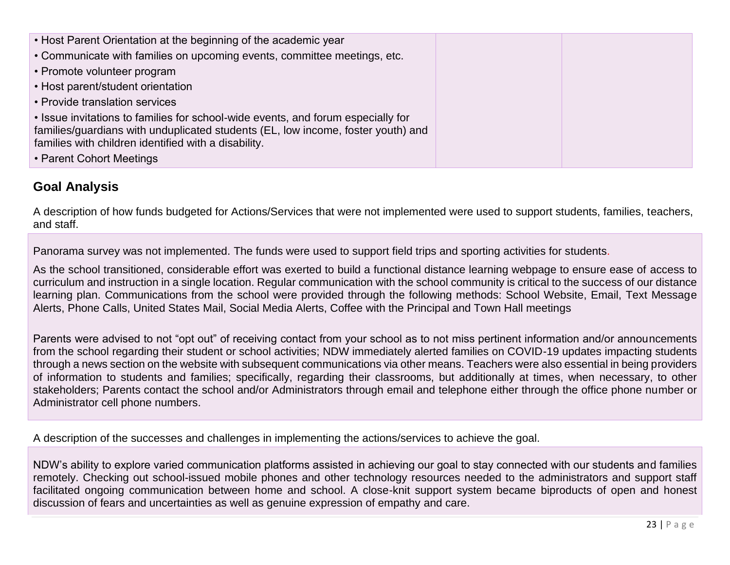| • Host Parent Orientation at the beginning of the academic year                  |  |
|----------------------------------------------------------------------------------|--|
| • Communicate with families on upcoming events, committee meetings, etc.         |  |
| • Promote volunteer program                                                      |  |
| • Host parent/student orientation                                                |  |
| • Provide translation services                                                   |  |
| • Issue invitations to families for school-wide events, and forum especially for |  |
| families/guardians with unduplicated students (EL, low income, foster youth) and |  |
| families with children identified with a disability.                             |  |
| • Parent Cohort Meetings                                                         |  |

#### **Goal Analysis**

A description of how funds budgeted for Actions/Services that were not implemented were used to support students, families, teachers, and staff.

Panorama survey was not implemented. The funds were used to support field trips and sporting activities for students.

As the school transitioned, considerable effort was exerted to build a functional distance learning webpage to ensure ease of access to curriculum and instruction in a single location. Regular communication with the school community is critical to the success of our distance learning plan. Communications from the school were provided through the following methods: School Website, Email, Text Message Alerts, Phone Calls, United States Mail, Social Media Alerts, Coffee with the Principal and Town Hall meetings

Parents were advised to not "opt out" of receiving contact from your school as to not miss pertinent information and/or announcements from the school regarding their student or school activities; NDW immediately alerted families on COVID-19 updates impacting students through a news section on the website with subsequent communications via other means. Teachers were also essential in being providers of information to students and families; specifically, regarding their classrooms, but additionally at times, when necessary, to other stakeholders; Parents contact the school and/or Administrators through email and telephone either through the office phone number or Administrator cell phone numbers.

A description of the successes and challenges in implementing the actions/services to achieve the goal.

NDW's ability to explore varied communication platforms assisted in achieving our goal to stay connected with our students and families remotely. Checking out school-issued mobile phones and other technology resources needed to the administrators and support staff facilitated ongoing communication between home and school. A close-knit support system became biproducts of open and honest discussion of fears and uncertainties as well as genuine expression of empathy and care.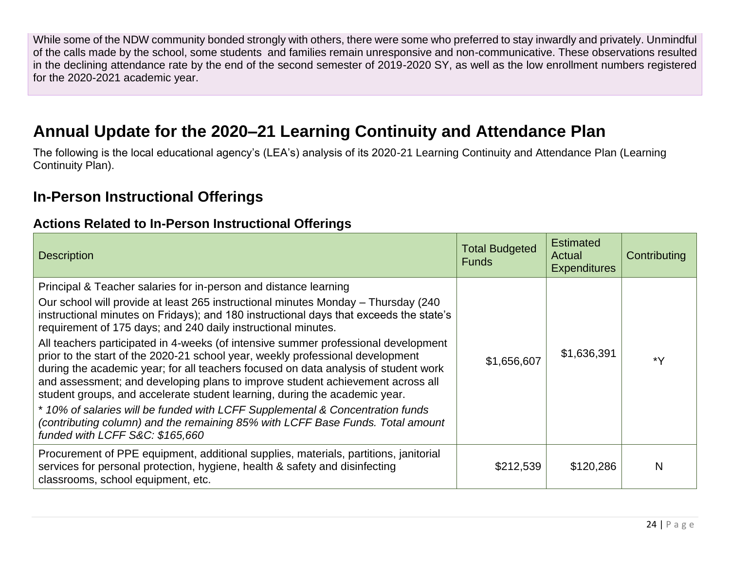While some of the NDW community bonded strongly with others, there were some who preferred to stay inwardly and privately. Unmindful of the calls made by the school, some students and families remain unresponsive and non-communicative. These observations resulted in the declining attendance rate by the end of the second semester of 2019-2020 SY, as well as the low enrollment numbers registered for the 2020-2021 academic year.

# **Annual Update for the 2020–21 Learning Continuity and Attendance Plan**

The following is the local educational agency's (LEA's) analysis of its 2020-21 Learning Continuity and Attendance Plan (Learning Continuity Plan).

## **In-Person Instructional Offerings**

#### **Actions Related to In-Person Instructional Offerings**

| <b>Description</b>                                                                                                                                                                                                                                                                                                                                                                                                                                                                                                                                                                                                                                                                                                                                                                                                                                                                                                                                    | <b>Total Budgeted</b><br><b>Funds</b> | <b>Estimated</b><br>Actual<br><b>Expenditures</b> | Contributing |
|-------------------------------------------------------------------------------------------------------------------------------------------------------------------------------------------------------------------------------------------------------------------------------------------------------------------------------------------------------------------------------------------------------------------------------------------------------------------------------------------------------------------------------------------------------------------------------------------------------------------------------------------------------------------------------------------------------------------------------------------------------------------------------------------------------------------------------------------------------------------------------------------------------------------------------------------------------|---------------------------------------|---------------------------------------------------|--------------|
| Principal & Teacher salaries for in-person and distance learning<br>Our school will provide at least 265 instructional minutes Monday – Thursday (240<br>instructional minutes on Fridays); and 180 instructional days that exceeds the state's<br>requirement of 175 days; and 240 daily instructional minutes.<br>All teachers participated in 4-weeks (of intensive summer professional development<br>prior to the start of the 2020-21 school year, weekly professional development<br>during the academic year; for all teachers focused on data analysis of student work<br>and assessment; and developing plans to improve student achievement across all<br>student groups, and accelerate student learning, during the academic year.<br>* 10% of salaries will be funded with LCFF Supplemental & Concentration funds<br>(contributing column) and the remaining 85% with LCFF Base Funds. Total amount<br>funded with LCFF S&C: \$165,660 | \$1,656,607                           | \$1,636,391                                       | ∗۷           |
| Procurement of PPE equipment, additional supplies, materials, partitions, janitorial<br>services for personal protection, hygiene, health & safety and disinfecting<br>classrooms, school equipment, etc.                                                                                                                                                                                                                                                                                                                                                                                                                                                                                                                                                                                                                                                                                                                                             | \$212,539                             | \$120,286                                         | N            |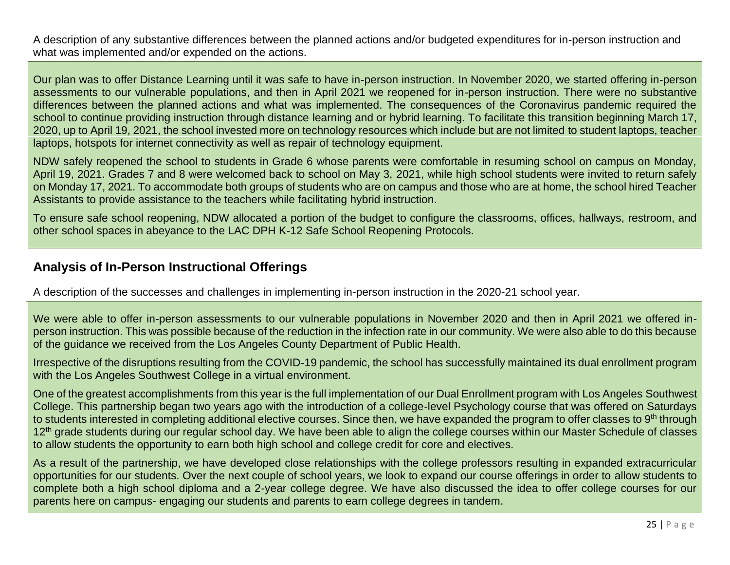A description of any substantive differences between the planned actions and/or budgeted expenditures for in-person instruction and what was implemented and/or expended on the actions.

Our plan was to offer Distance Learning until it was safe to have in-person instruction. In November 2020, we started offering in-person assessments to our vulnerable populations, and then in April 2021 we reopened for in-person instruction. There were no substantive differences between the planned actions and what was implemented. The consequences of the Coronavirus pandemic required the school to continue providing instruction through distance learning and or hybrid learning. To facilitate this transition beginning March 17, 2020, up to April 19, 2021, the school invested more on technology resources which include but are not limited to student laptops, teacher laptops, hotspots for internet connectivity as well as repair of technology equipment.

NDW safely reopened the school to students in Grade 6 whose parents were comfortable in resuming school on campus on Monday, April 19, 2021. Grades 7 and 8 were welcomed back to school on May 3, 2021, while high school students were invited to return safely on Monday 17, 2021. To accommodate both groups of students who are on campus and those who are at home, the school hired Teacher Assistants to provide assistance to the teachers while facilitating hybrid instruction.

To ensure safe school reopening, NDW allocated a portion of the budget to configure the classrooms, offices, hallways, restroom, and other school spaces in abeyance to the LAC DPH K-12 Safe School Reopening Protocols.

#### **Analysis of In-Person Instructional Offerings**

A description of the successes and challenges in implementing in-person instruction in the 2020-21 school year.

We were able to offer in-person assessments to our vulnerable populations in November 2020 and then in April 2021 we offered inperson instruction. This was possible because of the reduction in the infection rate in our community. We were also able to do this because of the guidance we received from the Los Angeles County Department of Public Health.

Irrespective of the disruptions resulting from the COVID-19 pandemic, the school has successfully maintained its dual enrollment program with the Los Angeles Southwest College in a virtual environment.

One of the greatest accomplishments from this year is the full implementation of our Dual Enrollment program with Los Angeles Southwest College. This partnership began two years ago with the introduction of a college-level Psychology course that was offered on Saturdays to students interested in completing additional elective courses. Since then, we have expanded the program to offer classes to 9<sup>th</sup> through 12<sup>th</sup> grade students during our regular school day. We have been able to align the college courses within our Master Schedule of classes to allow students the opportunity to earn both high school and college credit for core and electives.

As a result of the partnership, we have developed close relationships with the college professors resulting in expanded extracurricular opportunities for our students. Over the next couple of school years, we look to expand our course offerings in order to allow students to complete both a high school diploma and a 2-year college degree. We have also discussed the idea to offer college courses for our parents here on campus- engaging our students and parents to earn college degrees in tandem.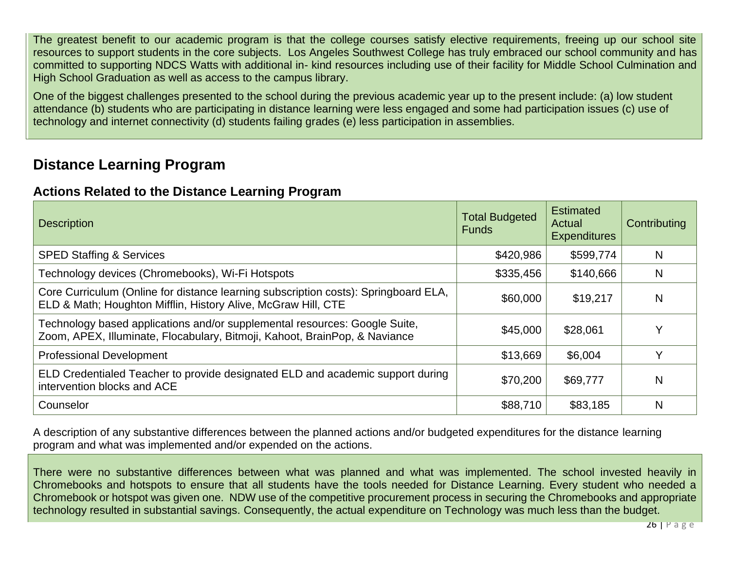The greatest benefit to our academic program is that the college courses satisfy elective requirements, freeing up our school site resources to support students in the core subjects. Los Angeles Southwest College has truly embraced our school community and has committed to supporting NDCS Watts with additional in- kind resources including use of their facility for Middle School Culmination and High School Graduation as well as access to the campus library.

One of the biggest challenges presented to the school during the previous academic year up to the present include: (a) low student attendance (b) students who are participating in distance learning were less engaged and some had participation issues (c) use of technology and internet connectivity (d) students failing grades (e) less participation in assemblies.

## **Distance Learning Program**

#### **Actions Related to the Distance Learning Program**

| <b>Description</b>                                                                                                                                       | <b>Total Budgeted</b><br><b>Funds</b> | <b>Estimated</b><br>Actual<br><b>Expenditures</b> | Contributing |
|----------------------------------------------------------------------------------------------------------------------------------------------------------|---------------------------------------|---------------------------------------------------|--------------|
| <b>SPED Staffing &amp; Services</b>                                                                                                                      | \$420,986                             | \$599,774                                         | N            |
| Technology devices (Chromebooks), Wi-Fi Hotspots                                                                                                         | \$335,456                             | \$140,666                                         | N            |
| Core Curriculum (Online for distance learning subscription costs): Springboard ELA,<br>ELD & Math; Houghton Mifflin, History Alive, McGraw Hill, CTE     | \$60,000                              | \$19,217                                          | N            |
| Technology based applications and/or supplemental resources: Google Suite,<br>Zoom, APEX, Illuminate, Flocabulary, Bitmoji, Kahoot, BrainPop, & Naviance | \$45,000                              | \$28,061                                          |              |
| <b>Professional Development</b>                                                                                                                          | \$13,669                              | \$6,004                                           | v            |
| ELD Credentialed Teacher to provide designated ELD and academic support during<br>intervention blocks and ACE                                            | \$70,200                              | \$69,777                                          | N            |
| Counselor                                                                                                                                                | \$88,710                              | \$83,185                                          | N            |

A description of any substantive differences between the planned actions and/or budgeted expenditures for the distance learning program and what was implemented and/or expended on the actions.

There were no substantive differences between what was planned and what was implemented. The school invested heavily in Chromebooks and hotspots to ensure that all students have the tools needed for Distance Learning. Every student who needed a Chromebook or hotspot was given one. NDW use of the competitive procurement process in securing the Chromebooks and appropriate technology resulted in substantial savings. Consequently, the actual expenditure on Technology was much less than the budget.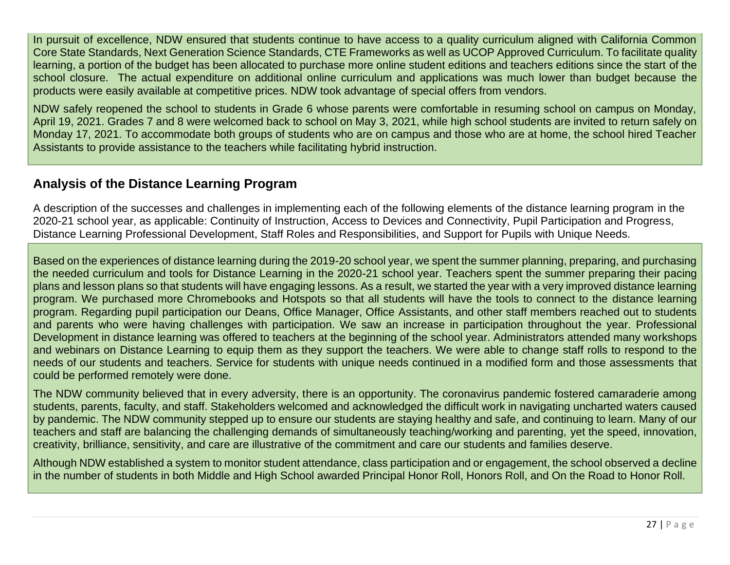In pursuit of excellence, NDW ensured that students continue to have access to a quality curriculum aligned with California Common Core State Standards, Next Generation Science Standards, CTE Frameworks as well as UCOP Approved Curriculum. To facilitate quality learning, a portion of the budget has been allocated to purchase more online student editions and teachers editions since the start of the school closure. The actual expenditure on additional online curriculum and applications was much lower than budget because the products were easily available at competitive prices. NDW took advantage of special offers from vendors.

NDW safely reopened the school to students in Grade 6 whose parents were comfortable in resuming school on campus on Monday, April 19, 2021. Grades 7 and 8 were welcomed back to school on May 3, 2021, while high school students are invited to return safely on Monday 17, 2021. To accommodate both groups of students who are on campus and those who are at home, the school hired Teacher Assistants to provide assistance to the teachers while facilitating hybrid instruction.

#### **Analysis of the Distance Learning Program**

A description of the successes and challenges in implementing each of the following elements of the distance learning program in the 2020-21 school year, as applicable: Continuity of Instruction, Access to Devices and Connectivity, Pupil Participation and Progress, Distance Learning Professional Development, Staff Roles and Responsibilities, and Support for Pupils with Unique Needs.

Based on the experiences of distance learning during the 2019-20 school year, we spent the summer planning, preparing, and purchasing the needed curriculum and tools for Distance Learning in the 2020-21 school year. Teachers spent the summer preparing their pacing plans and lesson plans so that students will have engaging lessons. As a result, we started the year with a very improved distance learning program. We purchased more Chromebooks and Hotspots so that all students will have the tools to connect to the distance learning program. Regarding pupil participation our Deans, Office Manager, Office Assistants, and other staff members reached out to students and parents who were having challenges with participation. We saw an increase in participation throughout the year. Professional Development in distance learning was offered to teachers at the beginning of the school year. Administrators attended many workshops and webinars on Distance Learning to equip them as they support the teachers. We were able to change staff rolls to respond to the needs of our students and teachers. Service for students with unique needs continued in a modified form and those assessments that could be performed remotely were done.

The NDW community believed that in every adversity, there is an opportunity. The coronavirus pandemic fostered camaraderie among students, parents, faculty, and staff. Stakeholders welcomed and acknowledged the difficult work in navigating uncharted waters caused by pandemic. The NDW community stepped up to ensure our students are staying healthy and safe, and continuing to learn. Many of our teachers and staff are balancing the challenging demands of simultaneously teaching/working and parenting, yet the speed, innovation, creativity, brilliance, sensitivity, and care are illustrative of the commitment and care our students and families deserve.

Although NDW established a system to monitor student attendance, class participation and or engagement, the school observed a decline in the number of students in both Middle and High School awarded Principal Honor Roll, Honors Roll, and On the Road to Honor Roll*.*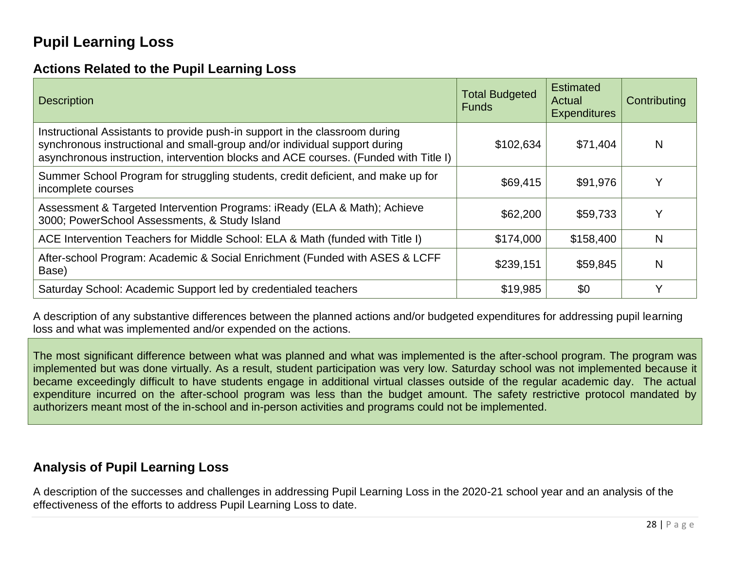## **Pupil Learning Loss**

### **Actions Related to the Pupil Learning Loss**

| <b>Description</b>                                                                                                                                                                                                                                | <b>Total Budgeted</b><br><b>Funds</b> | <b>Estimated</b><br>Actual<br><b>Expenditures</b> | Contributing |
|---------------------------------------------------------------------------------------------------------------------------------------------------------------------------------------------------------------------------------------------------|---------------------------------------|---------------------------------------------------|--------------|
| Instructional Assistants to provide push-in support in the classroom during<br>synchronous instructional and small-group and/or individual support during<br>asynchronous instruction, intervention blocks and ACE courses. (Funded with Title I) | \$102,634                             | \$71,404                                          | N            |
| Summer School Program for struggling students, credit deficient, and make up for<br>incomplete courses                                                                                                                                            | \$69,415                              | \$91,976                                          | v            |
| Assessment & Targeted Intervention Programs: iReady (ELA & Math); Achieve<br>3000; PowerSchool Assessments, & Study Island                                                                                                                        | \$62,200                              | \$59,733                                          |              |
| ACE Intervention Teachers for Middle School: ELA & Math (funded with Title I)                                                                                                                                                                     | \$174,000                             | \$158,400                                         | N            |
| After-school Program: Academic & Social Enrichment (Funded with ASES & LCFF<br>Base)                                                                                                                                                              | \$239,151                             | \$59,845                                          | N            |
| Saturday School: Academic Support led by credentialed teachers                                                                                                                                                                                    | \$19,985                              | \$0                                               | $\checkmark$ |

A description of any substantive differences between the planned actions and/or budgeted expenditures for addressing pupil learning loss and what was implemented and/or expended on the actions.

The most significant difference between what was planned and what was implemented is the after-school program. The program was implemented but was done virtually. As a result, student participation was very low. Saturday school was not implemented because it became exceedingly difficult to have students engage in additional virtual classes outside of the regular academic day. The actual expenditure incurred on the after-school program was less than the budget amount. The safety restrictive protocol mandated by authorizers meant most of the in-school and in-person activities and programs could not be implemented.

#### **Analysis of Pupil Learning Loss**

A description of the successes and challenges in addressing Pupil Learning Loss in the 2020-21 school year and an analysis of the effectiveness of the efforts to address Pupil Learning Loss to date.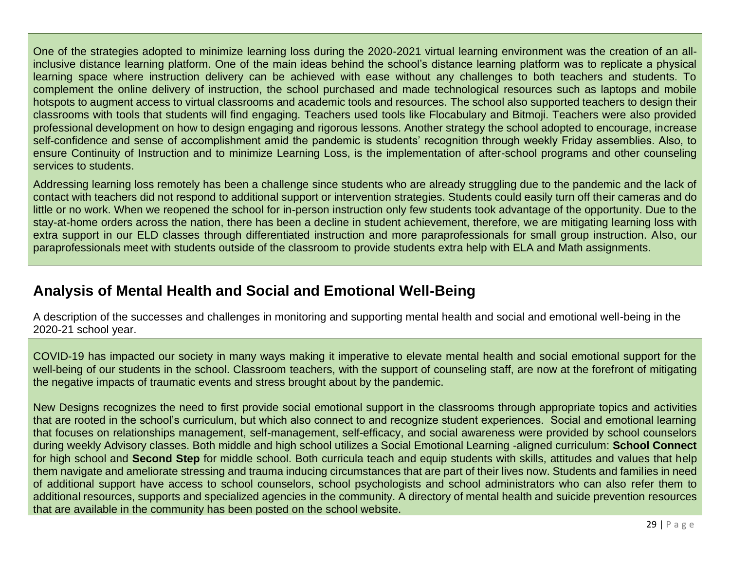One of the strategies adopted to minimize learning loss during the 2020-2021 virtual learning environment was the creation of an allinclusive distance learning platform. One of the main ideas behind the school's distance learning platform was to replicate a physical learning space where instruction delivery can be achieved with ease without any challenges to both teachers and students. To complement the online delivery of instruction, the school purchased and made technological resources such as laptops and mobile hotspots to augment access to virtual classrooms and academic tools and resources. The school also supported teachers to design their classrooms with tools that students will find engaging. Teachers used tools like Flocabulary and Bitmoji. Teachers were also provided professional development on how to design engaging and rigorous lessons. Another strategy the school adopted to encourage, increase self-confidence and sense of accomplishment amid the pandemic is students' recognition through weekly Friday assemblies. Also, to ensure Continuity of Instruction and to minimize Learning Loss, is the implementation of after-school programs and other counseling services to students.

Addressing learning loss remotely has been a challenge since students who are already struggling due to the pandemic and the lack of contact with teachers did not respond to additional support or intervention strategies. Students could easily turn off their cameras and do little or no work. When we reopened the school for in-person instruction only few students took advantage of the opportunity. Due to the stay-at-home orders across the nation, there has been a decline in student achievement, therefore, we are mitigating learning loss with extra support in our ELD classes through differentiated instruction and more paraprofessionals for small group instruction. Also, our paraprofessionals meet with students outside of the classroom to provide students extra help with ELA and Math assignments.

## **Analysis of Mental Health and Social and Emotional Well-Being**

A description of the successes and challenges in monitoring and supporting mental health and social and emotional well-being in the 2020-21 school year.

COVID-19 has impacted our society in many ways making it imperative to elevate mental health and social emotional support for the well-being of our students in the school. Classroom teachers, with the support of counseling staff, are now at the forefront of mitigating the negative impacts of traumatic events and stress brought about by the pandemic.

New Designs recognizes the need to first provide social emotional support in the classrooms through appropriate topics and activities that are rooted in the school's curriculum, but which also connect to and recognize student experiences. Social and emotional learning that focuses on relationships management, self-management, self-efficacy, and social awareness were provided by school counselors during weekly Advisory classes. Both middle and high school utilizes a Social Emotional Learning -aligned curriculum: **School Connect** for high school and **Second Step** for middle school. Both curricula teach and equip students with skills, attitudes and values that help them navigate and ameliorate stressing and trauma inducing circumstances that are part of their lives now. Students and families in need of additional support have access to school counselors, school psychologists and school administrators who can also refer them to additional resources, supports and specialized agencies in the community. A directory of mental health and suicide prevention resources that are available in the community has been posted on the school website.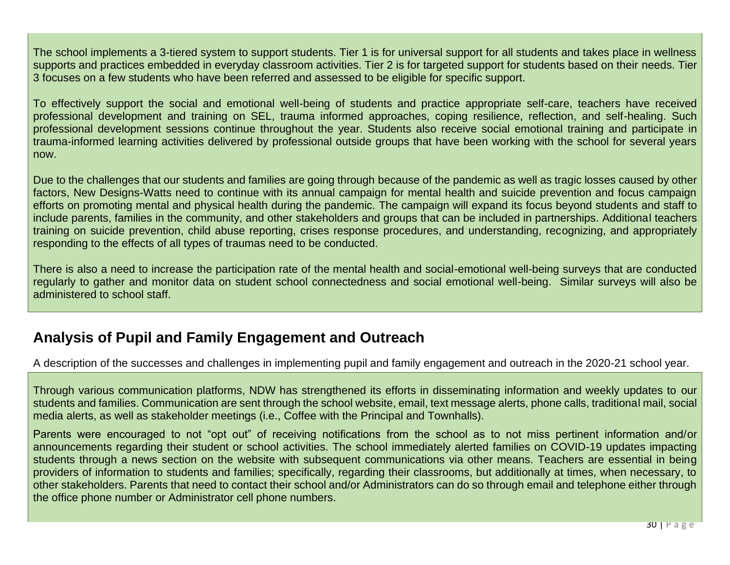The school implements a 3-tiered system to support students. Tier 1 is for universal support for all students and takes place in wellness supports and practices embedded in everyday classroom activities. Tier 2 is for targeted support for students based on their needs. Tier 3 focuses on a few students who have been referred and assessed to be eligible for specific support.

To effectively support the social and emotional well-being of students and practice appropriate self-care, teachers have received professional development and training on SEL, trauma informed approaches, coping resilience, reflection, and self-healing. Such professional development sessions continue throughout the year. Students also receive social emotional training and participate in trauma-informed learning activities delivered by professional outside groups that have been working with the school for several years now.

Due to the challenges that our students and families are going through because of the pandemic as well as tragic losses caused by other factors, New Designs-Watts need to continue with its annual campaign for mental health and suicide prevention and focus campaign efforts on promoting mental and physical health during the pandemic. The campaign will expand its focus beyond students and staff to include parents, families in the community, and other stakeholders and groups that can be included in partnerships. Additional teachers training on suicide prevention, child abuse reporting, crises response procedures, and understanding, recognizing, and appropriately responding to the effects of all types of traumas need to be conducted.

There is also a need to increase the participation rate of the mental health and social-emotional well-being surveys that are conducted regularly to gather and monitor data on student school connectedness and social emotional well-being. Similar surveys will also be administered to school staff.

## **Analysis of Pupil and Family Engagement and Outreach**

A description of the successes and challenges in implementing pupil and family engagement and outreach in the 2020-21 school year.

Through various communication platforms, NDW has strengthened its efforts in disseminating information and weekly updates to our students and families. Communication are sent through the school website, email, text message alerts, phone calls, traditional mail, social media alerts, as well as stakeholder meetings (i.e., Coffee with the Principal and Townhalls).

Parents were encouraged to not "opt out" of receiving notifications from the school as to not miss pertinent information and/or announcements regarding their student or school activities. The school immediately alerted families on COVID-19 updates impacting students through a news section on the website with subsequent communications via other means. Teachers are essential in being providers of information to students and families; specifically, regarding their classrooms, but additionally at times, when necessary, to other stakeholders. Parents that need to contact their school and/or Administrators can do so through email and telephone either through the office phone number or Administrator cell phone numbers.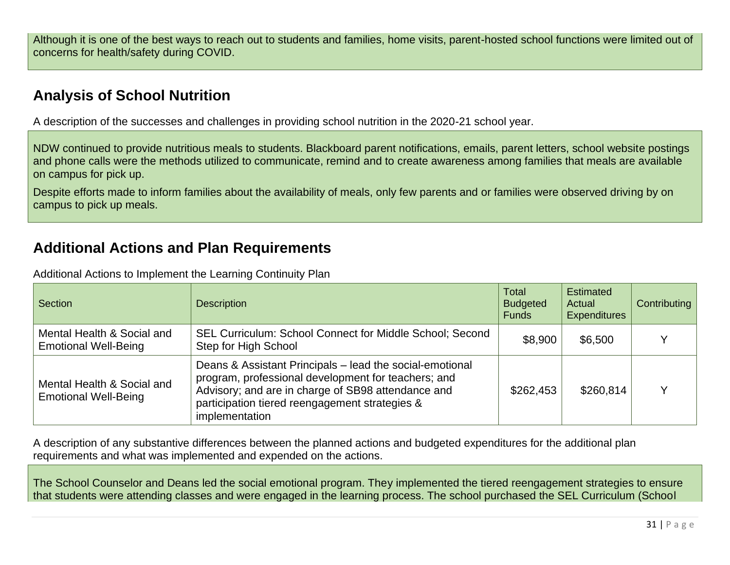Although it is one of the best ways to reach out to students and families, home visits, parent-hosted school functions were limited out of concerns for health/safety during COVID.

## **Analysis of School Nutrition**

A description of the successes and challenges in providing school nutrition in the 2020-21 school year.

NDW continued to provide nutritious meals to students. Blackboard parent notifications, emails, parent letters, school website postings and phone calls were the methods utilized to communicate, remind and to create awareness among families that meals are available on campus for pick up.

Despite efforts made to inform families about the availability of meals, only few parents and or families were observed driving by on campus to pick up meals.

## **Additional Actions and Plan Requirements**

| Additional Actions to Implement the Learning Continuity Plan |
|--------------------------------------------------------------|
|--------------------------------------------------------------|

| <b>Section</b>                                            | <b>Description</b>                                                                                                                                                                                                                        | <b>Total</b><br><b>Budgeted</b><br><b>Funds</b> | <b>Estimated</b><br>Actual<br><b>Expenditures</b> | Contributing |
|-----------------------------------------------------------|-------------------------------------------------------------------------------------------------------------------------------------------------------------------------------------------------------------------------------------------|-------------------------------------------------|---------------------------------------------------|--------------|
| Mental Health & Social and<br><b>Emotional Well-Being</b> | SEL Curriculum: School Connect for Middle School; Second<br>Step for High School                                                                                                                                                          | \$8,900                                         | \$6,500                                           |              |
| Mental Health & Social and<br><b>Emotional Well-Being</b> | Deans & Assistant Principals - lead the social-emotional<br>program, professional development for teachers; and<br>Advisory; and are in charge of SB98 attendance and<br>participation tiered reengagement strategies &<br>implementation | \$262,453                                       | \$260,814                                         |              |

A description of any substantive differences between the planned actions and budgeted expenditures for the additional plan requirements and what was implemented and expended on the actions.

The School Counselor and Deans led the social emotional program. They implemented the tiered reengagement strategies to ensure that students were attending classes and were engaged in the learning process. The school purchased the SEL Curriculum (School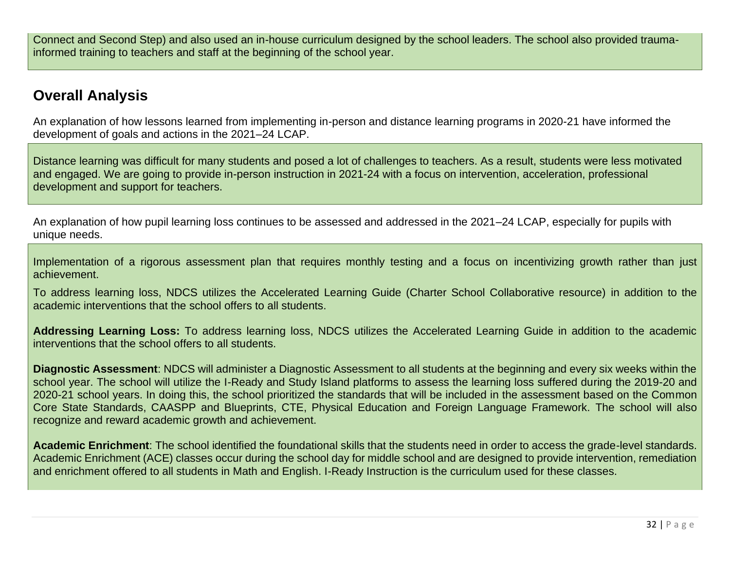Connect and Second Step) and also used an in-house curriculum designed by the school leaders. The school also provided traumainformed training to teachers and staff at the beginning of the school year.

## **Overall Analysis**

An explanation of how lessons learned from implementing in-person and distance learning programs in 2020-21 have informed the development of goals and actions in the 2021–24 LCAP.

Distance learning was difficult for many students and posed a lot of challenges to teachers. As a result, students were less motivated and engaged. We are going to provide in-person instruction in 2021-24 with a focus on intervention, acceleration, professional development and support for teachers.

An explanation of how pupil learning loss continues to be assessed and addressed in the 2021–24 LCAP, especially for pupils with unique needs.

Implementation of a rigorous assessment plan that requires monthly testing and a focus on incentivizing growth rather than just achievement.

To address learning loss, NDCS utilizes the Accelerated Learning Guide (Charter School Collaborative resource) in addition to the academic interventions that the school offers to all students.

**Addressing Learning Loss:** To address learning loss, NDCS utilizes the Accelerated Learning Guide in addition to the academic interventions that the school offers to all students.

**Diagnostic Assessment**: NDCS will administer a Diagnostic Assessment to all students at the beginning and every six weeks within the school year. The school will utilize the I-Ready and Study Island platforms to assess the learning loss suffered during the 2019-20 and 2020-21 school years. In doing this, the school prioritized the standards that will be included in the assessment based on the Common Core State Standards, CAASPP and Blueprints, CTE, Physical Education and Foreign Language Framework. The school will also recognize and reward academic growth and achievement.

**Academic Enrichment**: The school identified the foundational skills that the students need in order to access the grade-level standards. Academic Enrichment (ACE) classes occur during the school day for middle school and are designed to provide intervention, remediation and enrichment offered to all students in Math and English. I-Ready Instruction is the curriculum used for these classes.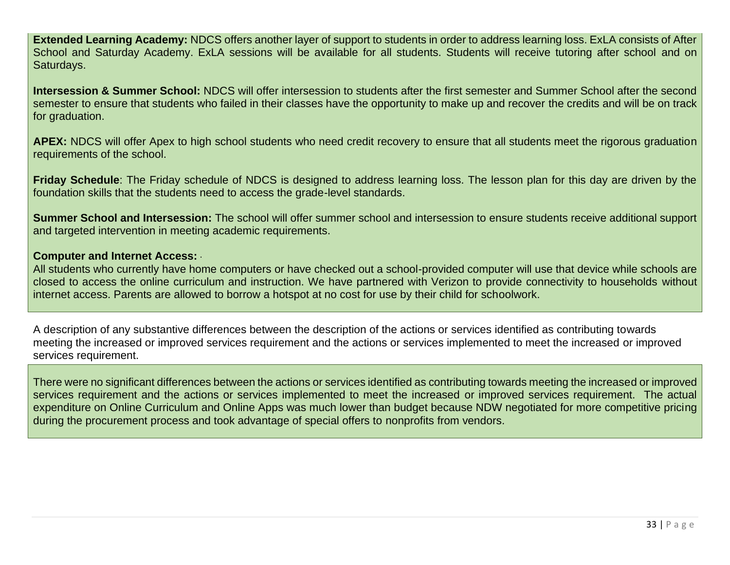**Extended Learning Academy:** NDCS offers another layer of support to students in order to address learning loss. ExLA consists of After School and Saturday Academy. ExLA sessions will be available for all students. Students will receive tutoring after school and on Saturdays.

**Intersession & Summer School:** NDCS will offer intersession to students after the first semester and Summer School after the second semester to ensure that students who failed in their classes have the opportunity to make up and recover the credits and will be on track for graduation.

**APEX:** NDCS will offer Apex to high school students who need credit recovery to ensure that all students meet the rigorous graduation requirements of the school.

**Friday Schedule**: The Friday schedule of NDCS is designed to address learning loss. The lesson plan for this day are driven by the foundation skills that the students need to access the grade-level standards.

**Summer School and Intersession:** The school will offer summer school and intersession to ensure students receive additional support and targeted intervention in meeting academic requirements.

#### **Computer and Internet Access:** ·

All students who currently have home computers or have checked out a school-provided computer will use that device while schools are closed to access the online curriculum and instruction. We have partnered with Verizon to provide connectivity to households without internet access. Parents are allowed to borrow a hotspot at no cost for use by their child for schoolwork.

A description of any substantive differences between the description of the actions or services identified as contributing towards meeting the increased or improved services requirement and the actions or services implemented to meet the increased or improved services requirement.

There were no significant differences between the actions or services identified as contributing towards meeting the increased or improved services requirement and the actions or services implemented to meet the increased or improved services requirement. The actual expenditure on Online Curriculum and Online Apps was much lower than budget because NDW negotiated for more competitive pricing during the procurement process and took advantage of special offers to nonprofits from vendors.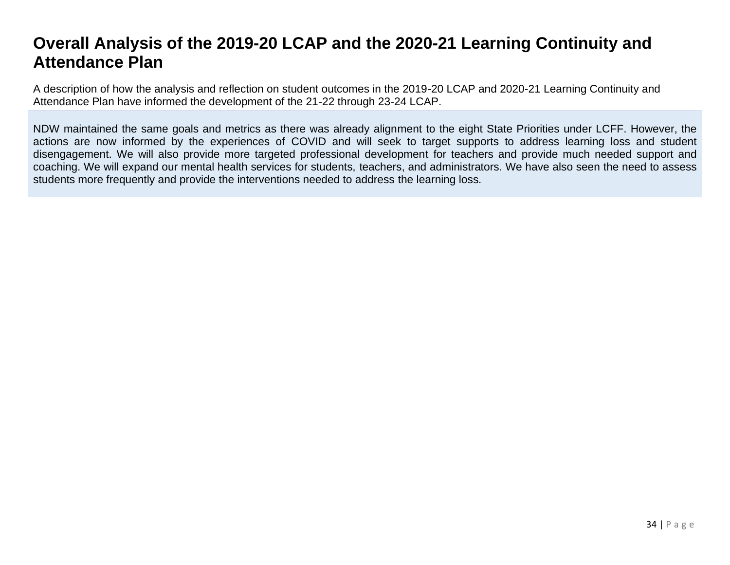# **Overall Analysis of the 2019-20 LCAP and the 2020-21 Learning Continuity and Attendance Plan**

A description of how the analysis and reflection on student outcomes in the 2019-20 LCAP and 2020-21 Learning Continuity and Attendance Plan have informed the development of the 21-22 through 23-24 LCAP.

NDW maintained the same goals and metrics as there was already alignment to the eight State Priorities under LCFF. However, the actions are now informed by the experiences of COVID and will seek to target supports to address learning loss and student disengagement. We will also provide more targeted professional development for teachers and provide much needed support and coaching. We will expand our mental health services for students, teachers, and administrators. We have also seen the need to assess students more frequently and provide the interventions needed to address the learning loss.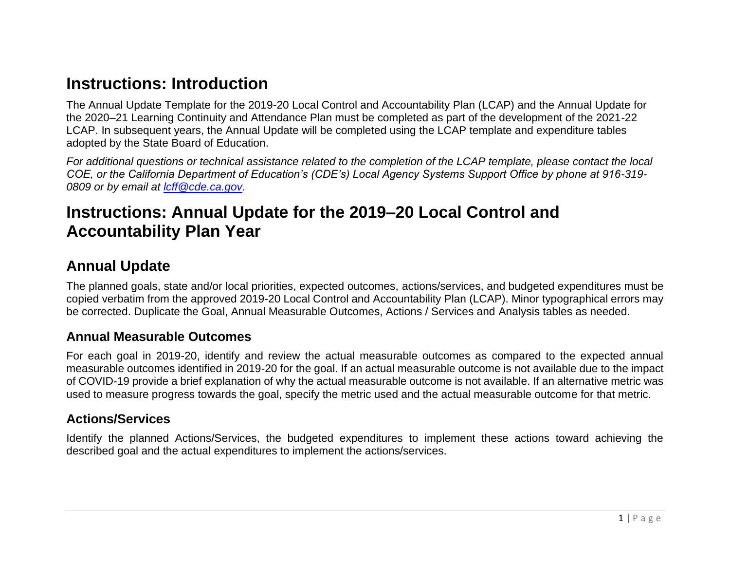# **Instructions: Introduction**

The Annual Update Template for the 2019-20 Local Control and Accountability Plan (LCAP) and the Annual Update for the 2020–21 Learning Continuity and Attendance Plan must be completed as part of the development of the 2021-22 LCAP. In subsequent years, the Annual Update will be completed using the LCAP template and expenditure tables adopted by the State Board of Education.

*For additional questions or technical assistance related to the completion of the LCAP template, please contact the local COE, or the California Department of Education's (CDE's) Local Agency Systems Support Office by phone at 916-319- 0809 or by email at [lcff@cde.ca.gov.](mailto:lcff@cde.ca.gov)*

# **Instructions: Annual Update for the 2019–20 Local Control and Accountability Plan Year**

#### **Annual Update**

The planned goals, state and/or local priorities, expected outcomes, actions/services, and budgeted expenditures must be copied verbatim from the approved 2019-20 Local Control and Accountability Plan (LCAP). Minor typographical errors may be corrected. Duplicate the Goal, Annual Measurable Outcomes, Actions / Services and Analysis tables as needed.

#### <span id="page-34-0"></span>**Annual Measurable Outcomes**

For each goal in 2019-20, identify and review the actual measurable outcomes as compared to the expected annual measurable outcomes identified in 2019-20 for the goal. If an actual measurable outcome is not available due to the impact of COVID-19 provide a brief explanation of why the actual measurable outcome is not available. If an alternative metric was used to measure progress towards the goal, specify the metric used and the actual measurable outcome for that metric.

#### **Actions/Services**

Identify the planned Actions/Services, the budgeted expenditures to implement these actions toward achieving the described goal and the actual expenditures to implement the actions/services.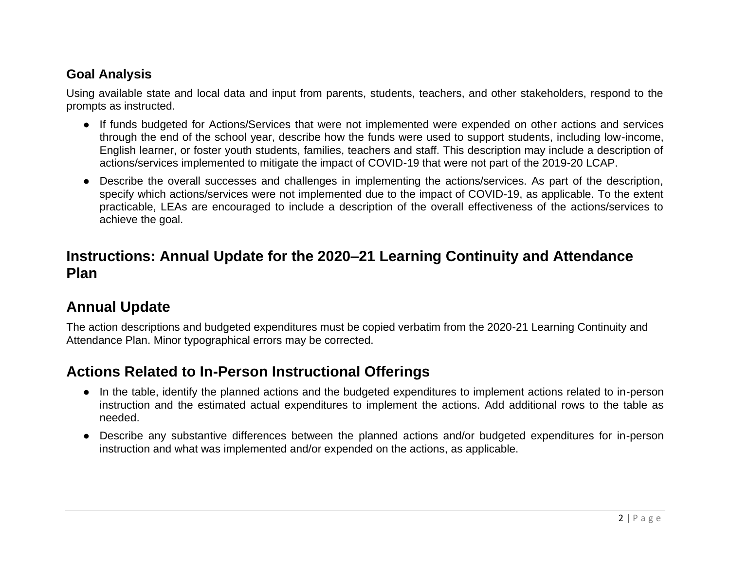#### **Goal Analysis**

Using available state and local data and input from parents, students, teachers, and other stakeholders, respond to the prompts as instructed.

- If funds budgeted for Actions/Services that were not implemented were expended on other actions and services through the end of the school year, describe how the funds were used to support students, including low-income, English learner, or foster youth students, families, teachers and staff. This description may include a description of actions/services implemented to mitigate the impact of COVID-19 that were not part of the 2019-20 LCAP.
- Describe the overall successes and challenges in implementing the actions/services. As part of the description, specify which actions/services were not implemented due to the impact of COVID-19, as applicable. To the extent practicable, LEAs are encouraged to include a description of the overall effectiveness of the actions/services to achieve the goal.

### **Instructions: Annual Update for the 2020–21 Learning Continuity and Attendance Plan**

### **Annual Update**

The action descriptions and budgeted expenditures must be copied verbatim from the 2020-21 Learning Continuity and Attendance Plan. Minor typographical errors may be corrected.

## **Actions Related to In-Person Instructional Offerings**

- In the table, identify the planned actions and the budgeted expenditures to implement actions related to in-person instruction and the estimated actual expenditures to implement the actions. Add additional rows to the table as needed.
- Describe any substantive differences between the planned actions and/or budgeted expenditures for in-person instruction and what was implemented and/or expended on the actions, as applicable.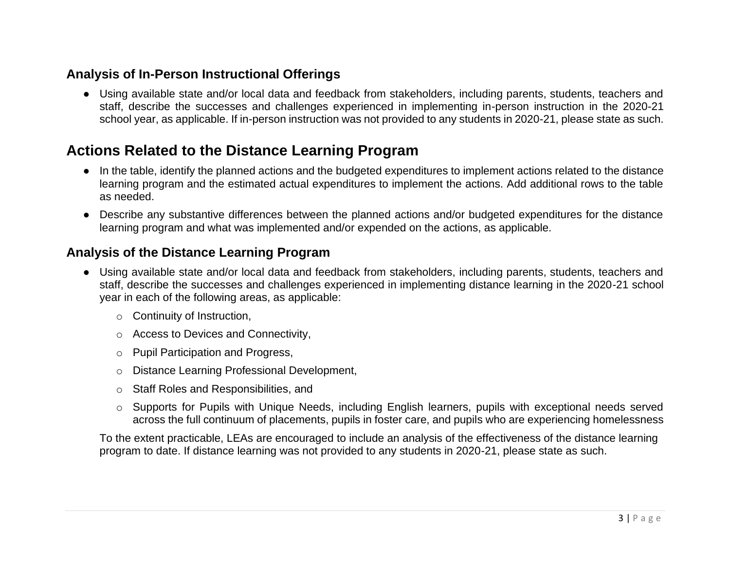### **Analysis of In-Person Instructional Offerings**

● Using available state and/or local data and feedback from stakeholders, including parents, students, teachers and staff, describe the successes and challenges experienced in implementing in-person instruction in the 2020-21 school year, as applicable. If in-person instruction was not provided to any students in 2020-21, please state as such.

### **Actions Related to the Distance Learning Program**

- In the table, identify the planned actions and the budgeted expenditures to implement actions related to the distance learning program and the estimated actual expenditures to implement the actions. Add additional rows to the table as needed.
- Describe any substantive differences between the planned actions and/or budgeted expenditures for the distance learning program and what was implemented and/or expended on the actions, as applicable.

#### **Analysis of the Distance Learning Program**

- Using available state and/or local data and feedback from stakeholders, including parents, students, teachers and staff, describe the successes and challenges experienced in implementing distance learning in the 2020-21 school year in each of the following areas, as applicable:
	- o Continuity of Instruction,
	- o Access to Devices and Connectivity,
	- o Pupil Participation and Progress,
	- o Distance Learning Professional Development,
	- o Staff Roles and Responsibilities, and
	- $\circ$  Supports for Pupils with Unique Needs, including English learners, pupils with exceptional needs served across the full continuum of placements, pupils in foster care, and pupils who are experiencing homelessness

To the extent practicable, LEAs are encouraged to include an analysis of the effectiveness of the distance learning program to date. If distance learning was not provided to any students in 2020-21, please state as such.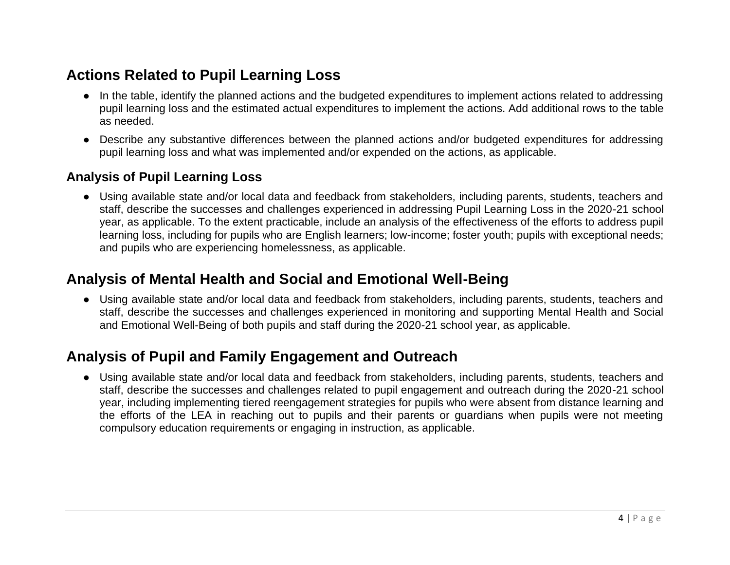## **Actions Related to Pupil Learning Loss**

- In the table, identify the planned actions and the budgeted expenditures to implement actions related to addressing pupil learning loss and the estimated actual expenditures to implement the actions. Add additional rows to the table as needed.
- Describe any substantive differences between the planned actions and/or budgeted expenditures for addressing pupil learning loss and what was implemented and/or expended on the actions, as applicable.

#### **Analysis of Pupil Learning Loss**

● Using available state and/or local data and feedback from stakeholders, including parents, students, teachers and staff, describe the successes and challenges experienced in addressing Pupil Learning Loss in the 2020-21 school year, as applicable. To the extent practicable, include an analysis of the effectiveness of the efforts to address pupil learning loss, including for pupils who are English learners; low-income; foster youth; pupils with exceptional needs; and pupils who are experiencing homelessness, as applicable.

### **Analysis of Mental Health and Social and Emotional Well-Being**

● Using available state and/or local data and feedback from stakeholders, including parents, students, teachers and staff, describe the successes and challenges experienced in monitoring and supporting Mental Health and Social and Emotional Well-Being of both pupils and staff during the 2020-21 school year, as applicable.

### **Analysis of Pupil and Family Engagement and Outreach**

● Using available state and/or local data and feedback from stakeholders, including parents, students, teachers and staff, describe the successes and challenges related to pupil engagement and outreach during the 2020-21 school year, including implementing tiered reengagement strategies for pupils who were absent from distance learning and the efforts of the LEA in reaching out to pupils and their parents or guardians when pupils were not meeting compulsory education requirements or engaging in instruction, as applicable.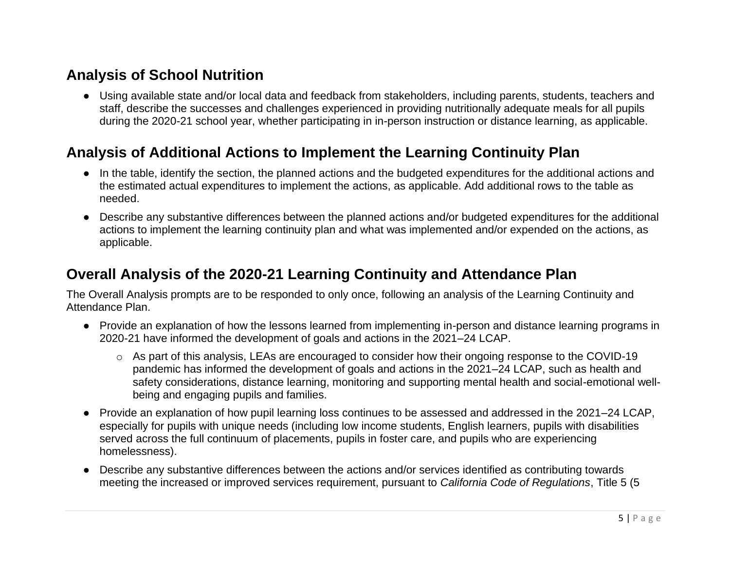## **Analysis of School Nutrition**

● Using available state and/or local data and feedback from stakeholders, including parents, students, teachers and staff, describe the successes and challenges experienced in providing nutritionally adequate meals for all pupils during the 2020-21 school year, whether participating in in-person instruction or distance learning, as applicable.

## **Analysis of Additional Actions to Implement the Learning Continuity Plan**

- In the table, identify the section, the planned actions and the budgeted expenditures for the additional actions and the estimated actual expenditures to implement the actions, as applicable. Add additional rows to the table as needed.
- Describe any substantive differences between the planned actions and/or budgeted expenditures for the additional actions to implement the learning continuity plan and what was implemented and/or expended on the actions, as applicable.

### **Overall Analysis of the 2020-21 Learning Continuity and Attendance Plan**

The Overall Analysis prompts are to be responded to only once, following an analysis of the Learning Continuity and Attendance Plan.

- Provide an explanation of how the lessons learned from implementing in-person and distance learning programs in 2020-21 have informed the development of goals and actions in the 2021–24 LCAP.
	- o As part of this analysis, LEAs are encouraged to consider how their ongoing response to the COVID-19 pandemic has informed the development of goals and actions in the 2021–24 LCAP, such as health and safety considerations, distance learning, monitoring and supporting mental health and social-emotional wellbeing and engaging pupils and families.
- Provide an explanation of how pupil learning loss continues to be assessed and addressed in the 2021–24 LCAP, especially for pupils with unique needs (including low income students, English learners, pupils with disabilities served across the full continuum of placements, pupils in foster care, and pupils who are experiencing homelessness).
- Describe any substantive differences between the actions and/or services identified as contributing towards meeting the increased or improved services requirement, pursuant to *California Code of Regulations*, Title 5 (5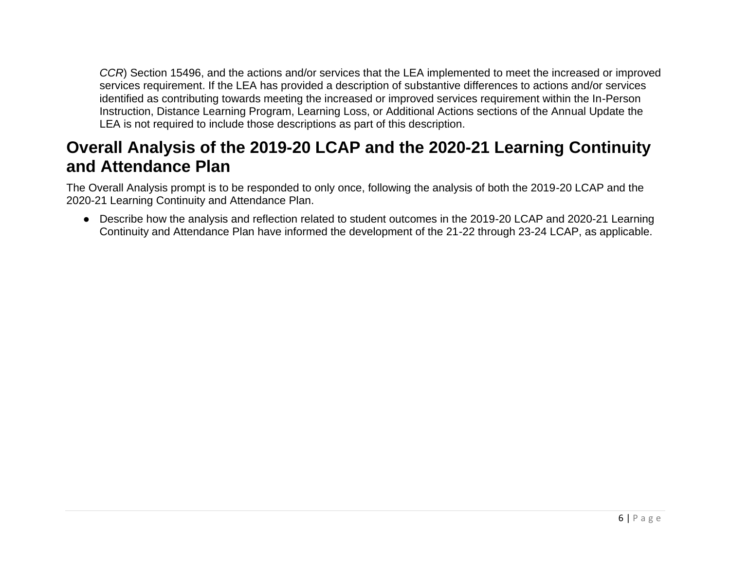*CCR*) Section 15496, and the actions and/or services that the LEA implemented to meet the increased or improved services requirement. If the LEA has provided a description of substantive differences to actions and/or services identified as contributing towards meeting the increased or improved services requirement within the In-Person Instruction, Distance Learning Program, Learning Loss, or Additional Actions sections of the Annual Update the LEA is not required to include those descriptions as part of this description.

## **Overall Analysis of the 2019-20 LCAP and the 2020-21 Learning Continuity and Attendance Plan**

The Overall Analysis prompt is to be responded to only once, following the analysis of both the 2019-20 LCAP and the 2020-21 Learning Continuity and Attendance Plan.

● Describe how the analysis and reflection related to student outcomes in the 2019-20 LCAP and 2020-21 Learning Continuity and Attendance Plan have informed the development of the 21-22 through 23-24 LCAP, as applicable.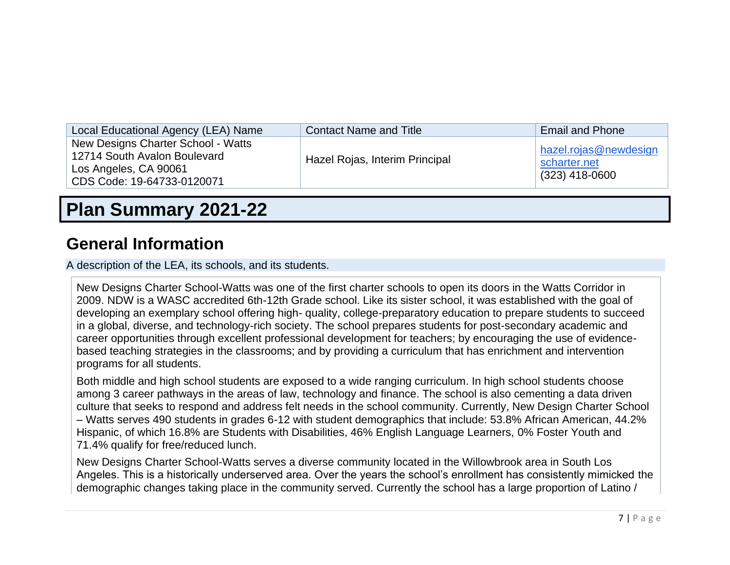| Local Educational Agency (LEA) Name                                                                                       | <b>Contact Name and Title</b>  | <b>Email and Phone</b>                                    |
|---------------------------------------------------------------------------------------------------------------------------|--------------------------------|-----------------------------------------------------------|
| New Designs Charter School - Watts<br>12714 South Avalon Boulevard<br>Los Angeles, CA 90061<br>CDS Code: 19-64733-0120071 | Hazel Rojas, Interim Principal | hazel.rojas@newdesign<br>scharter.net<br>$(323)$ 418-0600 |

# **Plan Summary 2021-22**

## **General Information**

A description of the LEA, its schools, and its students.

New Designs Charter School-Watts was one of the first charter schools to open its doors in the Watts Corridor in 2009. NDW is a WASC accredited 6th-12th Grade school. Like its sister school, it was established with the goal of developing an exemplary school offering high- quality, college-preparatory education to prepare students to succeed in a global, diverse, and technology-rich society. The school prepares students for post-secondary academic and career opportunities through excellent professional development for teachers; by encouraging the use of evidencebased teaching strategies in the classrooms; and by providing a curriculum that has enrichment and intervention programs for all students.

Both middle and high school students are exposed to a wide ranging curriculum. In high school students choose among 3 career pathways in the areas of law, technology and finance. The school is also cementing a data driven culture that seeks to respond and address felt needs in the school community. Currently, New Design Charter School – Watts serves 490 students in grades 6-12 with student demographics that include: 53.8% African American, 44.2% Hispanic, of which 16.8% are Students with Disabilities, 46% English Language Learners, 0% Foster Youth and 71.4% qualify for free/reduced lunch.

New Designs Charter School-Watts serves a diverse community located in the Willowbrook area in South Los Angeles. This is a historically underserved area. Over the years the school's enrollment has consistently mimicked the demographic changes taking place in the community served. Currently the school has a large proportion of Latino /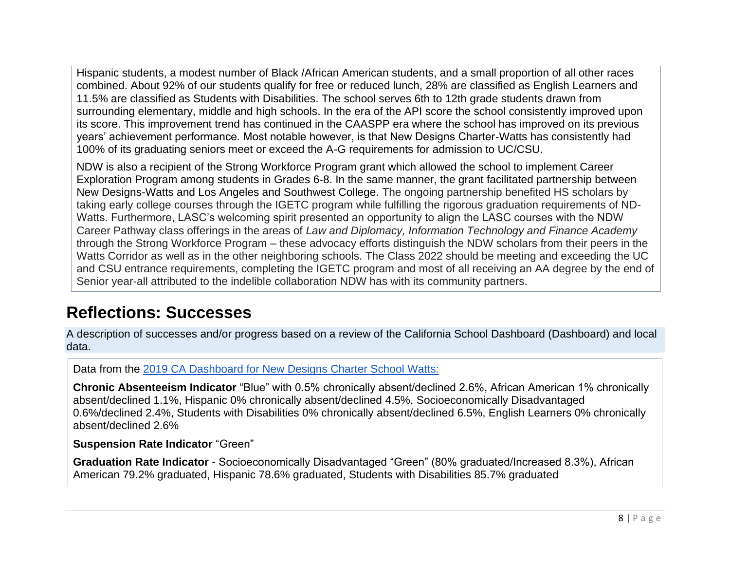Hispanic students, a modest number of Black /African American students, and a small proportion of all other races combined. About 92% of our students qualify for free or reduced lunch, 28% are classified as English Learners and 11.5% are classified as Students with Disabilities. The school serves 6th to 12th grade students drawn from surrounding elementary, middle and high schools. In the era of the API score the school consistently improved upon its score. This improvement trend has continued in the CAASPP era where the school has improved on its previous years' achievement performance. Most notable however, is that New Designs Charter-Watts has consistently had 100% of its graduating seniors meet or exceed the A-G requirements for admission to UC/CSU.

NDW is also a recipient of the Strong Workforce Program grant which allowed the school to implement Career Exploration Program among students in Grades 6-8. In the same manner, the grant facilitated partnership between New Designs-Watts and Los Angeles and Southwest College. The ongoing partnership benefited HS scholars by taking early college courses through the IGETC program while fulfilling the rigorous graduation requirements of ND-Watts. Furthermore, LASC's welcoming spirit presented an opportunity to align the LASC courses with the NDW Career Pathway class offerings in the areas of *Law and Diplomacy, Information Technology and Finance Academy* through the Strong Workforce Program – these advocacy efforts distinguish the NDW scholars from their peers in the Watts Corridor as well as in the other neighboring schools. The Class 2022 should be meeting and exceeding the UC and CSU entrance requirements, completing the IGETC program and most of all receiving an AA degree by the end of Senior year-all attributed to the indelible collaboration NDW has with its community partners.

## **Reflections: Successes**

A description of successes and/or progress based on a review of the California School Dashboard (Dashboard) and local data.

Data from the [2019 CA Dashboard for New Designs Charter School](https://www.caschooldashboard.org/reports/19647330120071/2019#college-career-card) Watts:

**Chronic Absenteeism Indicator** "Blue" with 0.5% chronically absent/declined 2.6%, African American 1% chronically absent/declined 1.1%, Hispanic 0% chronically absent/declined 4.5%, Socioeconomically Disadvantaged 0.6%/declined 2.4%, Students with Disabilities 0% chronically absent/declined 6.5%, English Learners 0% chronically absent/declined 2.6%

#### **Suspension Rate Indicator** "Green"

**Graduation Rate Indicator** - Socioeconomically Disadvantaged "Green" (80% graduated/Increased 8.3%), African American 79.2% graduated, Hispanic 78.6% graduated, Students with Disabilities 85.7% graduated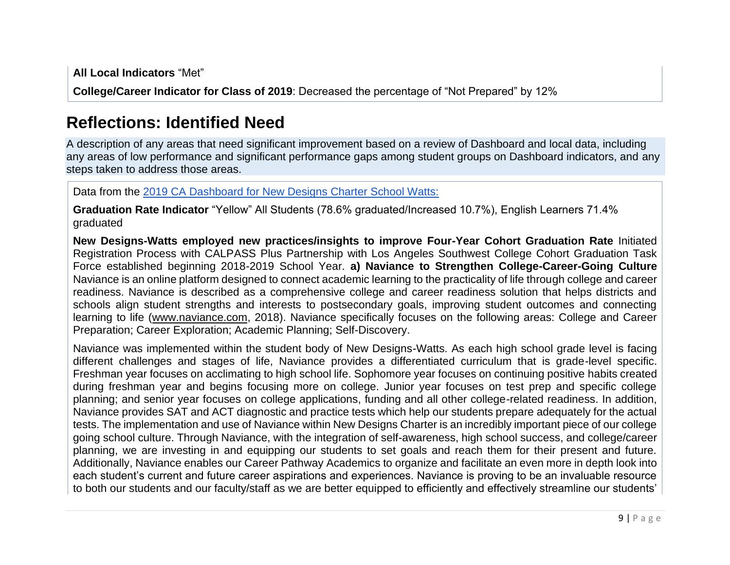**All Local Indicators** "Met" **College/Career Indicator for Class of 2019**: Decreased the percentage of "Not Prepared" by 12%

## **Reflections: Identified Need**

A description of any areas that need significant improvement based on a review of Dashboard and local data, including any areas of low performance and significant performance gaps among student groups on Dashboard indicators, and any steps taken to address those areas.

Data from the [2019 CA Dashboard for New Designs Charter School Watts:](https://www.caschooldashboard.org/reports/19647330120071/2019#college-career-card)

**Graduation Rate Indicator** "Yellow" All Students (78.6% graduated/Increased 10.7%), English Learners 71.4% graduated

**New Designs-Watts employed new practices/insights to improve Four-Year Cohort Graduation Rate** Initiated Registration Process with CALPASS Plus Partnership with Los Angeles Southwest College Cohort Graduation Task Force established beginning 2018-2019 School Year. **a) Naviance to Strengthen College-Career-Going Culture**  Naviance is an online platform designed to connect academic learning to the practicality of life through college and career readiness. Naviance is described as a comprehensive college and career readiness solution that helps districts and schools align student strengths and interests to postsecondary goals, improving student outcomes and connecting learning to life (www.naviance.com, 2018). Naviance specifically focuses on the following areas: College and Career Preparation; Career Exploration; Academic Planning; Self-Discovery.

Naviance was implemented within the student body of New Designs-Watts. As each high school grade level is facing different challenges and stages of life, Naviance provides a differentiated curriculum that is grade-level specific. Freshman year focuses on acclimating to high school life. Sophomore year focuses on continuing positive habits created during freshman year and begins focusing more on college. Junior year focuses on test prep and specific college planning; and senior year focuses on college applications, funding and all other college-related readiness. In addition, Naviance provides SAT and ACT diagnostic and practice tests which help our students prepare adequately for the actual tests. The implementation and use of Naviance within New Designs Charter is an incredibly important piece of our college going school culture. Through Naviance, with the integration of self-awareness, high school success, and college/career planning, we are investing in and equipping our students to set goals and reach them for their present and future. Additionally, Naviance enables our Career Pathway Academics to organize and facilitate an even more in depth look into each student's current and future career aspirations and experiences. Naviance is proving to be an invaluable resource to both our students and our faculty/staff as we are better equipped to efficiently and effectively streamline our students'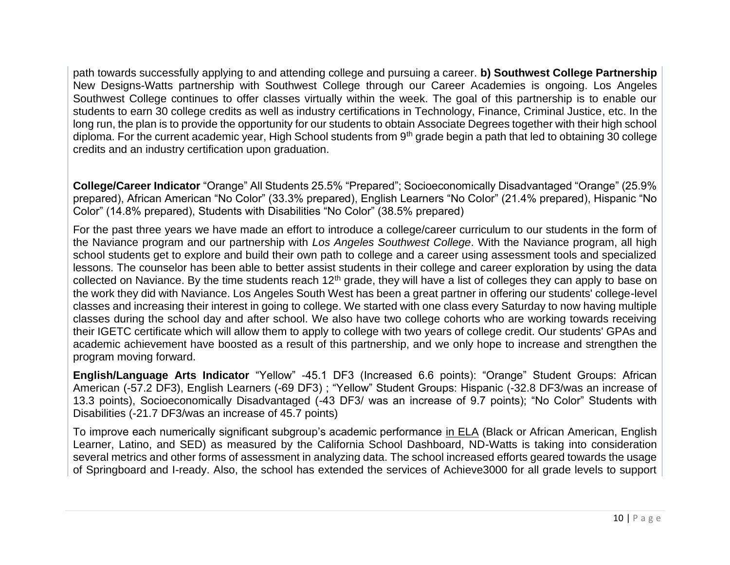path towards successfully applying to and attending college and pursuing a career. **b) Southwest College Partnership**  New Designs-Watts partnership with Southwest College through our Career Academies is ongoing. Los Angeles Southwest College continues to offer classes virtually within the week. The goal of this partnership is to enable our students to earn 30 college credits as well as industry certifications in Technology, Finance, Criminal Justice, etc. In the long run, the plan is to provide the opportunity for our students to obtain Associate Degrees together with their high school diploma. For the current academic year, High School students from 9<sup>th</sup> grade begin a path that led to obtaining 30 college credits and an industry certification upon graduation.

**College/Career Indicator** "Orange" All Students 25.5% "Prepared"; Socioeconomically Disadvantaged "Orange" (25.9% prepared), African American "No Color" (33.3% prepared), English Learners "No Color" (21.4% prepared), Hispanic "No Color" (14.8% prepared), Students with Disabilities "No Color" (38.5% prepared)

For the past three years we have made an effort to introduce a college/career curriculum to our students in the form of the Naviance program and our partnership with *Los Angeles Southwest College*. With the Naviance program, all high school students get to explore and build their own path to college and a career using assessment tools and specialized lessons. The counselor has been able to better assist students in their college and career exploration by using the data collected on Naviance. By the time students reach 12<sup>th</sup> grade, they will have a list of colleges they can apply to base on the work they did with Naviance. Los Angeles South West has been a great partner in offering our students' college-level classes and increasing their interest in going to college. We started with one class every Saturday to now having multiple classes during the school day and after school. We also have two college cohorts who are working towards receiving their IGETC certificate which will allow them to apply to college with two years of college credit. Our students' GPAs and academic achievement have boosted as a result of this partnership, and we only hope to increase and strengthen the program moving forward.

**English/Language Arts Indicator** "Yellow" -45.1 DF3 (Increased 6.6 points): "Orange" Student Groups: African American (-57.2 DF3), English Learners (-69 DF3) ; "Yellow" Student Groups: Hispanic (-32.8 DF3/was an increase of 13.3 points), Socioeconomically Disadvantaged (-43 DF3/ was an increase of 9.7 points); "No Color" Students with Disabilities (-21.7 DF3/was an increase of 45.7 points)

To improve each numerically significant subgroup's academic performance in ELA (Black or African American, English Learner, Latino, and SED) as measured by the California School Dashboard, ND-Watts is taking into consideration several metrics and other forms of assessment in analyzing data. The school increased efforts geared towards the usage of Springboard and I-ready. Also, the school has extended the services of Achieve3000 for all grade levels to support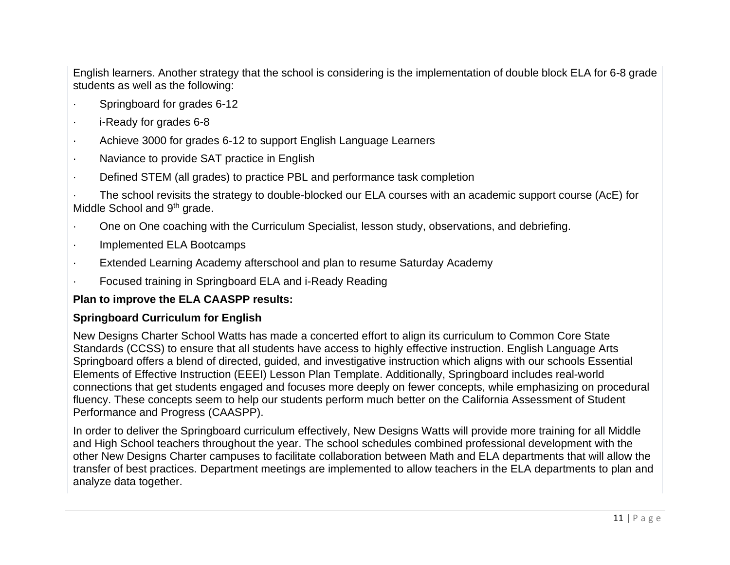English learners. Another strategy that the school is considering is the implementation of double block ELA for 6-8 grade students as well as the following:

- Springboard for grades 6-12
- · i-Ready for grades 6-8
- · Achieve 3000 for grades 6-12 to support English Language Learners
- · Naviance to provide SAT practice in English
- · Defined STEM (all grades) to practice PBL and performance task completion

The school revisits the strategy to double-blocked our ELA courses with an academic support course (AcE) for Middle School and 9<sup>th</sup> grade.

- · One on One coaching with the Curriculum Specialist, lesson study, observations, and debriefing.
- · Implemented ELA Bootcamps
- Extended Learning Academy afterschool and plan to resume Saturday Academy
- · Focused training in Springboard ELA and i-Ready Reading

#### **Plan to improve the ELA CAASPP results:**

#### **Springboard Curriculum for English**

New Designs Charter School Watts has made a concerted effort to align its curriculum to Common Core State Standards (CCSS) to ensure that all students have access to highly effective instruction. English Language Arts Springboard offers a blend of directed, guided, and investigative instruction which aligns with our schools Essential Elements of Effective Instruction (EEEI) Lesson Plan Template. Additionally, Springboard includes real-world connections that get students engaged and focuses more deeply on fewer concepts, while emphasizing on procedural fluency. These concepts seem to help our students perform much better on the California Assessment of Student Performance and Progress (CAASPP).

In order to deliver the Springboard curriculum effectively, New Designs Watts will provide more training for all Middle and High School teachers throughout the year. The school schedules combined professional development with the other New Designs Charter campuses to facilitate collaboration between Math and ELA departments that will allow the transfer of best practices. Department meetings are implemented to allow teachers in the ELA departments to plan and analyze data together.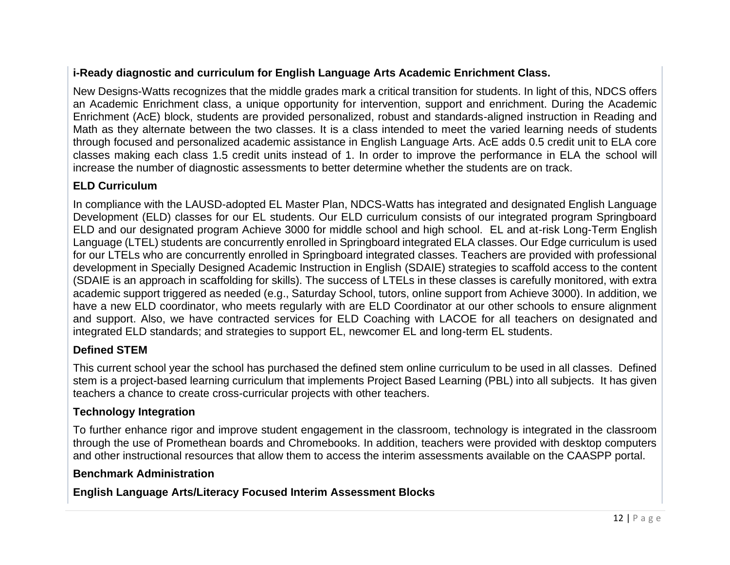#### **i-Ready diagnostic and curriculum for English Language Arts Academic Enrichment Class.**

New Designs-Watts recognizes that the middle grades mark a critical transition for students. In light of this, NDCS offers an Academic Enrichment class, a unique opportunity for intervention, support and enrichment. During the Academic Enrichment (AcE) block, students are provided personalized, robust and standards-aligned instruction in Reading and Math as they alternate between the two classes. It is a class intended to meet the varied learning needs of students through focused and personalized academic assistance in English Language Arts. AcE adds 0.5 credit unit to ELA core classes making each class 1.5 credit units instead of 1. In order to improve the performance in ELA the school will increase the number of diagnostic assessments to better determine whether the students are on track.

#### **ELD Curriculum**

In compliance with the LAUSD-adopted EL Master Plan, NDCS-Watts has integrated and designated English Language Development (ELD) classes for our EL students. Our ELD curriculum consists of our integrated program Springboard ELD and our designated program Achieve 3000 for middle school and high school. EL and at-risk Long-Term English Language (LTEL) students are concurrently enrolled in Springboard integrated ELA classes. Our Edge curriculum is used for our LTELs who are concurrently enrolled in Springboard integrated classes. Teachers are provided with professional development in Specially Designed Academic Instruction in English (SDAIE) strategies to scaffold access to the content (SDAIE is an approach in scaffolding for skills). The success of LTELs in these classes is carefully monitored, with extra academic support triggered as needed (e.g., Saturday School, tutors, online support from Achieve 3000). In addition, we have a new ELD coordinator, who meets regularly with are ELD Coordinator at our other schools to ensure alignment and support. Also, we have contracted services for ELD Coaching with LACOE for all teachers on designated and integrated ELD standards; and strategies to support EL, newcomer EL and long-term EL students.

#### **Defined STEM**

This current school year the school has purchased the defined stem online curriculum to be used in all classes. Defined stem is a project-based learning curriculum that implements Project Based Learning (PBL) into all subjects. It has given teachers a chance to create cross-curricular projects with other teachers.

#### **Technology Integration**

To further enhance rigor and improve student engagement in the classroom, technology is integrated in the classroom through the use of Promethean boards and Chromebooks. In addition, teachers were provided with desktop computers and other instructional resources that allow them to access the interim assessments available on the CAASPP portal.

#### **Benchmark Administration**

**English Language Arts/Literacy Focused Interim Assessment Blocks**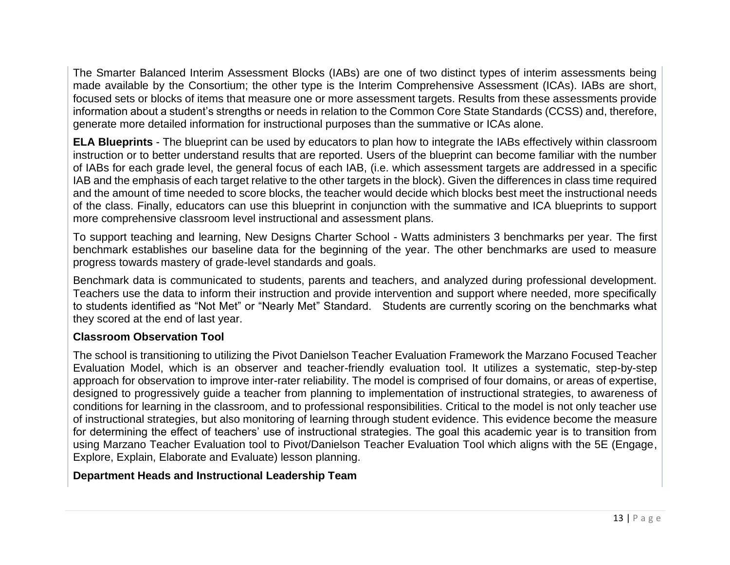The Smarter Balanced Interim Assessment Blocks (IABs) are one of two distinct types of interim assessments being made available by the Consortium; the other type is the Interim Comprehensive Assessment (ICAs). IABs are short, focused sets or blocks of items that measure one or more assessment targets. Results from these assessments provide information about a student's strengths or needs in relation to the Common Core State Standards (CCSS) and, therefore, generate more detailed information for instructional purposes than the summative or ICAs alone.

**ELA Blueprints** - The blueprint can be used by educators to plan how to integrate the IABs effectively within classroom instruction or to better understand results that are reported. Users of the blueprint can become familiar with the number of IABs for each grade level, the general focus of each IAB, (i.e. which assessment targets are addressed in a specific IAB and the emphasis of each target relative to the other targets in the block). Given the differences in class time required and the amount of time needed to score blocks, the teacher would decide which blocks best meet the instructional needs of the class. Finally, educators can use this blueprint in conjunction with the summative and ICA blueprints to support more comprehensive classroom level instructional and assessment plans.

To support teaching and learning, New Designs Charter School - Watts administers 3 benchmarks per year. The first benchmark establishes our baseline data for the beginning of the year. The other benchmarks are used to measure progress towards mastery of grade-level standards and goals.

Benchmark data is communicated to students, parents and teachers, and analyzed during professional development. Teachers use the data to inform their instruction and provide intervention and support where needed, more specifically to students identified as "Not Met" or "Nearly Met" Standard. Students are currently scoring on the benchmarks what they scored at the end of last year.

#### **Classroom Observation Tool**

The school is transitioning to utilizing the Pivot Danielson Teacher Evaluation Framework the Marzano Focused Teacher Evaluation Model, which is an observer and teacher-friendly evaluation tool. It utilizes a systematic, step-by-step approach for observation to improve inter-rater reliability. The model is comprised of four domains, or areas of expertise, designed to progressively guide a teacher from planning to implementation of instructional strategies, to awareness of conditions for learning in the classroom, and to professional responsibilities. Critical to the model is not only teacher use of instructional strategies, but also monitoring of learning through student evidence. This evidence become the measure for determining the effect of teachers' use of instructional strategies. The goal this academic year is to transition from using Marzano Teacher Evaluation tool to Pivot/Danielson Teacher Evaluation Tool which aligns with the 5E (Engage, Explore, Explain, Elaborate and Evaluate) lesson planning.

#### **Department Heads and Instructional Leadership Team**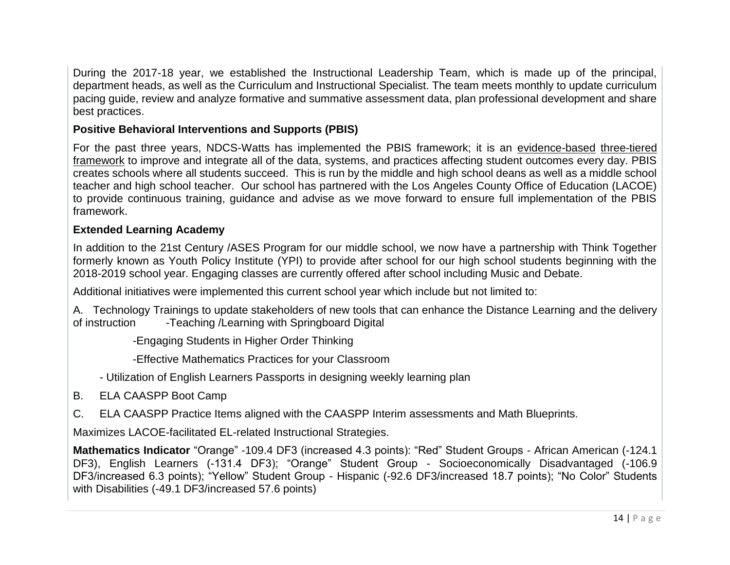During the 2017-18 year, we established the Instructional Leadership Team, which is made up of the principal, department heads, as well as the Curriculum and Instructional Specialist. The team meets monthly to update curriculum pacing guide, review and analyze formative and summative assessment data, plan professional development and share best practices.

#### **Positive Behavioral Interventions and Supports (PBIS)**

For the past three years, NDCS-Watts has implemented the PBIS framework; it is an [evidence-based](https://www.pbis.org/resource/examining-the-evidence-base-for-school-wide-positive-behavior-support) [three-tiered](https://www.pbis.org/pbis/tiered-framework)  [framework](https://www.pbis.org/pbis/tiered-framework) to improve and integrate all of the data, systems, and practices affecting student outcomes every day. PBIS creates schools where all students succeed. This is run by the middle and high school deans as well as a middle school teacher and high school teacher. Our school has partnered with the Los Angeles County Office of Education (LACOE) to provide continuous training, guidance and advise as we move forward to ensure full implementation of the PBIS framework.

#### **Extended Learning Academy**

In addition to the 21st Century /ASES Program for our middle school, we now have a partnership with Think Together formerly known as Youth Policy Institute (YPI) to provide after school for our high school students beginning with the 2018-2019 school year. Engaging classes are currently offered after school including Music and Debate.

Additional initiatives were implemented this current school year which include but not limited to:

A. Technology Trainings to update stakeholders of new tools that can enhance the Distance Learning and the delivery of instruction -Teaching /Learning with Springboard Digital

-Engaging Students in Higher Order Thinking

-Effective Mathematics Practices for your Classroom

- Utilization of English Learners Passports in designing weekly learning plan
- B. ELA CAASPP Boot Camp
- C. ELA CAASPP Practice Items aligned with the CAASPP Interim assessments and Math Blueprints.

Maximizes LACOE-facilitated EL-related Instructional Strategies.

**Mathematics Indicator** "Orange" -109.4 DF3 (increased 4.3 points): "Red" Student Groups - African American (-124.1 DF3), English Learners (-131.4 DF3); "Orange" Student Group - Socioeconomically Disadvantaged (-106.9 DF3/increased 6.3 points); "Yellow" Student Group - Hispanic (-92.6 DF3/increased 18.7 points); "No Color" Students with Disabilities (-49.1 DF3/increased 57.6 points)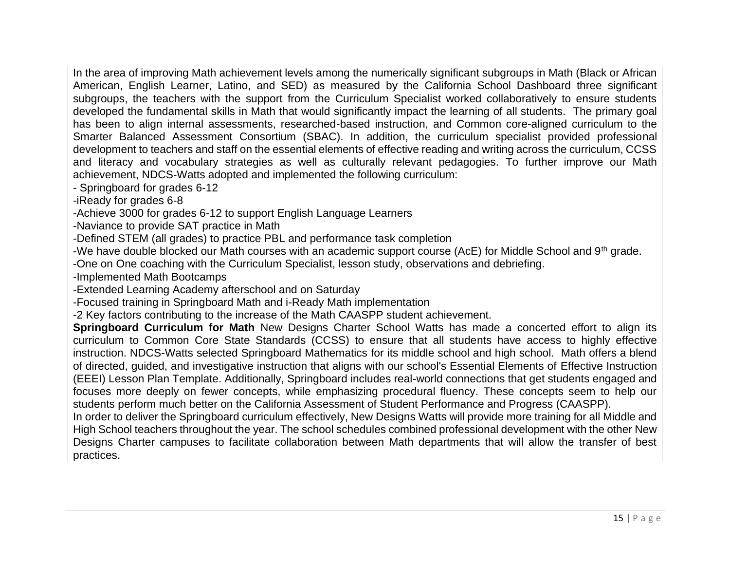In the area of improving Math achievement levels among the numerically significant subgroups in Math (Black or African American, English Learner, Latino, and SED) as measured by the California School Dashboard three significant subgroups, the teachers with the support from the Curriculum Specialist worked collaboratively to ensure students developed the fundamental skills in Math that would significantly impact the learning of all students. The primary goal has been to align internal assessments, researched-based instruction, and Common core-aligned curriculum to the Smarter Balanced Assessment Consortium (SBAC). In addition, the curriculum specialist provided professional development to teachers and staff on the essential elements of effective reading and writing across the curriculum, CCSS and literacy and vocabulary strategies as well as culturally relevant pedagogies. To further improve our Math achievement, NDCS-Watts adopted and implemented the following curriculum:

- Springboard for grades 6-12

-iReady for grades 6-8

-Achieve 3000 for grades 6-12 to support English Language Learners

-Naviance to provide SAT practice in Math

-Defined STEM (all grades) to practice PBL and performance task completion

-We have double blocked our Math courses with an academic support course (AcE) for Middle School and 9<sup>th</sup> grade.

-One on One coaching with the Curriculum Specialist, lesson study, observations and debriefing.

-Implemented Math Bootcamps

-Extended Learning Academy afterschool and on Saturday

-Focused training in Springboard Math and i-Ready Math implementation

-2 Key factors contributing to the increase of the Math CAASPP student achievement.

**Springboard Curriculum for Math** New Designs Charter School Watts has made a concerted effort to align its curriculum to Common Core State Standards (CCSS) to ensure that all students have access to highly effective instruction. NDCS-Watts selected Springboard Mathematics for its middle school and high school. Math offers a blend of directed, guided, and investigative instruction that aligns with our school's Essential Elements of Effective Instruction (EEEI) Lesson Plan Template. Additionally, Springboard includes real-world connections that get students engaged and focuses more deeply on fewer concepts, while emphasizing procedural fluency. These concepts seem to help our students perform much better on the California Assessment of Student Performance and Progress (CAASPP).

In order to deliver the Springboard curriculum effectively, New Designs Watts will provide more training for all Middle and High School teachers throughout the year. The school schedules combined professional development with the other New Designs Charter campuses to facilitate collaboration between Math departments that will allow the transfer of best practices.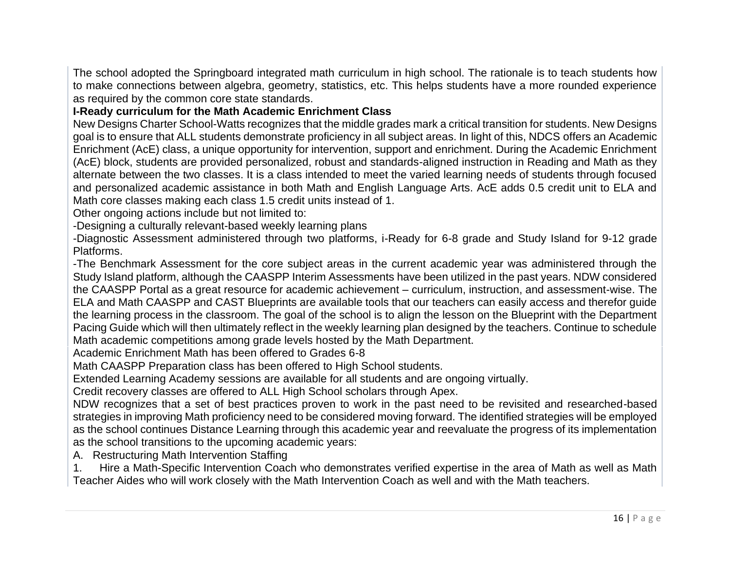The school adopted the Springboard integrated math curriculum in high school. The rationale is to teach students how to make connections between algebra, geometry, statistics, etc. This helps students have a more rounded experience as required by the common core state standards.

#### **I-Ready curriculum for the Math Academic Enrichment Class**

New Designs Charter School-Watts recognizes that the middle grades mark a critical transition for students. New Designs goal is to ensure that ALL students demonstrate proficiency in all subject areas. In light of this, NDCS offers an Academic Enrichment (AcE) class, a unique opportunity for intervention, support and enrichment. During the Academic Enrichment (AcE) block, students are provided personalized, robust and standards-aligned instruction in Reading and Math as they alternate between the two classes. It is a class intended to meet the varied learning needs of students through focused and personalized academic assistance in both Math and English Language Arts. AcE adds 0.5 credit unit to ELA and Math core classes making each class 1.5 credit units instead of 1.

Other ongoing actions include but not limited to:

-Designing a culturally relevant-based weekly learning plans

-Diagnostic Assessment administered through two platforms, i-Ready for 6-8 grade and Study Island for 9-12 grade Platforms.

-The Benchmark Assessment for the core subject areas in the current academic year was administered through the Study Island platform, although the CAASPP Interim Assessments have been utilized in the past years. NDW considered the CAASPP Portal as a great resource for academic achievement – curriculum, instruction, and assessment-wise. The ELA and Math CAASPP and CAST Blueprints are available tools that our teachers can easily access and therefor guide the learning process in the classroom. The goal of the school is to align the lesson on the Blueprint with the Department Pacing Guide which will then ultimately reflect in the weekly learning plan designed by the teachers. Continue to schedule Math academic competitions among grade levels hosted by the Math Department.

Academic Enrichment Math has been offered to Grades 6-8

Math CAASPP Preparation class has been offered to High School students.

Extended Learning Academy sessions are available for all students and are ongoing virtually.

Credit recovery classes are offered to ALL High School scholars through Apex.

NDW recognizes that a set of best practices proven to work in the past need to be revisited and researched-based strategies in improving Math proficiency need to be considered moving forward. The identified strategies will be employed as the school continues Distance Learning through this academic year and reevaluate the progress of its implementation as the school transitions to the upcoming academic years:

A. Restructuring Math Intervention Staffing

1. Hire a Math-Specific Intervention Coach who demonstrates verified expertise in the area of Math as well as Math Teacher Aides who will work closely with the Math Intervention Coach as well and with the Math teachers.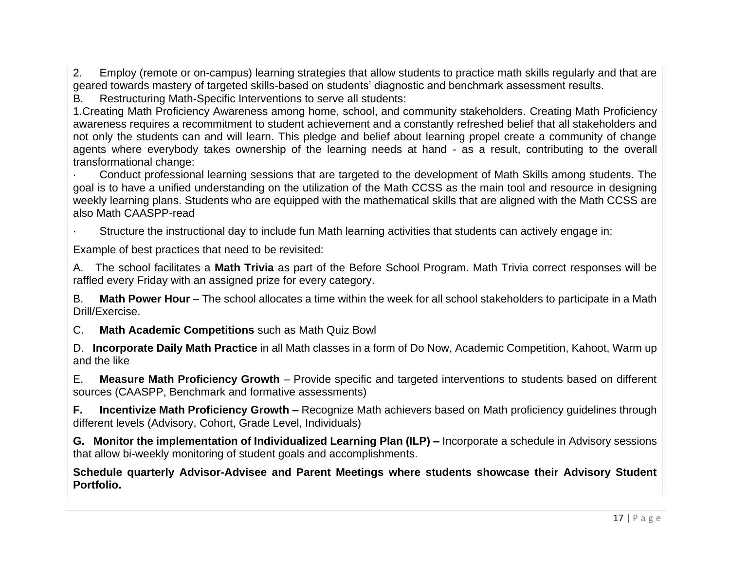2. Employ (remote or on-campus) learning strategies that allow students to practice math skills regularly and that are geared towards mastery of targeted skills-based on students' diagnostic and benchmark assessment results.

B. Restructuring Math-Specific Interventions to serve all students:

1.Creating Math Proficiency Awareness among home, school, and community stakeholders. Creating Math Proficiency awareness requires a recommitment to student achievement and a constantly refreshed belief that all stakeholders and not only the students can and will learn. This pledge and belief about learning propel create a community of change agents where everybody takes ownership of the learning needs at hand - as a result, contributing to the overall transformational change:

· Conduct professional learning sessions that are targeted to the development of Math Skills among students. The goal is to have a unified understanding on the utilization of the Math CCSS as the main tool and resource in designing weekly learning plans. Students who are equipped with the mathematical skills that are aligned with the Math CCSS are also Math CAASPP-read

Structure the instructional day to include fun Math learning activities that students can actively engage in:

Example of best practices that need to be revisited:

A. The school facilitates a **Math Trivia** as part of the Before School Program. Math Trivia correct responses will be raffled every Friday with an assigned prize for every category.

B. **Math Power Hour** – The school allocates a time within the week for all school stakeholders to participate in a Math Drill/Exercise.

C. **Math Academic Competitions** such as Math Quiz Bowl

D. **Incorporate Daily Math Practice** in all Math classes in a form of Do Now, Academic Competition, Kahoot, Warm up and the like

E. **Measure Math Proficiency Growth** – Provide specific and targeted interventions to students based on different sources (CAASPP, Benchmark and formative assessments)

**F. Incentivize Math Proficiency Growth –** Recognize Math achievers based on Math proficiency guidelines through different levels (Advisory, Cohort, Grade Level, Individuals)

**G. Monitor the implementation of Individualized Learning Plan (ILP) –** Incorporate a schedule in Advisory sessions that allow bi-weekly monitoring of student goals and accomplishments.

**Schedule quarterly Advisor-Advisee and Parent Meetings where students showcase their Advisory Student Portfolio.**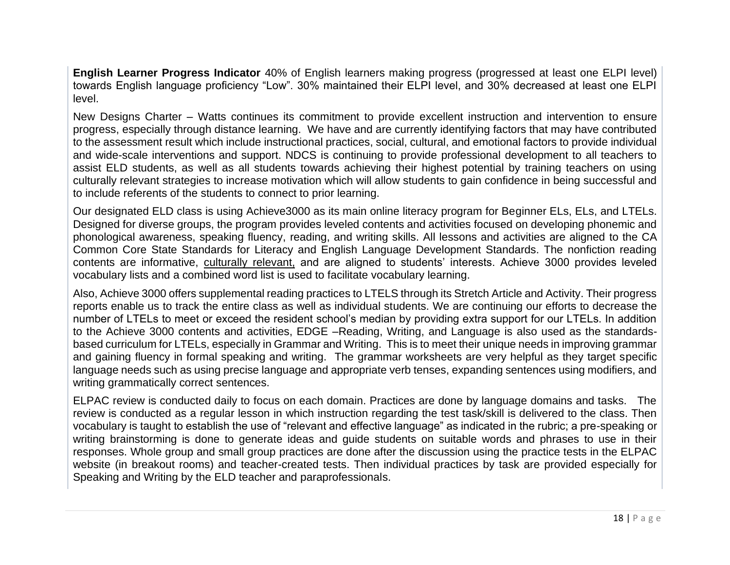**English Learner Progress Indicator** 40% of English learners making progress (progressed at least one ELPI level) towards English language proficiency "Low". 30% maintained their ELPI level, and 30% decreased at least one ELPI level.

New Designs Charter – Watts continues its commitment to provide excellent instruction and intervention to ensure progress, especially through distance learning. We have and are currently identifying factors that may have contributed to the assessment result which include instructional practices, social, cultural, and emotional factors to provide individual and wide-scale interventions and support. NDCS is continuing to provide professional development to all teachers to assist ELD students, as well as all students towards achieving their highest potential by training teachers on using culturally relevant strategies to increase motivation which will allow students to gain confidence in being successful and to include referents of the students to connect to prior learning.

Our designated ELD class is using Achieve3000 as its main online literacy program for Beginner ELs, ELs, and LTELs. Designed for diverse groups, the program provides leveled contents and activities focused on developing phonemic and phonological awareness, speaking fluency, reading, and writing skills. All lessons and activities are aligned to the CA Common Core State Standards for Literacy and English Language Development Standards. The nonfiction reading contents are informative, culturally relevant, and are aligned to students' interests. Achieve 3000 provides leveled vocabulary lists and a combined word list is used to facilitate vocabulary learning.

Also, Achieve 3000 offers supplemental reading practices to LTELS through its Stretch Article and Activity. Their progress reports enable us to track the entire class as well as individual students. We are continuing our efforts to decrease the number of LTELs to meet or exceed the resident school's median by providing extra support for our LTELs. In addition to the Achieve 3000 contents and activities, EDGE –Reading, Writing, and Language is also used as the standardsbased curriculum for LTELs, especially in Grammar and Writing. This is to meet their unique needs in improving grammar and gaining fluency in formal speaking and writing. The grammar worksheets are very helpful as they target specific language needs such as using precise language and appropriate verb tenses, expanding sentences using modifiers, and writing grammatically correct sentences.

ELPAC review is conducted daily to focus on each domain. Practices are done by language domains and tasks. The review is conducted as a regular lesson in which instruction regarding the test task/skill is delivered to the class. Then vocabulary is taught to establish the use of "relevant and effective language" as indicated in the rubric; a pre-speaking or writing brainstorming is done to generate ideas and guide students on suitable words and phrases to use in their responses. Whole group and small group practices are done after the discussion using the practice tests in the ELPAC website (in breakout rooms) and teacher-created tests. Then individual practices by task are provided especially for Speaking and Writing by the ELD teacher and paraprofessionals.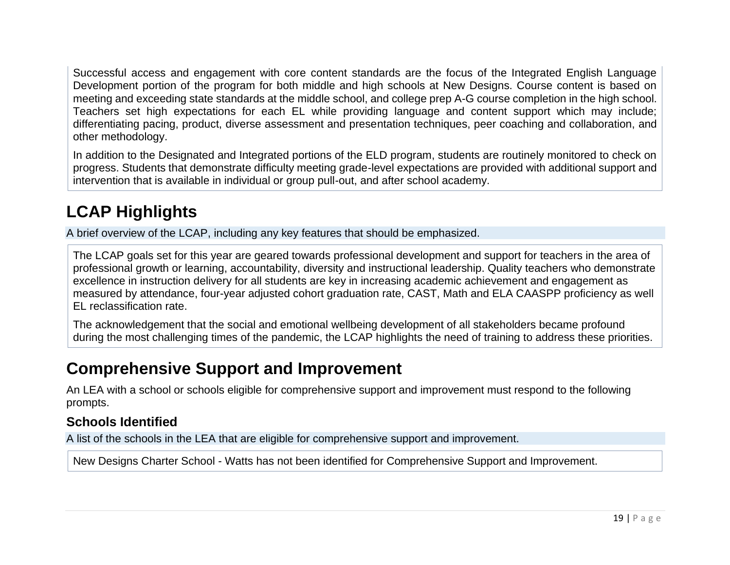Successful access and engagement with core content standards are the focus of the Integrated English Language Development portion of the program for both middle and high schools at New Designs. Course content is based on meeting and exceeding state standards at the middle school, and college prep A-G course completion in the high school. Teachers set high expectations for each EL while providing language and content support which may include; differentiating pacing, product, diverse assessment and presentation techniques, peer coaching and collaboration, and other methodology.

In addition to the Designated and Integrated portions of the ELD program, students are routinely monitored to check on progress. Students that demonstrate difficulty meeting grade-level expectations are provided with additional support and intervention that is available in individual or group pull-out, and after school academy.

# **LCAP Highlights**

A brief overview of the LCAP, including any key features that should be emphasized.

The LCAP goals set for this year are geared towards professional development and support for teachers in the area of professional growth or learning, accountability, diversity and instructional leadership. Quality teachers who demonstrate excellence in instruction delivery for all students are key in increasing academic achievement and engagement as measured by attendance, four-year adjusted cohort graduation rate, CAST, Math and ELA CAASPP proficiency as well EL reclassification rate.

The acknowledgement that the social and emotional wellbeing development of all stakeholders became profound during the most challenging times of the pandemic, the LCAP highlights the need of training to address these priorities.

## **Comprehensive Support and Improvement**

An LEA with a school or schools eligible for comprehensive support and improvement must respond to the following prompts.

#### **Schools Identified**

A list of the schools in the LEA that are eligible for comprehensive support and improvement.

New Designs Charter School - Watts has not been identified for Comprehensive Support and Improvement.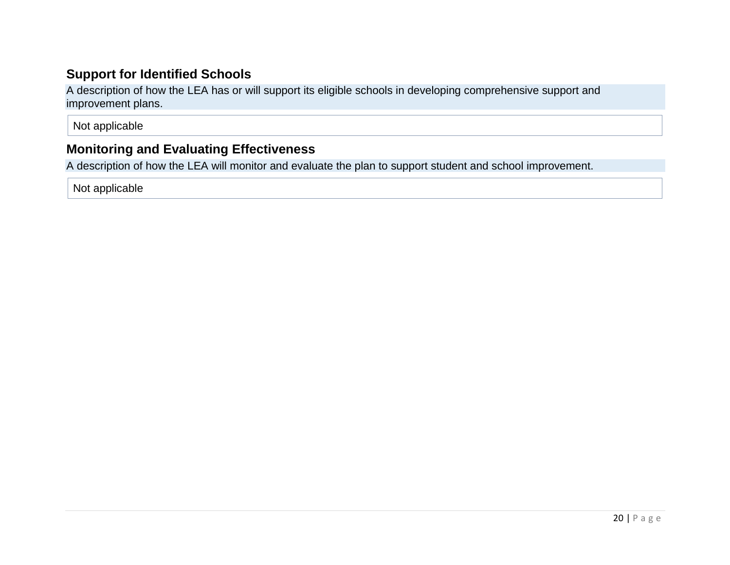### **Support for Identified Schools**

A description of how the LEA has or will support its eligible schools in developing comprehensive support and improvement plans.

Not applicable

### **Monitoring and Evaluating Effectiveness**

A description of how the LEA will monitor and evaluate the plan to support student and school improvement.

Not applicable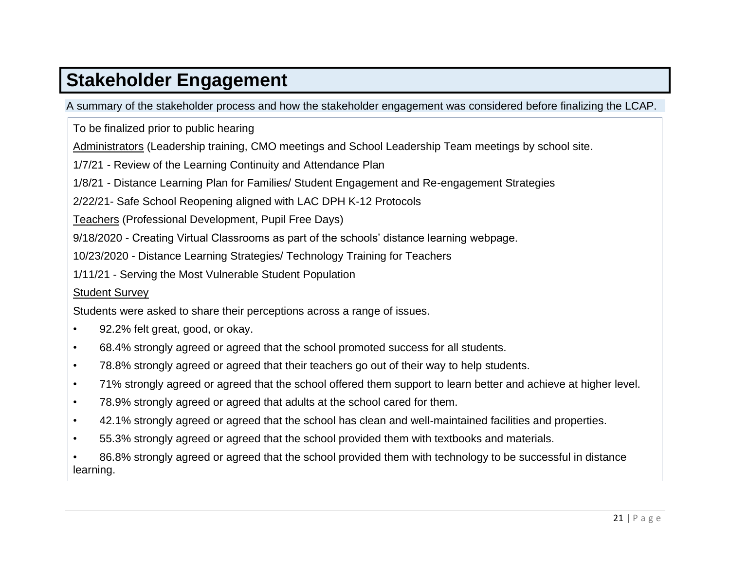# **[Stakeholder Engagement](#page-34-0)**

A summary of the stakeholder process and how the stakeholder engagement was considered before finalizing the LCAP.

To be finalized prior to public hearing

Administrators (Leadership training, CMO meetings and School Leadership Team meetings by school site.

1/7/21 - Review of the Learning Continuity and Attendance Plan

1/8/21 - Distance Learning Plan for Families/ Student Engagement and Re-engagement Strategies

2/22/21- Safe School Reopening aligned with LAC DPH K-12 Protocols

Teachers (Professional Development, Pupil Free Days)

9/18/2020 - Creating Virtual Classrooms as part of the schools' distance learning webpage.

10/23/2020 - Distance Learning Strategies/ Technology Training for Teachers

1/11/21 - Serving the Most Vulnerable Student Population

#### Student Survey

Students were asked to share their perceptions across a range of issues.

- 92.2% felt great, good, or okay.
- 68.4% strongly agreed or agreed that the school promoted success for all students.
- 78.8% strongly agreed or agreed that their teachers go out of their way to help students.
- 71% strongly agreed or agreed that the school offered them support to learn better and achieve at higher level.
- 78.9% strongly agreed or agreed that adults at the school cared for them.
- 42.1% strongly agreed or agreed that the school has clean and well-maintained facilities and properties.
- 55.3% strongly agreed or agreed that the school provided them with textbooks and materials.

• 86.8% strongly agreed or agreed that the school provided them with technology to be successful in distance learning.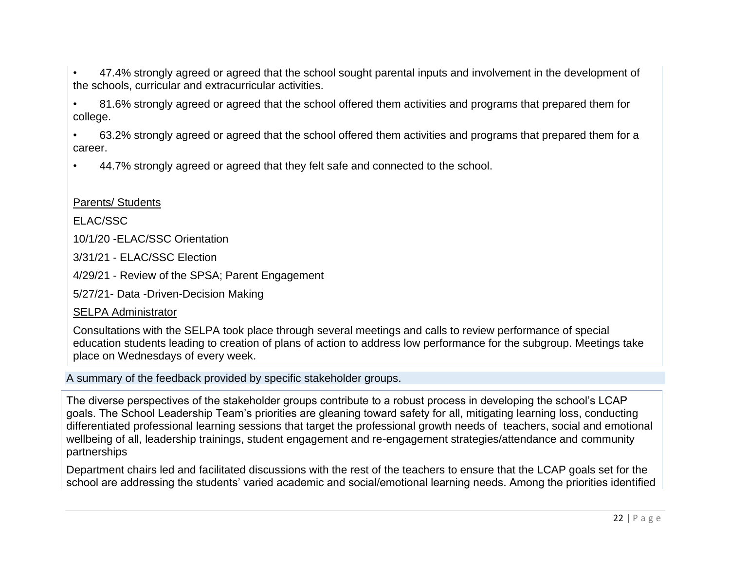• 47.4% strongly agreed or agreed that the school sought parental inputs and involvement in the development of the schools, curricular and extracurricular activities.

• 81.6% strongly agreed or agreed that the school offered them activities and programs that prepared them for college.

• 63.2% strongly agreed or agreed that the school offered them activities and programs that prepared them for a career.

• 44.7% strongly agreed or agreed that they felt safe and connected to the school.

#### Parents/ Students

ELAC/SSC

10/1/20 -ELAC/SSC Orientation

3/31/21 - ELAC/SSC Election

4/29/21 - Review of the SPSA; Parent Engagement

5/27/21- Data -Driven-Decision Making

#### SELPA Administrator

Consultations with the SELPA took place through several meetings and calls to review performance of special education students leading to creation of plans of action to address low performance for the subgroup. Meetings take place on Wednesdays of every week.

A summary of the feedback provided by specific stakeholder groups.

The diverse perspectives of the stakeholder groups contribute to a robust process in developing the school's LCAP goals. The School Leadership Team's priorities are gleaning toward safety for all, mitigating learning loss, conducting differentiated professional learning sessions that target the professional growth needs of teachers, social and emotional wellbeing of all, leadership trainings, student engagement and re-engagement strategies/attendance and community partnerships

Department chairs led and facilitated discussions with the rest of the teachers to ensure that the LCAP goals set for the school are addressing the students' varied academic and social/emotional learning needs. Among the priorities identified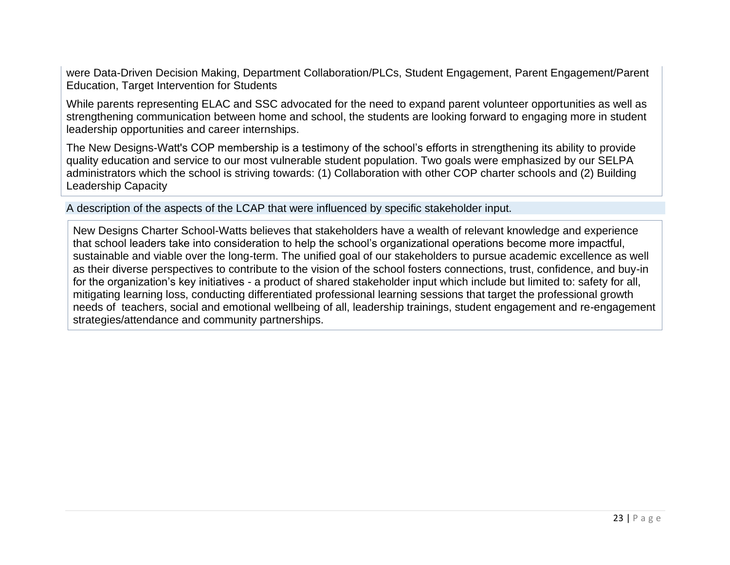were Data-Driven Decision Making, Department Collaboration/PLCs, Student Engagement, Parent Engagement/Parent Education, Target Intervention for Students

While parents representing ELAC and SSC advocated for the need to expand parent volunteer opportunities as well as strengthening communication between home and school, the students are looking forward to engaging more in student leadership opportunities and career internships.

The New Designs-Watt's COP membership is a testimony of the school's efforts in strengthening its ability to provide quality education and service to our most vulnerable student population. Two goals were emphasized by our SELPA administrators which the school is striving towards: (1) Collaboration with other COP charter schools and (2) Building Leadership Capacity

A description of the aspects of the LCAP that were influenced by specific stakeholder input.

New Designs Charter School-Watts believes that stakeholders have a wealth of relevant knowledge and experience that school leaders take into consideration to help the school's organizational operations become more impactful, sustainable and viable over the long-term. The unified goal of our stakeholders to pursue academic excellence as well as their diverse perspectives to contribute to the vision of the school fosters connections, trust, confidence, and buy-in for the organization's key initiatives - a product of shared stakeholder input which include but limited to: safety for all, mitigating learning loss, conducting differentiated professional learning sessions that target the professional growth needs of teachers, social and emotional wellbeing of all, leadership trainings, student engagement and re-engagement strategies/attendance and community partnerships.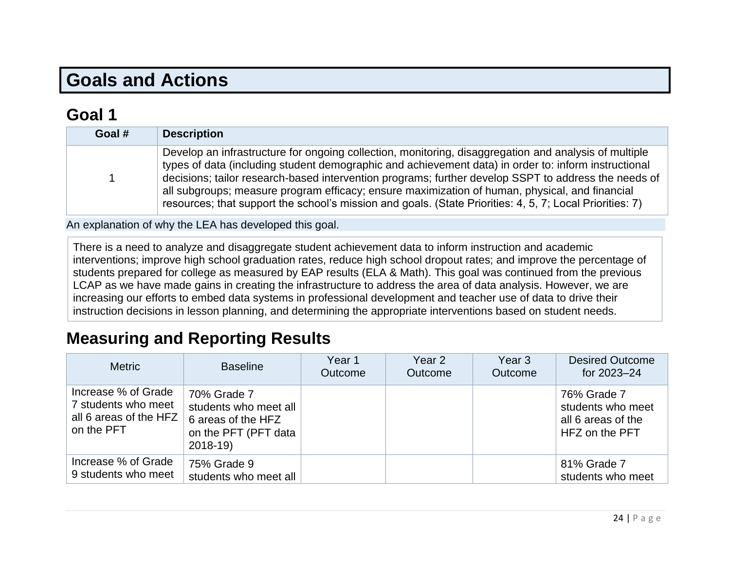# **Goals and Actions**

## **[Goal](#page-34-1) 1**

| Goal # | <b>Description</b>                                                                                                                                                                                                                                                                                                                                                                                                                                                                                                                  |
|--------|-------------------------------------------------------------------------------------------------------------------------------------------------------------------------------------------------------------------------------------------------------------------------------------------------------------------------------------------------------------------------------------------------------------------------------------------------------------------------------------------------------------------------------------|
|        | Develop an infrastructure for ongoing collection, monitoring, disaggregation and analysis of multiple<br>types of data (including student demographic and achievement data) in order to: inform instructional<br>decisions; tailor research-based intervention programs; further develop SSPT to address the needs of<br>all subgroups; measure program efficacy; ensure maximization of human, physical, and financial<br>resources; that support the school's mission and goals. (State Priorities: 4, 5, 7; Local Priorities: 7) |

An explanation of why the LEA has developed this goal.

There is a need to analyze and disaggregate student achievement data to inform instruction and academic interventions; improve high school graduation rates, reduce high school dropout rates; and improve the percentage of students prepared for college as measured by EAP results (ELA & Math). This goal was continued from the previous LCAP as we have made gains in creating the infrastructure to address the area of data analysis. However, we are increasing our efforts to embed data systems in professional development and teacher use of data to drive their instruction decisions in lesson planning, and determining the appropriate interventions based on student needs.

## **Measuring and Reporting Results**

| <b>Metric</b>                                                                      | <b>Baseline</b>                                                                                 | Year 1<br>Outcome | Year 2<br>Outcome | Year <sub>3</sub><br>Outcome | <b>Desired Outcome</b><br>for 2023-24                                    |
|------------------------------------------------------------------------------------|-------------------------------------------------------------------------------------------------|-------------------|-------------------|------------------------------|--------------------------------------------------------------------------|
| Increase % of Grade<br>7 students who meet<br>all 6 areas of the HFZ<br>on the PFT | 70% Grade 7<br>students who meet all<br>6 areas of the HFZ<br>on the PFT (PFT data<br>$2018-19$ |                   |                   |                              | 76% Grade 7<br>students who meet<br>all 6 areas of the<br>HFZ on the PFT |
| Increase % of Grade<br>9 students who meet                                         | 75% Grade 9<br>students who meet all                                                            |                   |                   |                              | 81% Grade 7<br>students who meet                                         |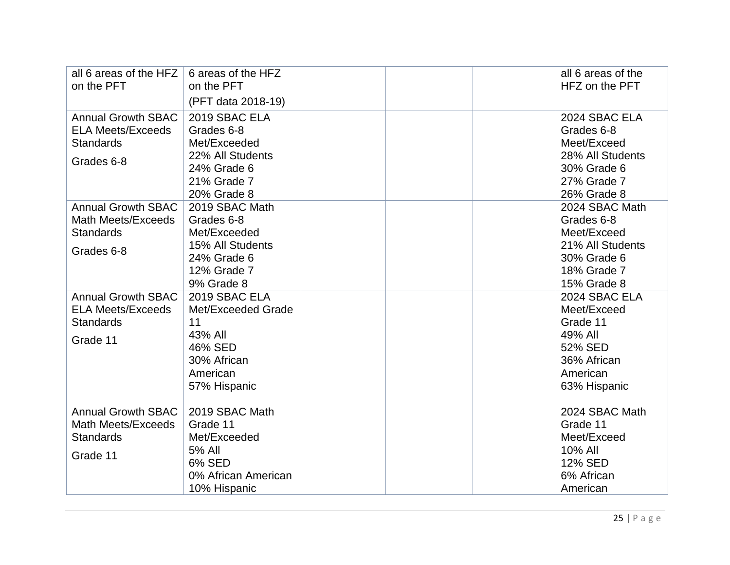| all 6 areas of the HFZ<br>on the PFT                                                    | 6 areas of the HFZ<br>on the PFT<br>(PFT data 2018-19)                                                       | all 6 areas of the<br>HFZ on the PFT                                                                         |
|-----------------------------------------------------------------------------------------|--------------------------------------------------------------------------------------------------------------|--------------------------------------------------------------------------------------------------------------|
| <b>Annual Growth SBAC</b><br><b>ELA Meets/Exceeds</b><br><b>Standards</b><br>Grades 6-8 | 2019 SBAC ELA<br>Grades 6-8<br>Met/Exceeded<br>22% All Students<br>24% Grade 6<br>21% Grade 7<br>20% Grade 8 | 2024 SBAC ELA<br>Grades 6-8<br>Meet/Exceed<br>28% All Students<br>30% Grade 6<br>27% Grade 7<br>26% Grade 8  |
| <b>Annual Growth SBAC</b><br>Math Meets/Exceeds<br><b>Standards</b><br>Grades 6-8       | 2019 SBAC Math<br>Grades 6-8<br>Met/Exceeded<br>15% All Students<br>24% Grade 6<br>12% Grade 7<br>9% Grade 8 | 2024 SBAC Math<br>Grades 6-8<br>Meet/Exceed<br>21% All Students<br>30% Grade 6<br>18% Grade 7<br>15% Grade 8 |
| <b>Annual Growth SBAC</b><br><b>ELA Meets/Exceeds</b><br><b>Standards</b><br>Grade 11   | 2019 SBAC ELA<br>Met/Exceeded Grade<br>11<br>43% All<br>46% SED<br>30% African<br>American<br>57% Hispanic   | 2024 SBAC ELA<br>Meet/Exceed<br>Grade 11<br>49% All<br>52% SED<br>36% African<br>American<br>63% Hispanic    |
| <b>Annual Growth SBAC</b><br><b>Math Meets/Exceeds</b><br><b>Standards</b><br>Grade 11  | 2019 SBAC Math<br>Grade 11<br>Met/Exceeded<br>5% All<br>6% SED<br>0% African American<br>10% Hispanic        | 2024 SBAC Math<br>Grade 11<br>Meet/Exceed<br>10% All<br>12% SED<br>6% African<br>American                    |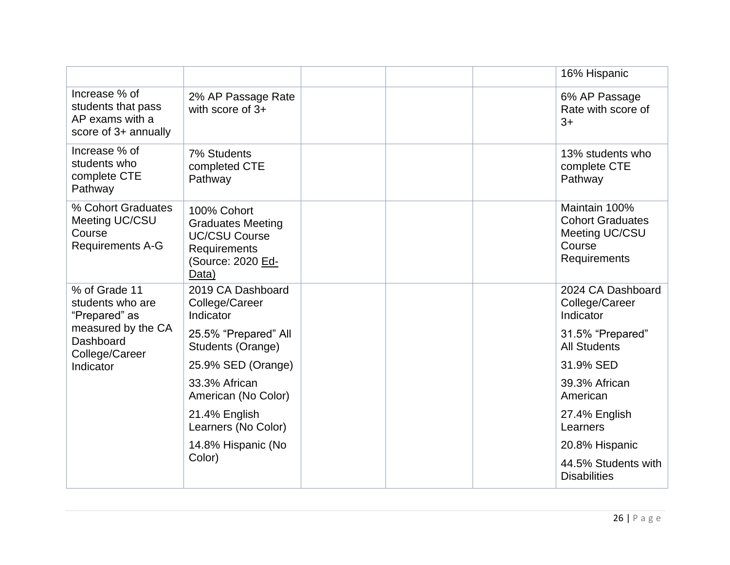|                                                                                |                                                                                                               |                                             |  |  | 16% Hispanic                                                                         |
|--------------------------------------------------------------------------------|---------------------------------------------------------------------------------------------------------------|---------------------------------------------|--|--|--------------------------------------------------------------------------------------|
| Increase % of<br>students that pass<br>AP exams with a<br>score of 3+ annually | 2% AP Passage Rate<br>with score of $3+$                                                                      |                                             |  |  | 6% AP Passage<br>Rate with score of<br>$3+$                                          |
| Increase % of<br>students who<br>complete CTE<br>Pathway                       | 7% Students<br>completed CTE<br>Pathway                                                                       | 13% students who<br>complete CTE<br>Pathway |  |  |                                                                                      |
| % Cohort Graduates<br>Meeting UC/CSU<br>Course<br><b>Requirements A-G</b>      | 100% Cohort<br><b>Graduates Meeting</b><br><b>UC/CSU Course</b><br>Requirements<br>(Source: 2020 Ed-<br>Data) |                                             |  |  | Maintain 100%<br><b>Cohort Graduates</b><br>Meeting UC/CSU<br>Course<br>Requirements |
| % of Grade 11<br>students who are<br>"Prepared" as                             | 2019 CA Dashboard<br>College/Career<br>Indicator                                                              |                                             |  |  | 2024 CA Dashboard<br>College/Career<br>Indicator                                     |
| measured by the CA<br>Dashboard<br>College/Career                              | 25.5% "Prepared" All<br>Students (Orange)                                                                     |                                             |  |  | 31.5% "Prepared"<br><b>All Students</b>                                              |
| Indicator                                                                      | 25.9% SED (Orange)                                                                                            |                                             |  |  | 31.9% SED                                                                            |
|                                                                                | 33.3% African<br>American (No Color)                                                                          |                                             |  |  | 39.3% African<br>American                                                            |
|                                                                                | 21.4% English<br>Learners (No Color)                                                                          |                                             |  |  | 27.4% English<br>Learners                                                            |
|                                                                                | 14.8% Hispanic (No                                                                                            |                                             |  |  | 20.8% Hispanic                                                                       |
|                                                                                | Color)                                                                                                        |                                             |  |  | 44.5% Students with<br><b>Disabilities</b>                                           |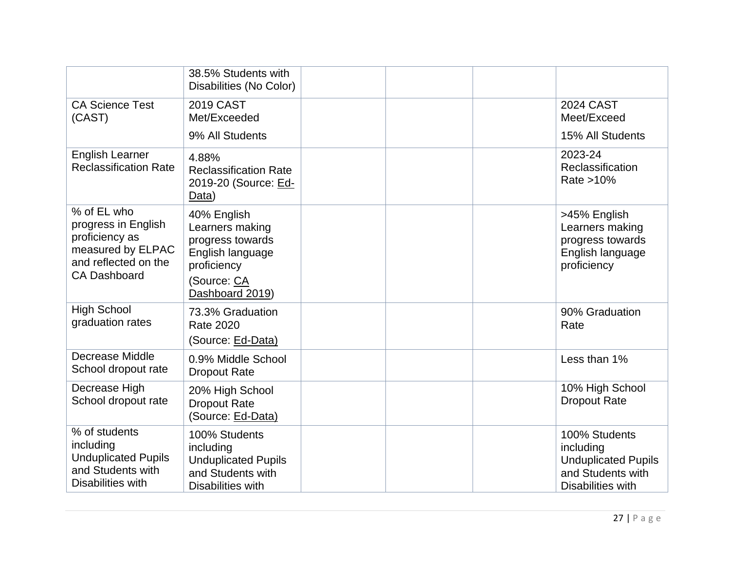|                                                                                                                                  | 38.5% Students with<br>Disabilities (No Color)                                                                          |                                          |                        |                                                                                                    |
|----------------------------------------------------------------------------------------------------------------------------------|-------------------------------------------------------------------------------------------------------------------------|------------------------------------------|------------------------|----------------------------------------------------------------------------------------------------|
| <b>CA Science Test</b><br>(CAST)                                                                                                 | <b>2019 CAST</b><br>Met/Exceeded                                                                                        |                                          |                        | <b>2024 CAST</b><br>Meet/Exceed                                                                    |
|                                                                                                                                  | 9% All Students                                                                                                         |                                          |                        | 15% All Students                                                                                   |
| <b>English Learner</b><br>4.88%<br><b>Reclassification Rate</b><br><b>Reclassification Rate</b><br>2019-20 (Source: Ed-<br>Data) |                                                                                                                         | 2023-24<br>Reclassification<br>Rate >10% |                        |                                                                                                    |
| % of EL who<br>progress in English<br>proficiency as<br>measured by ELPAC<br>and reflected on the<br><b>CA Dashboard</b>         | 40% English<br>Learners making<br>progress towards<br>English language<br>proficiency<br>(Source: CA<br>Dashboard 2019) |                                          |                        | >45% English<br>Learners making<br>progress towards<br>English language<br>proficiency             |
| <b>High School</b><br>73.3% Graduation<br>graduation rates<br><b>Rate 2020</b><br>(Source: Ed-Data)                              |                                                                                                                         |                                          | 90% Graduation<br>Rate |                                                                                                    |
| Decrease Middle<br>School dropout rate                                                                                           | 0.9% Middle School<br><b>Dropout Rate</b>                                                                               |                                          |                        | Less than 1%                                                                                       |
| Decrease High<br>School dropout rate                                                                                             | 20% High School<br><b>Dropout Rate</b><br>(Source: Ed-Data)                                                             |                                          |                        | 10% High School<br><b>Dropout Rate</b>                                                             |
| % of students<br>including<br><b>Unduplicated Pupils</b><br>and Students with<br>Disabilities with                               | 100% Students<br>including<br><b>Unduplicated Pupils</b><br>and Students with<br>Disabilities with                      |                                          |                        | 100% Students<br>including<br><b>Unduplicated Pupils</b><br>and Students with<br>Disabilities with |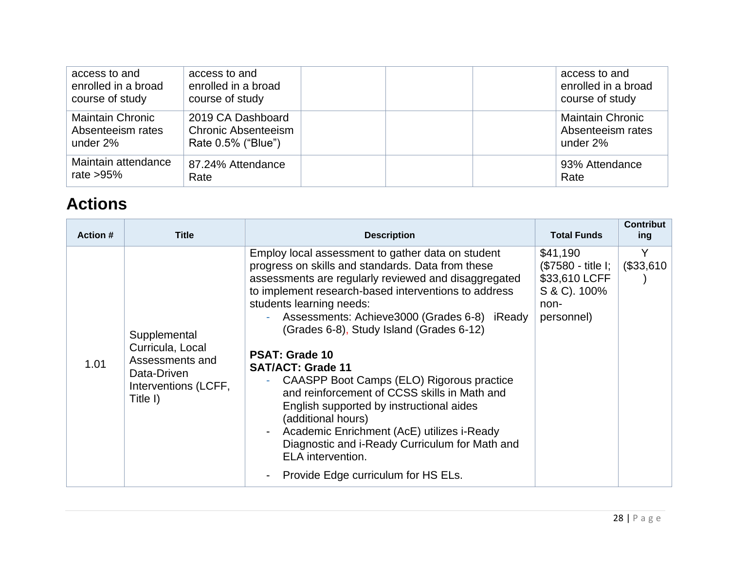| access to and           | access to and              | access to and           |
|-------------------------|----------------------------|-------------------------|
| enrolled in a broad     | enrolled in a broad        | enrolled in a broad     |
| course of study         | course of study            | course of study         |
| <b>Maintain Chronic</b> | 2019 CA Dashboard          | <b>Maintain Chronic</b> |
| Absenteeism rates       | <b>Chronic Absenteeism</b> | Absenteeism rates       |
| under 2%                | Rate 0.5% ("Blue")         | under 2%                |
| Maintain attendance     | 87.24% Attendance          | 93% Attendance          |
| rate $>95\%$            | Rate                       | Rate                    |

# **Actions**

| <b>Action #</b> | <b>Title</b>                                                                                           | <b>Description</b>                                                                                                                                                                                                                                                                                                                                                                                                                                                                                                                                                                                                                                                                                                                                               | <b>Total Funds</b>                                                                    | <b>Contribut</b><br>ing |
|-----------------|--------------------------------------------------------------------------------------------------------|------------------------------------------------------------------------------------------------------------------------------------------------------------------------------------------------------------------------------------------------------------------------------------------------------------------------------------------------------------------------------------------------------------------------------------------------------------------------------------------------------------------------------------------------------------------------------------------------------------------------------------------------------------------------------------------------------------------------------------------------------------------|---------------------------------------------------------------------------------------|-------------------------|
| 1.01            | Supplemental<br>Curricula, Local<br>Assessments and<br>Data-Driven<br>Interventions (LCFF,<br>Title I) | Employ local assessment to gather data on student<br>progress on skills and standards. Data from these<br>assessments are regularly reviewed and disaggregated<br>to implement research-based interventions to address<br>students learning needs:<br>Assessments: Achieve3000 (Grades 6-8) iReady<br>(Grades 6-8), Study Island (Grades 6-12)<br><b>PSAT: Grade 10</b><br><b>SAT/ACT: Grade 11</b><br>CAASPP Boot Camps (ELO) Rigorous practice<br>A.<br>and reinforcement of CCSS skills in Math and<br>English supported by instructional aides<br>(additional hours)<br>Academic Enrichment (AcE) utilizes i-Ready<br>$\overline{\phantom{0}}$<br>Diagnostic and i-Ready Curriculum for Math and<br>ELA intervention.<br>Provide Edge curriculum for HS ELs. | \$41,190<br>(\$7580 - title I;<br>\$33,610 LCFF<br>S & C). 100%<br>non-<br>personnel) | Y<br>(\$33,610          |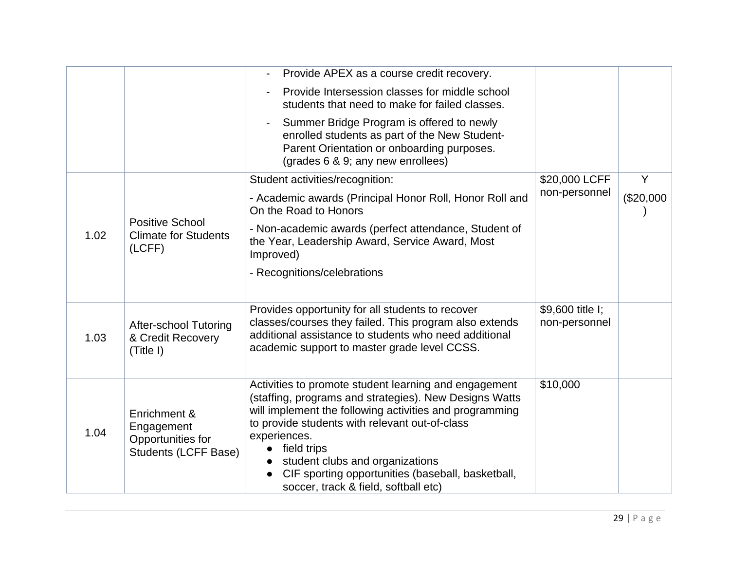|      |                                                                                | Provide APEX as a course credit recovery.                                                                                                                                                                                                                                                                                                                                                             |                                   |           |
|------|--------------------------------------------------------------------------------|-------------------------------------------------------------------------------------------------------------------------------------------------------------------------------------------------------------------------------------------------------------------------------------------------------------------------------------------------------------------------------------------------------|-----------------------------------|-----------|
|      |                                                                                | Provide Intersession classes for middle school<br>students that need to make for failed classes.                                                                                                                                                                                                                                                                                                      |                                   |           |
|      |                                                                                | Summer Bridge Program is offered to newly<br>enrolled students as part of the New Student-<br>Parent Orientation or onboarding purposes.<br>(grades 6 & 9; any new enrollees)                                                                                                                                                                                                                         |                                   |           |
|      |                                                                                | Student activities/recognition:                                                                                                                                                                                                                                                                                                                                                                       | \$20,000 LCFF                     | Y         |
|      |                                                                                | - Academic awards (Principal Honor Roll, Honor Roll and<br>On the Road to Honors                                                                                                                                                                                                                                                                                                                      | non-personnel                     | (\$20,000 |
| 1.02 | <b>Positive School</b><br><b>Climate for Students</b><br>(LCFF)                | - Non-academic awards (perfect attendance, Student of<br>the Year, Leadership Award, Service Award, Most<br>Improved)                                                                                                                                                                                                                                                                                 |                                   |           |
|      |                                                                                | - Recognitions/celebrations                                                                                                                                                                                                                                                                                                                                                                           |                                   |           |
| 1.03 | <b>After-school Tutoring</b><br>& Credit Recovery<br>(Title I)                 | Provides opportunity for all students to recover<br>classes/courses they failed. This program also extends<br>additional assistance to students who need additional<br>academic support to master grade level CCSS.                                                                                                                                                                                   | \$9,600 title I;<br>non-personnel |           |
| 1.04 | Enrichment &<br>Engagement<br>Opportunities for<br><b>Students (LCFF Base)</b> | Activities to promote student learning and engagement<br>(staffing, programs and strategies). New Designs Watts<br>will implement the following activities and programming<br>to provide students with relevant out-of-class<br>experiences.<br>$\bullet$ field trips<br>student clubs and organizations<br>CIF sporting opportunities (baseball, basketball,<br>soccer, track & field, softball etc) | \$10,000                          |           |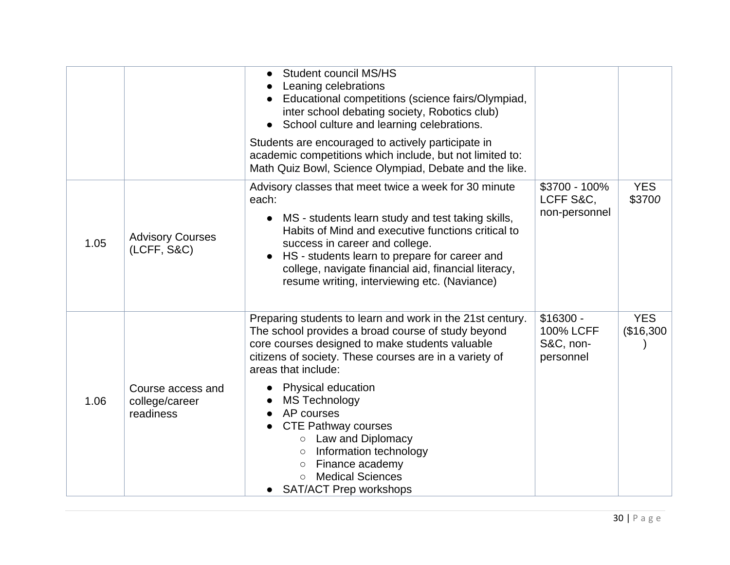|      |                                                  | <b>Student council MS/HS</b><br>Leaning celebrations<br>Educational competitions (science fairs/Olympiad,<br>inter school debating society, Robotics club)<br>School culture and learning celebrations.<br>$\bullet$<br>Students are encouraged to actively participate in<br>academic competitions which include, but not limited to:<br>Math Quiz Bowl, Science Olympiad, Debate and the like.                                                                                                                           |                                                          |                         |
|------|--------------------------------------------------|----------------------------------------------------------------------------------------------------------------------------------------------------------------------------------------------------------------------------------------------------------------------------------------------------------------------------------------------------------------------------------------------------------------------------------------------------------------------------------------------------------------------------|----------------------------------------------------------|-------------------------|
| 1.05 | <b>Advisory Courses</b><br>(LCFF, S&C)           | Advisory classes that meet twice a week for 30 minute<br>each:<br>MS - students learn study and test taking skills,<br>$\bullet$<br>Habits of Mind and executive functions critical to<br>success in career and college.<br>HS - students learn to prepare for career and<br>college, navigate financial aid, financial literacy,<br>resume writing, interviewing etc. (Naviance)                                                                                                                                          | \$3700 - 100%<br>LCFF S&C,<br>non-personnel              | <b>YES</b><br>\$3700    |
| 1.06 | Course access and<br>college/career<br>readiness | Preparing students to learn and work in the 21st century.<br>The school provides a broad course of study beyond<br>core courses designed to make students valuable<br>citizens of society. These courses are in a variety of<br>areas that include:<br><b>Physical education</b><br><b>MS Technology</b><br>AP courses<br><b>CTE Pathway courses</b><br><b>Law and Diplomacy</b><br>Information technology<br>$\circ$<br>Finance academy<br>$\circ$<br><b>Medical Sciences</b><br>$\circ$<br><b>SAT/ACT Prep workshops</b> | $$16300 -$<br><b>100% LCFF</b><br>S&C, non-<br>personnel | <b>YES</b><br>(\$16,300 |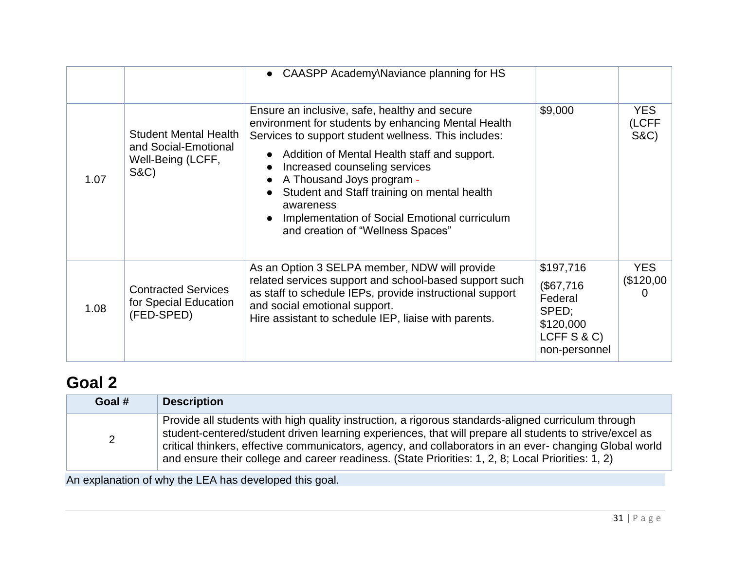|      |                                                                                              | • CAASPP Academy\Naviance planning for HS                                                                                                                                                                                                                                                                                                                                                                                    |                                                                                          |                                        |
|------|----------------------------------------------------------------------------------------------|------------------------------------------------------------------------------------------------------------------------------------------------------------------------------------------------------------------------------------------------------------------------------------------------------------------------------------------------------------------------------------------------------------------------------|------------------------------------------------------------------------------------------|----------------------------------------|
| 1.07 | <b>Student Mental Health</b><br>and Social-Emotional<br>Well-Being (LCFF,<br><b>S&amp;C)</b> | Ensure an inclusive, safe, healthy and secure<br>environment for students by enhancing Mental Health<br>Services to support student wellness. This includes:<br>Addition of Mental Health staff and support.<br>Increased counseling services<br>A Thousand Joys program -<br>Student and Staff training on mental health<br>awareness<br>Implementation of Social Emotional curriculum<br>and creation of "Wellness Spaces" | \$9,000                                                                                  | <b>YES</b><br>(LCFF<br><b>S&amp;C)</b> |
| 1.08 | <b>Contracted Services</b><br>for Special Education<br>(FED-SPED)                            | As an Option 3 SELPA member, NDW will provide<br>related services support and school-based support such<br>as staff to schedule IEPs, provide instructional support<br>and social emotional support.<br>Hire assistant to schedule IEP, liaise with parents.                                                                                                                                                                 | \$197,716<br>(\$67,716<br>Federal<br>SPED;<br>\$120,000<br>LCFF $S & C$<br>non-personnel | <b>YES</b><br>(\$120,00]               |

# **[Goal](#page-34-1) 2**

| Goal # | <b>Description</b>                                                                                                                                                                                                                                                                                                                                                                                                             |
|--------|--------------------------------------------------------------------------------------------------------------------------------------------------------------------------------------------------------------------------------------------------------------------------------------------------------------------------------------------------------------------------------------------------------------------------------|
|        | Provide all students with high quality instruction, a rigorous standards-aligned curriculum through<br>student-centered/student driven learning experiences, that will prepare all students to strive/excel as<br>critical thinkers, effective communicators, agency, and collaborators in an ever-changing Global world<br>and ensure their college and career readiness. (State Priorities: 1, 2, 8; Local Priorities: 1, 2) |

An explanation of why the LEA has developed this goal.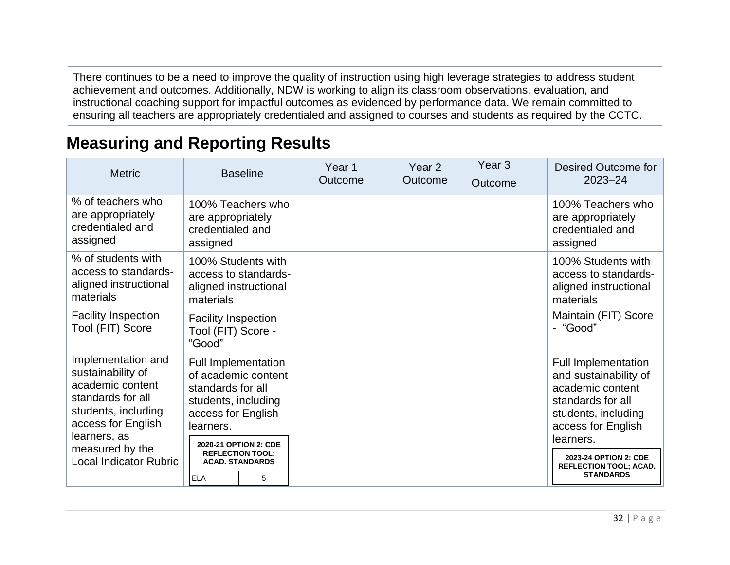There continues to be a need to improve the quality of instruction using high leverage strategies to address student achievement and outcomes. Additionally, NDW is working to align its classroom observations, evaluation, and instructional coaching support for impactful outcomes as evidenced by performance data. We remain committed to ensuring all teachers are appropriately credentialed and assigned to courses and students as required by the CCTC.

# **Measuring and Reporting Results**

| <b>Metric</b>                                                                                                                                 | <b>Baseline</b>                                                                                                                                           | Year 1<br>Outcome | Year <sub>2</sub><br>Outcome | Year <sub>3</sub><br>Outcome | Desired Outcome for<br>$2023 - 24$                                                                                                                     |
|-----------------------------------------------------------------------------------------------------------------------------------------------|-----------------------------------------------------------------------------------------------------------------------------------------------------------|-------------------|------------------------------|------------------------------|--------------------------------------------------------------------------------------------------------------------------------------------------------|
| % of teachers who<br>are appropriately<br>credentialed and<br>assigned                                                                        | 100% Teachers who<br>are appropriately<br>credentialed and<br>assigned                                                                                    |                   |                              |                              | 100% Teachers who<br>are appropriately<br>credentialed and<br>assigned                                                                                 |
| % of students with<br>access to standards-<br>aligned instructional<br>materials                                                              | 100% Students with<br>access to standards-<br>aligned instructional<br>materials                                                                          |                   |                              |                              | 100% Students with<br>access to standards-<br>aligned instructional<br>materials                                                                       |
| <b>Facility Inspection</b><br>Tool (FIT) Score                                                                                                | <b>Facility Inspection</b><br>Tool (FIT) Score -<br>"Good"                                                                                                |                   |                              |                              | Maintain (FIT) Score<br>- "Good"                                                                                                                       |
| Implementation and<br>sustainability of<br>academic content<br>standards for all<br>students, including<br>access for English<br>learners, as | <b>Full Implementation</b><br>of academic content<br>standards for all<br>students, including<br>access for English<br>learners.<br>2020-21 OPTION 2: CDE |                   |                              |                              | <b>Full Implementation</b><br>and sustainability of<br>academic content<br>standards for all<br>students, including<br>access for English<br>learners. |
| measured by the<br><b>Local Indicator Rubric</b>                                                                                              | <b>REFLECTION TOOL;</b><br><b>ACAD. STANDARDS</b><br><b>ELA</b><br>5                                                                                      |                   |                              |                              | 2023-24 OPTION 2: CDE<br><b>REFLECTION TOOL; ACAD.</b><br><b>STANDARDS</b>                                                                             |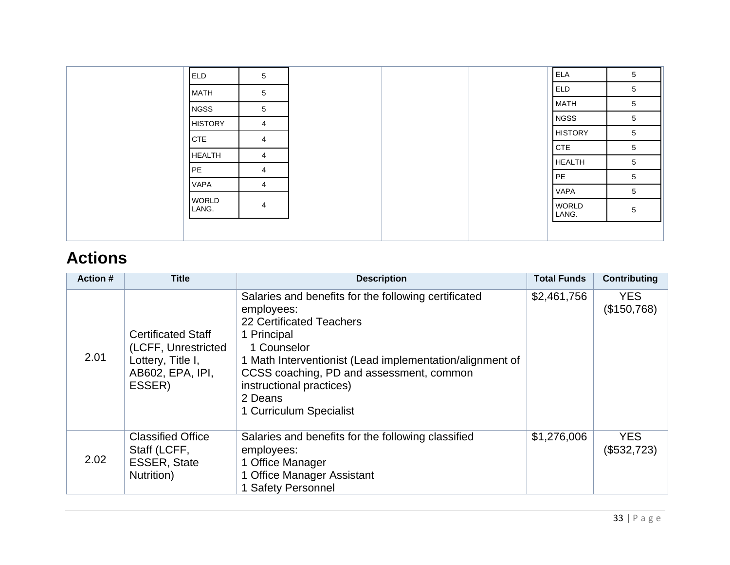|  | <b>ELD</b>            | 5               | <b>ELA</b>            | 5 |
|--|-----------------------|-----------------|-----------------------|---|
|  | <b>MATH</b>           | $5\phantom{.0}$ | <b>ELD</b>            | 5 |
|  | <b>NGSS</b>           | $5\overline{)}$ | <b>MATH</b>           | 5 |
|  | <b>HISTORY</b>        | $\overline{4}$  | <b>NGSS</b>           | 5 |
|  | <b>CTE</b>            | 4               | <b>HISTORY</b>        | 5 |
|  | <b>HEALTH</b>         | 4               | <b>CTE</b>            | 5 |
|  | PE                    | $\overline{4}$  | <b>HEALTH</b>         | 5 |
|  | <b>VAPA</b>           |                 | PE                    | 5 |
|  |                       | $\overline{4}$  | <b>VAPA</b>           | 5 |
|  | <b>WORLD</b><br>LANG. | 4               | <b>WORLD</b><br>LANG. | 5 |
|  |                       |                 |                       |   |

# **Actions**

| <b>Action #</b> | <b>Title</b>                                                                                        | <b>Description</b>                                                                                                                                                                                                                                                                                     | <b>Total Funds</b> | <b>Contributing</b>       |
|-----------------|-----------------------------------------------------------------------------------------------------|--------------------------------------------------------------------------------------------------------------------------------------------------------------------------------------------------------------------------------------------------------------------------------------------------------|--------------------|---------------------------|
| 2.01            | <b>Certificated Staff</b><br>(LCFF, Unrestricted<br>Lottery, Title I,<br>AB602, EPA, IPI,<br>ESSER) | Salaries and benefits for the following certificated<br>employees:<br>22 Certificated Teachers<br>1 Principal<br>1 Counselor<br>1 Math Interventionist (Lead implementation/alignment of<br>CCSS coaching, PD and assessment, common<br>instructional practices)<br>2 Deans<br>1 Curriculum Specialist | \$2,461,756        | <b>YES</b><br>(\$150,768) |
| 2.02            | <b>Classified Office</b><br>Staff (LCFF,<br><b>ESSER, State</b><br>Nutrition)                       | Salaries and benefits for the following classified<br>employees:<br>1 Office Manager<br>1 Office Manager Assistant<br>1 Safety Personnel                                                                                                                                                               | \$1,276,006        | <b>YES</b><br>(\$532,723) |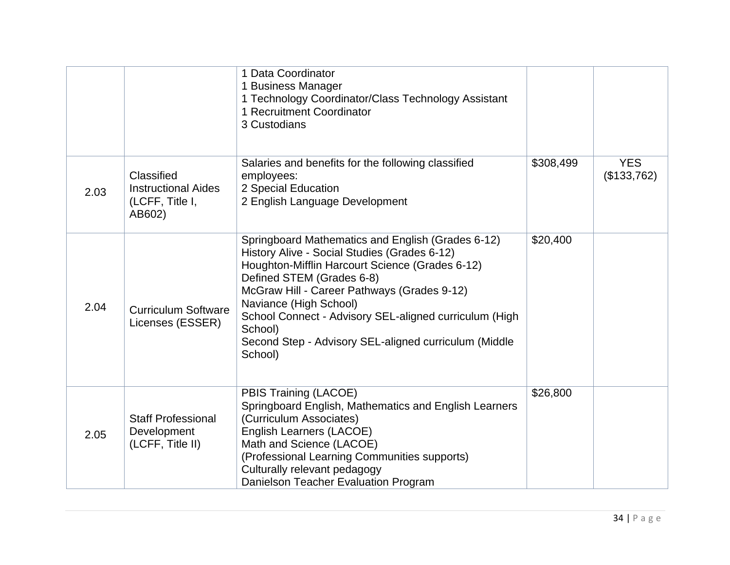|      |                                                                       | 1 Data Coordinator<br>1 Business Manager<br>1 Technology Coordinator/Class Technology Assistant<br>1 Recruitment Coordinator<br>3 Custodians                                                                                                                                                                                                                                                        |           |                           |
|------|-----------------------------------------------------------------------|-----------------------------------------------------------------------------------------------------------------------------------------------------------------------------------------------------------------------------------------------------------------------------------------------------------------------------------------------------------------------------------------------------|-----------|---------------------------|
| 2.03 | Classified<br><b>Instructional Aides</b><br>(LCFF, Title I,<br>AB602) | Salaries and benefits for the following classified<br>employees:<br>2 Special Education<br>2 English Language Development                                                                                                                                                                                                                                                                           | \$308,499 | <b>YES</b><br>(\$133,762) |
| 2.04 | <b>Curriculum Software</b><br>Licenses (ESSER)                        | Springboard Mathematics and English (Grades 6-12)<br>History Alive - Social Studies (Grades 6-12)<br>Houghton-Mifflin Harcourt Science (Grades 6-12)<br>Defined STEM (Grades 6-8)<br>McGraw Hill - Career Pathways (Grades 9-12)<br>Naviance (High School)<br>School Connect - Advisory SEL-aligned curriculum (High<br>School)<br>Second Step - Advisory SEL-aligned curriculum (Middle<br>School) | \$20,400  |                           |
| 2.05 | <b>Staff Professional</b><br>Development<br>(LCFF, Title II)          | PBIS Training (LACOE)<br>Springboard English, Mathematics and English Learners<br>(Curriculum Associates)<br>English Learners (LACOE)<br>Math and Science (LACOE)<br>(Professional Learning Communities supports)<br>Culturally relevant pedagogy<br>Danielson Teacher Evaluation Program                                                                                                           | \$26,800  |                           |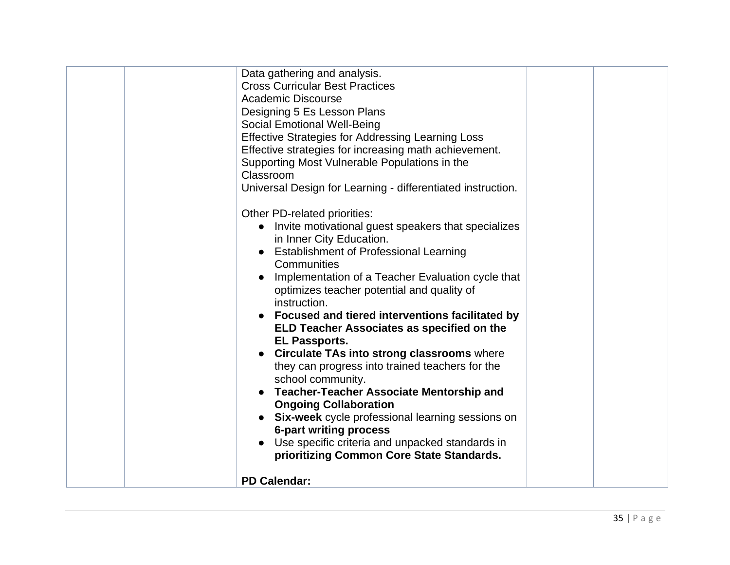| Other PD-related priorities:<br>Invite motivational guest speakers that specializes<br>in Inner City Education.<br>• Establishment of Professional Learning<br>Communities<br>Implementation of a Teacher Evaluation cycle that<br>optimizes teacher potential and quality of<br>instruction.<br>• Focused and tiered interventions facilitated by<br>ELD Teacher Associates as specified on the<br><b>EL Passports.</b><br><b>Circulate TAs into strong classrooms where</b><br>they can progress into trained teachers for the<br>school community.<br><b>Teacher-Teacher Associate Mentorship and</b><br><b>Ongoing Collaboration</b><br><b>Six-week</b> cycle professional learning sessions on<br><b>6-part writing process</b><br>Use specific criteria and unpacked standards in | Data gathering and analysis.<br><b>Cross Curricular Best Practices</b><br><b>Academic Discourse</b><br>Designing 5 Es Lesson Plans<br>Social Emotional Well-Being<br>Effective Strategies for Addressing Learning Loss<br>Effective strategies for increasing math achievement.<br>Supporting Most Vulnerable Populations in the<br>Classroom<br>Universal Design for Learning - differentiated instruction. |  |
|-----------------------------------------------------------------------------------------------------------------------------------------------------------------------------------------------------------------------------------------------------------------------------------------------------------------------------------------------------------------------------------------------------------------------------------------------------------------------------------------------------------------------------------------------------------------------------------------------------------------------------------------------------------------------------------------------------------------------------------------------------------------------------------------|--------------------------------------------------------------------------------------------------------------------------------------------------------------------------------------------------------------------------------------------------------------------------------------------------------------------------------------------------------------------------------------------------------------|--|
| <b>PD Calendar:</b>                                                                                                                                                                                                                                                                                                                                                                                                                                                                                                                                                                                                                                                                                                                                                                     | prioritizing Common Core State Standards.                                                                                                                                                                                                                                                                                                                                                                    |  |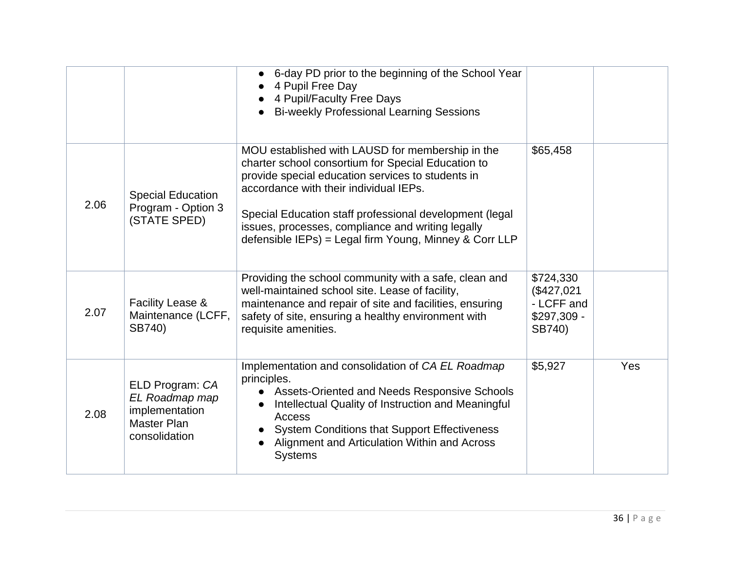|      |                                                                                            | 6-day PD prior to the beginning of the School Year<br>4 Pupil Free Day<br>4 Pupil/Faculty Free Days<br><b>Bi-weekly Professional Learning Sessions</b>                                                                                                                                                                                                                          |                                                                |     |
|------|--------------------------------------------------------------------------------------------|---------------------------------------------------------------------------------------------------------------------------------------------------------------------------------------------------------------------------------------------------------------------------------------------------------------------------------------------------------------------------------|----------------------------------------------------------------|-----|
| 2.06 | <b>Special Education</b><br>Program - Option 3<br>(STATE SPED)                             | MOU established with LAUSD for membership in the<br>charter school consortium for Special Education to<br>provide special education services to students in<br>accordance with their individual IEPs.<br>Special Education staff professional development (legal<br>issues, processes, compliance and writing legally<br>defensible IEPs) = Legal firm Young, Minney & Corr LLP | \$65,458                                                       |     |
| 2.07 | Facility Lease &<br>Maintenance (LCFF,<br>SB740)                                           | Providing the school community with a safe, clean and<br>well-maintained school site. Lease of facility,<br>maintenance and repair of site and facilities, ensuring<br>safety of site, ensuring a healthy environment with<br>requisite amenities.                                                                                                                              | \$724,330<br>(\$427,021<br>- LCFF and<br>\$297,309 -<br>SB740) |     |
| 2.08 | ELD Program: CA<br>EL Roadmap map<br>implementation<br><b>Master Plan</b><br>consolidation | Implementation and consolidation of CA EL Roadmap<br>principles.<br>• Assets-Oriented and Needs Responsive Schools<br>Intellectual Quality of Instruction and Meaningful<br>Access<br><b>System Conditions that Support Effectiveness</b><br>Alignment and Articulation Within and Across<br><b>Systems</b>                                                                     | \$5,927                                                        | Yes |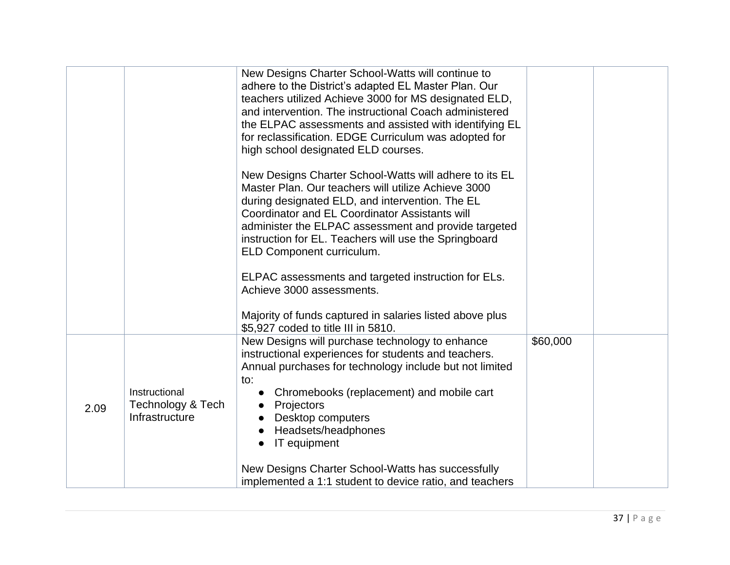|      |                                                      | New Designs Charter School-Watts will continue to<br>adhere to the District's adapted EL Master Plan. Our<br>teachers utilized Achieve 3000 for MS designated ELD,<br>and intervention. The instructional Coach administered<br>the ELPAC assessments and assisted with identifying EL<br>for reclassification. EDGE Curriculum was adopted for<br>high school designated ELD courses. |          |  |
|------|------------------------------------------------------|----------------------------------------------------------------------------------------------------------------------------------------------------------------------------------------------------------------------------------------------------------------------------------------------------------------------------------------------------------------------------------------|----------|--|
|      |                                                      | New Designs Charter School-Watts will adhere to its EL<br>Master Plan, Our teachers will utilize Achieve 3000<br>during designated ELD, and intervention. The EL<br>Coordinator and EL Coordinator Assistants will<br>administer the ELPAC assessment and provide targeted<br>instruction for EL. Teachers will use the Springboard<br>ELD Component curriculum.                       |          |  |
|      |                                                      | ELPAC assessments and targeted instruction for ELs.<br>Achieve 3000 assessments.                                                                                                                                                                                                                                                                                                       |          |  |
|      |                                                      | Majority of funds captured in salaries listed above plus<br>\$5,927 coded to title III in 5810.                                                                                                                                                                                                                                                                                        |          |  |
| 2.09 | Instructional<br>Technology & Tech<br>Infrastructure | New Designs will purchase technology to enhance<br>instructional experiences for students and teachers.<br>Annual purchases for technology include but not limited<br>to:<br>Chromebooks (replacement) and mobile cart<br>Projectors<br>Desktop computers<br>Headsets/headphones<br>IT equipment                                                                                       | \$60,000 |  |
|      |                                                      | New Designs Charter School-Watts has successfully<br>implemented a 1:1 student to device ratio, and teachers                                                                                                                                                                                                                                                                           |          |  |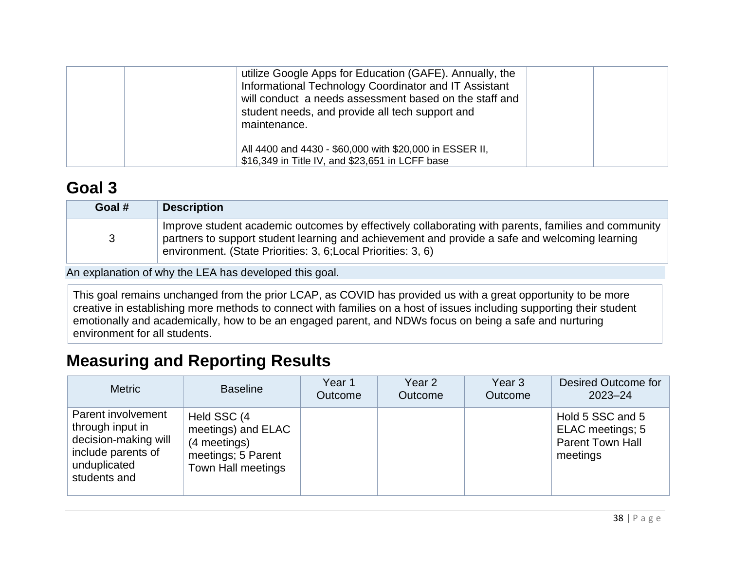| utilize Google Apps for Education (GAFE). Annually, the<br>Informational Technology Coordinator and IT Assistant<br>will conduct a needs assessment based on the staff and<br>student needs, and provide all tech support and<br>maintenance. |  |
|-----------------------------------------------------------------------------------------------------------------------------------------------------------------------------------------------------------------------------------------------|--|
| All 4400 and 4430 - \$60,000 with \$20,000 in ESSER II,<br>\$16,349 in Title IV, and \$23,651 in LCFF base                                                                                                                                    |  |

## **[Goal](#page-34-1) 3**

| Goal # | <b>Description</b>                                                                                                                                                                                                                                                     |
|--------|------------------------------------------------------------------------------------------------------------------------------------------------------------------------------------------------------------------------------------------------------------------------|
|        | Improve student academic outcomes by effectively collaborating with parents, families and community<br>partners to support student learning and achievement and provide a safe and welcoming learning<br>environment. (State Priorities: 3, 6; Local Priorities: 3, 6) |

An explanation of why the LEA has developed this goal.

This goal remains unchanged from the prior LCAP, as COVID has provided us with a great opportunity to be more creative in establishing more methods to connect with families on a host of issues including supporting their student emotionally and academically, how to be an engaged parent, and NDWs focus on being a safe and nurturing environment for all students.

## **Measuring and Reporting Results**

| <b>Metric</b>                                                                                                        | <b>Baseline</b>                                                                               | Year 1<br>Outcome | Year <sub>2</sub><br>Outcome | Year 3<br><b>Outcome</b> | Desired Outcome for<br>$2023 - 24$                                          |
|----------------------------------------------------------------------------------------------------------------------|-----------------------------------------------------------------------------------------------|-------------------|------------------------------|--------------------------|-----------------------------------------------------------------------------|
| Parent involvement<br>through input in<br>decision-making will<br>include parents of<br>unduplicated<br>students and | Held SSC (4<br>meetings) and ELAC<br>(4 meetings)<br>meetings; 5 Parent<br>Town Hall meetings |                   |                              |                          | Hold 5 SSC and 5<br>ELAC meetings; 5<br><b>Parent Town Hall</b><br>meetings |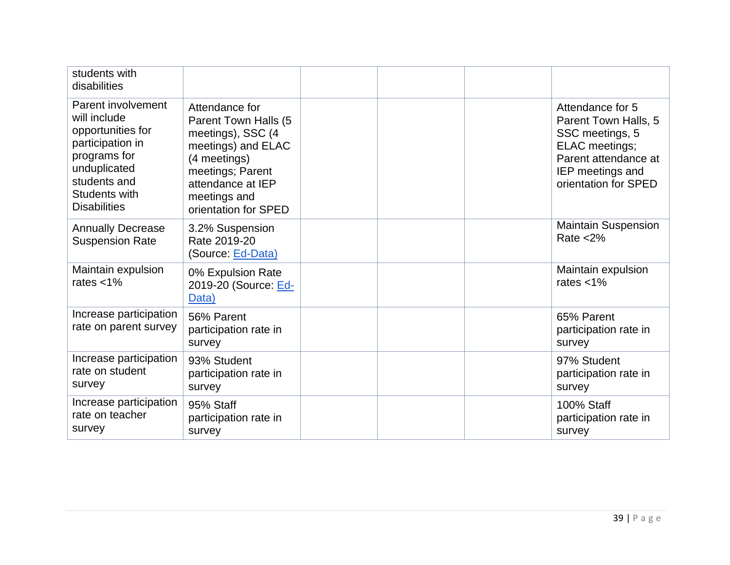| students with<br>disabilities                                                                                                                                       |                                                                                                                                                                                    |                                                                                                                                                   |
|---------------------------------------------------------------------------------------------------------------------------------------------------------------------|------------------------------------------------------------------------------------------------------------------------------------------------------------------------------------|---------------------------------------------------------------------------------------------------------------------------------------------------|
| Parent involvement<br>will include<br>opportunities for<br>participation in<br>programs for<br>unduplicated<br>students and<br>Students with<br><b>Disabilities</b> | Attendance for<br>Parent Town Halls (5<br>meetings), SSC (4<br>meetings) and ELAC<br>(4 meetings)<br>meetings; Parent<br>attendance at IEP<br>meetings and<br>orientation for SPED | Attendance for 5<br>Parent Town Halls, 5<br>SSC meetings, 5<br>ELAC meetings;<br>Parent attendance at<br>IEP meetings and<br>orientation for SPED |
| <b>Annually Decrease</b><br><b>Suspension Rate</b>                                                                                                                  | 3.2% Suspension<br>Rate 2019-20<br>(Source: Ed-Data)                                                                                                                               | <b>Maintain Suspension</b><br>Rate $<$ 2%                                                                                                         |
| Maintain expulsion<br>rates $<$ 1%                                                                                                                                  | 0% Expulsion Rate<br>2019-20 (Source: Ed-<br>Data)                                                                                                                                 | Maintain expulsion<br>rates $<$ 1%                                                                                                                |
| Increase participation<br>rate on parent survey                                                                                                                     | 56% Parent<br>participation rate in<br>survey                                                                                                                                      | 65% Parent<br>participation rate in<br>survey                                                                                                     |
| Increase participation<br>rate on student<br>survey                                                                                                                 | 93% Student<br>participation rate in<br>survey                                                                                                                                     | 97% Student<br>participation rate in<br>survey                                                                                                    |
| Increase participation<br>rate on teacher<br>survey                                                                                                                 | 95% Staff<br>participation rate in<br>survey                                                                                                                                       | 100% Staff<br>participation rate in<br>survey                                                                                                     |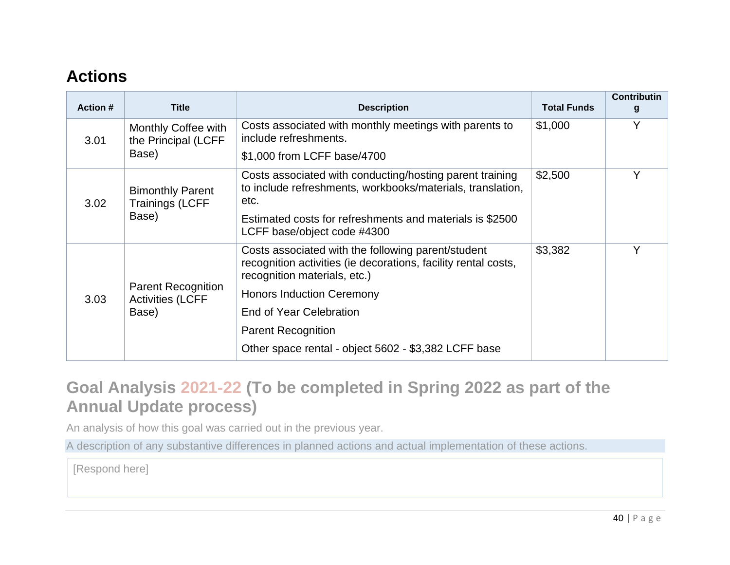## **Actions**

| <b>Action #</b> | <b>Title</b>                                                  | <b>Description</b>                                                                                                                                   | <b>Total Funds</b> | <b>Contributin</b><br>g |
|-----------------|---------------------------------------------------------------|------------------------------------------------------------------------------------------------------------------------------------------------------|--------------------|-------------------------|
| 3.01            | Monthly Coffee with<br>the Principal (LCFF<br>Base)           | Costs associated with monthly meetings with parents to<br>include refreshments.                                                                      | \$1,000            | v                       |
|                 |                                                               | \$1,000 from LCFF base/4700                                                                                                                          |                    |                         |
| 3.02            | <b>Bimonthly Parent</b><br><b>Trainings (LCFF</b><br>Base)    | Costs associated with conducting/hosting parent training<br>to include refreshments, workbooks/materials, translation,<br>etc.                       | \$2,500            | v                       |
|                 |                                                               | Estimated costs for refreshments and materials is \$2500<br>LCFF base/object code #4300                                                              |                    |                         |
| 3.03            | <b>Parent Recognition</b><br><b>Activities (LCFF</b><br>Base) | Costs associated with the following parent/student<br>recognition activities (ie decorations, facility rental costs,<br>recognition materials, etc.) | \$3,382            | v                       |
|                 |                                                               | <b>Honors Induction Ceremony</b>                                                                                                                     |                    |                         |
|                 |                                                               | End of Year Celebration                                                                                                                              |                    |                         |
|                 |                                                               | <b>Parent Recognition</b>                                                                                                                            |                    |                         |
|                 |                                                               | Other space rental - object 5602 - \$3,382 LCFF base                                                                                                 |                    |                         |

## **Goal Analysis 2021-22 (To be completed in Spring 2022 as part of the Annual Update process)**

An analysis of how this goal was carried out in the previous year.

A description of any substantive differences in planned actions and actual implementation of these actions.

[Respond here]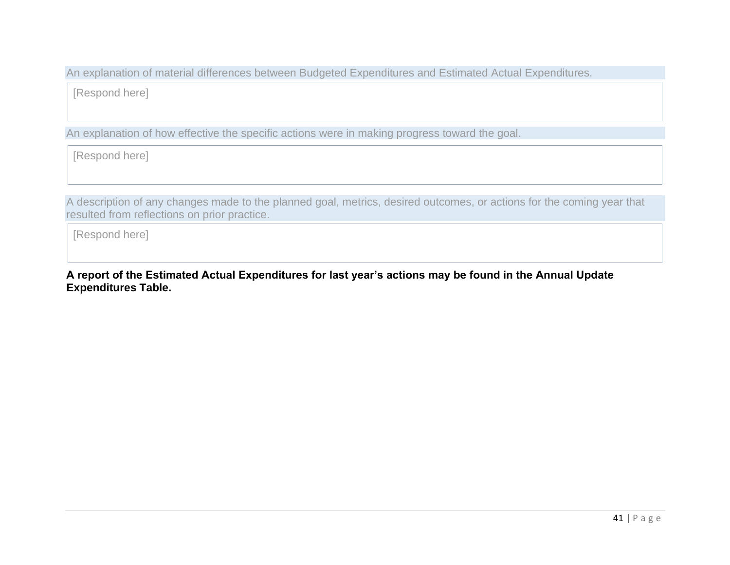An explanation of material differences between Budgeted Expenditures and Estimated Actual Expenditures.

[Respond here]

An explanation of how effective the specific actions were in making progress toward the goal.

[Respond here]

A description of any changes made to the planned goal, metrics, desired outcomes, or actions for the coming year that resulted from reflections on prior practice.

[Respond here]

**A report of the Estimated Actual Expenditures for last year's actions may be found in the Annual Update Expenditures Table.**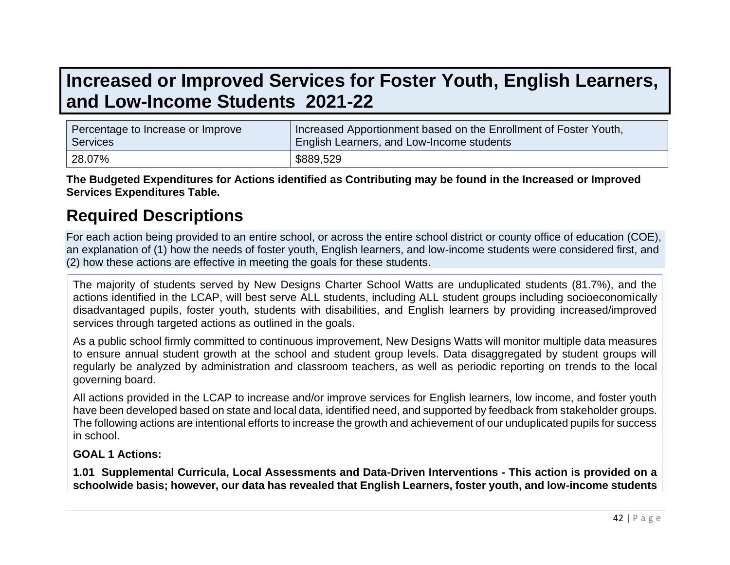# **Increased or Improved Services for Foster Youth, English Learners, and Low-Income Students 2021-22**

| Percentage to Increase or Improve | Increased Apportionment based on the Enrollment of Foster Youth, |
|-----------------------------------|------------------------------------------------------------------|
| Services                          | English Learners, and Low-Income students                        |
| 28.07%                            | \$889,529                                                        |

**The Budgeted Expenditures for Actions identified as Contributing may be found in the Increased or Improved Services Expenditures Table.**

## **Required Descriptions**

For each action being provided to an entire school, or across the entire school district or county office of education (COE), an explanation of (1) how the needs of foster youth, English learners, and low-income students were considered first, and (2) how these actions are effective in meeting the goals for these students.

The majority of students served by New Designs Charter School Watts are unduplicated students (81.7%), and the actions identified in the LCAP, will best serve ALL students, including ALL student groups including socioeconomically disadvantaged pupils, foster youth, students with disabilities, and English learners by providing increased/improved services through targeted actions as outlined in the goals.

As a public school firmly committed to continuous improvement, New Designs Watts will monitor multiple data measures to ensure annual student growth at the school and student group levels. Data disaggregated by student groups will regularly be analyzed by administration and classroom teachers, as well as periodic reporting on trends to the local governing board.

All actions provided in the LCAP to increase and/or improve services for English learners, low income, and foster youth have been developed based on state and local data, identified need, and supported by feedback from stakeholder groups. The following actions are intentional efforts to increase the growth and achievement of our unduplicated pupils for success in school.

#### **GOAL 1 Actions:**

**1.01 Supplemental Curricula, Local Assessments and Data-Driven Interventions - This action is provided on a schoolwide basis; however, our data has revealed that English Learners, foster youth, and low-income students**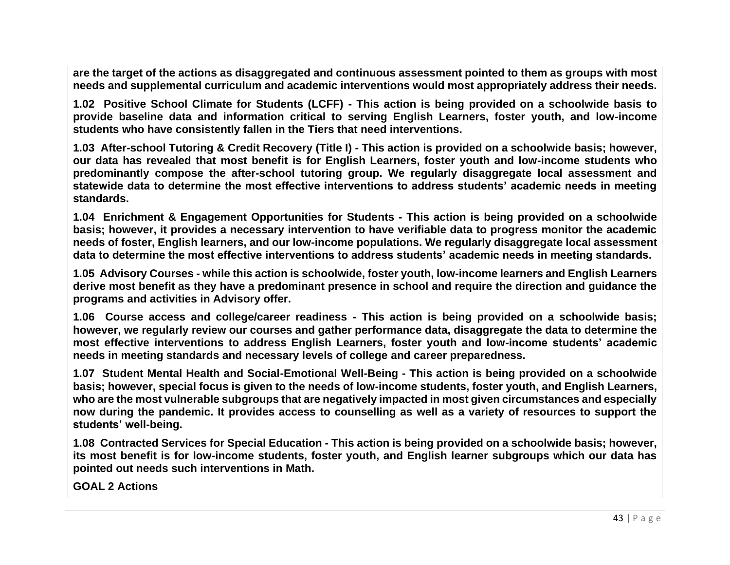**are the target of the actions as disaggregated and continuous assessment pointed to them as groups with most needs and supplemental curriculum and academic interventions would most appropriately address their needs.**

**1.02 Positive School Climate for Students (LCFF) - This action is being provided on a schoolwide basis to provide baseline data and information critical to serving English Learners, foster youth, and low-income students who have consistently fallen in the Tiers that need interventions.**

**1.03 After-school Tutoring & Credit Recovery (Title I) - This action is provided on a schoolwide basis; however, our data has revealed that most benefit is for English Learners, foster youth and low-income students who predominantly compose the after-school tutoring group. We regularly disaggregate local assessment and statewide data to determine the most effective interventions to address students' academic needs in meeting standards.**

**1.04 Enrichment & Engagement Opportunities for Students - This action is being provided on a schoolwide basis; however, it provides a necessary intervention to have verifiable data to progress monitor the academic needs of foster, English learners, and our low-income populations. We regularly disaggregate local assessment data to determine the most effective interventions to address students' academic needs in meeting standards.**

**1.05 Advisory Courses - while this action is schoolwide, foster youth, low-income learners and English Learners derive most benefit as they have a predominant presence in school and require the direction and guidance the programs and activities in Advisory offer.** 

**1.06 Course access and college/career readiness - This action is being provided on a schoolwide basis; however, we regularly review our courses and gather performance data, disaggregate the data to determine the most effective interventions to address English Learners, foster youth and low-income students' academic needs in meeting standards and necessary levels of college and career preparedness.**

**1.07 Student Mental Health and Social-Emotional Well-Being - This action is being provided on a schoolwide basis; however, special focus is given to the needs of low-income students, foster youth, and English Learners, who are the most vulnerable subgroups that are negatively impacted in most given circumstances and especially now during the pandemic. It provides access to counselling as well as a variety of resources to support the students' well-being.**

**1.08 Contracted Services for Special Education - This action is being provided on a schoolwide basis; however, its most benefit is for low-income students, foster youth, and English learner subgroups which our data has pointed out needs such interventions in Math.** 

**GOAL 2 Actions**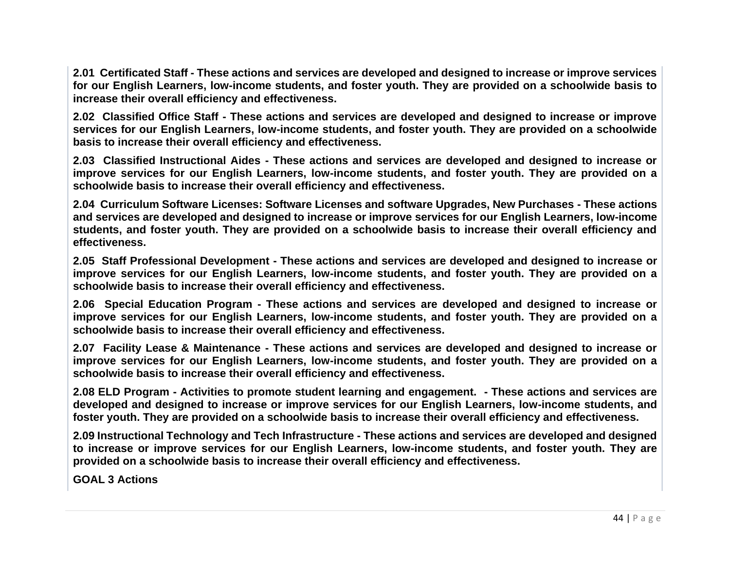**2.01 Certificated Staff - These actions and services are developed and designed to increase or improve services for our English Learners, low-income students, and foster youth. They are provided on a schoolwide basis to increase their overall efficiency and effectiveness.**

**2.02 Classified Office Staff - These actions and services are developed and designed to increase or improve services for our English Learners, low-income students, and foster youth. They are provided on a schoolwide basis to increase their overall efficiency and effectiveness.**

**2.03 Classified Instructional Aides - These actions and services are developed and designed to increase or improve services for our English Learners, low-income students, and foster youth. They are provided on a schoolwide basis to increase their overall efficiency and effectiveness.**

**2.04 Curriculum Software Licenses: Software Licenses and software Upgrades, New Purchases - These actions and services are developed and designed to increase or improve services for our English Learners, low-income students, and foster youth. They are provided on a schoolwide basis to increase their overall efficiency and effectiveness.**

**2.05 Staff Professional Development - These actions and services are developed and designed to increase or improve services for our English Learners, low-income students, and foster youth. They are provided on a schoolwide basis to increase their overall efficiency and effectiveness.**

**2.06 Special Education Program - These actions and services are developed and designed to increase or improve services for our English Learners, low-income students, and foster youth. They are provided on a schoolwide basis to increase their overall efficiency and effectiveness.**

**2.07 Facility Lease & Maintenance - These actions and services are developed and designed to increase or improve services for our English Learners, low-income students, and foster youth. They are provided on a schoolwide basis to increase their overall efficiency and effectiveness.**

**2.08 ELD Program - Activities to promote student learning and engagement. - These actions and services are developed and designed to increase or improve services for our English Learners, low-income students, and foster youth. They are provided on a schoolwide basis to increase their overall efficiency and effectiveness.**

**2.09 Instructional Technology and Tech Infrastructure - These actions and services are developed and designed to increase or improve services for our English Learners, low-income students, and foster youth. They are provided on a schoolwide basis to increase their overall efficiency and effectiveness.**

**GOAL 3 Actions**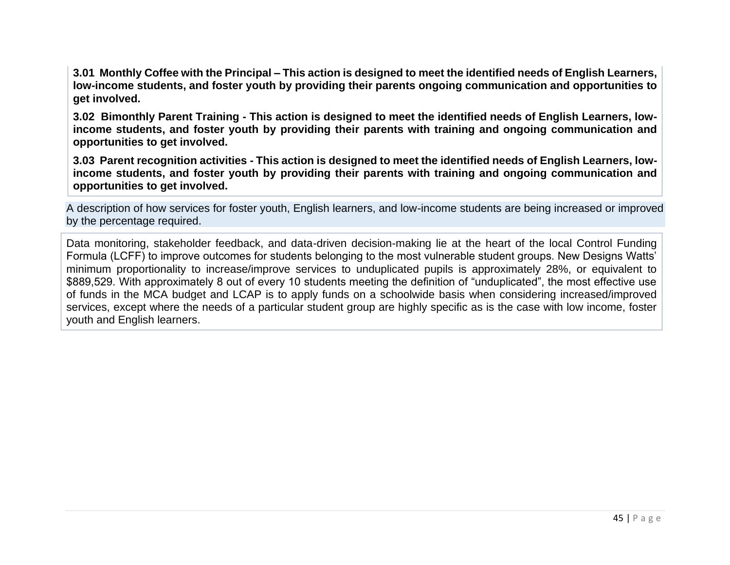**3.01 Monthly Coffee with the Principal – This action is designed to meet the identified needs of English Learners, low-income students, and foster youth by providing their parents ongoing communication and opportunities to get involved.**

**3.02 Bimonthly Parent Training - This action is designed to meet the identified needs of English Learners, lowincome students, and foster youth by providing their parents with training and ongoing communication and opportunities to get involved.**

**3.03 Parent recognition activities - This action is designed to meet the identified needs of English Learners, lowincome students, and foster youth by providing their parents with training and ongoing communication and opportunities to get involved.**

A description of how services for foster youth, English learners, and low-income students are being increased or improved by the percentage required.

Data monitoring, stakeholder feedback, and data-driven decision-making lie at the heart of the local Control Funding Formula (LCFF) to improve outcomes for students belonging to the most vulnerable student groups. New Designs Watts' minimum proportionality to increase/improve services to unduplicated pupils is approximately 28%, or equivalent to \$889,529. With approximately 8 out of every 10 students meeting the definition of "unduplicated", the most effective use of funds in the MCA budget and LCAP is to apply funds on a schoolwide basis when considering increased/improved services, except where the needs of a particular student group are highly specific as is the case with low income, foster youth and English learners.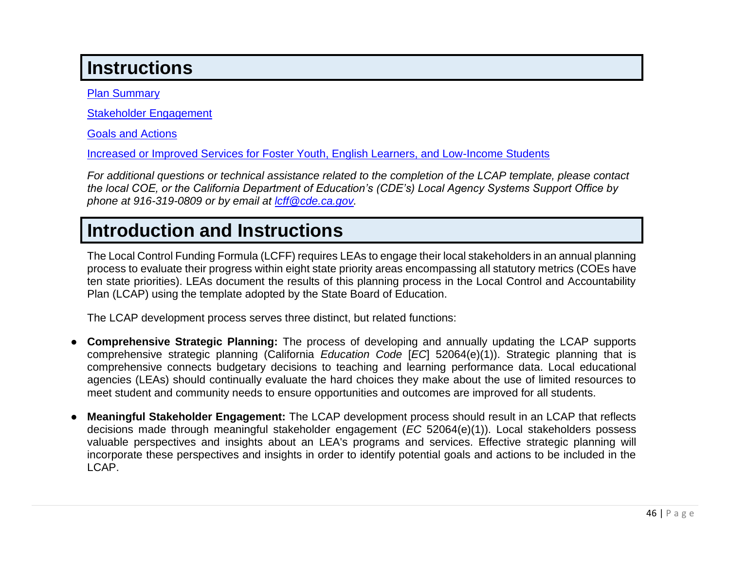# **Instructions**

[Plan Summary](#page-26-0)

[Stakeholder Engagement](#page-27-0)

[Goals and Actions](#page-30-0)

[Increased or Improved Services for Foster Youth, English Learners, and Low-Income Students](#page-34-1)

*For additional questions or technical assistance related to the completion of the LCAP template, please contact the local COE, or the California Department of Education's (CDE's) Local Agency Systems Support Office by phone at 916-319-0809 or by email at [lcff@cde.ca.gov.](mailto:lcff@cde.ca.gov)*

# **Introduction and Instructions**

The Local Control Funding Formula (LCFF) requires LEAs to engage their local stakeholders in an annual planning process to evaluate their progress within eight state priority areas encompassing all statutory metrics (COEs have ten state priorities). LEAs document the results of this planning process in the Local Control and Accountability Plan (LCAP) using the template adopted by the State Board of Education.

The LCAP development process serves three distinct, but related functions:

- **Comprehensive Strategic Planning:** The process of developing and annually updating the LCAP supports comprehensive strategic planning (California *Education Code* [*EC*] 52064(e)(1)). Strategic planning that is comprehensive connects budgetary decisions to teaching and learning performance data. Local educational agencies (LEAs) should continually evaluate the hard choices they make about the use of limited resources to meet student and community needs to ensure opportunities and outcomes are improved for all students.
- **Meaningful Stakeholder Engagement:** The LCAP development process should result in an LCAP that reflects decisions made through meaningful stakeholder engagement (*EC* 52064(e)(1)). Local stakeholders possess valuable perspectives and insights about an LEA's programs and services. Effective strategic planning will incorporate these perspectives and insights in order to identify potential goals and actions to be included in the LCAP.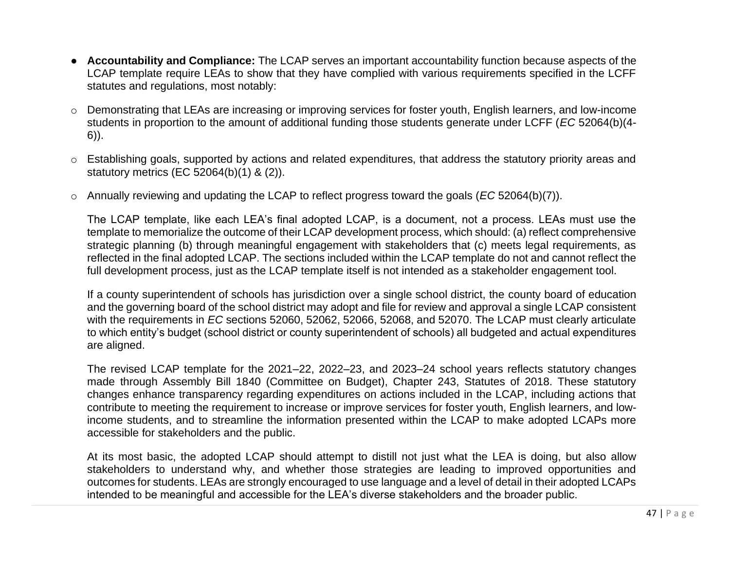- **Accountability and Compliance:** The LCAP serves an important accountability function because aspects of the LCAP template require LEAs to show that they have complied with various requirements specified in the LCFF statutes and regulations, most notably:
- o Demonstrating that LEAs are increasing or improving services for foster youth, English learners, and low-income students in proportion to the amount of additional funding those students generate under LCFF (*EC* 52064(b)(4- 6)).
- o Establishing goals, supported by actions and related expenditures, that address the statutory priority areas and statutory metrics (EC 52064(b)(1) & (2)).
- o Annually reviewing and updating the LCAP to reflect progress toward the goals (*EC* 52064(b)(7)).

The LCAP template, like each LEA's final adopted LCAP, is a document, not a process. LEAs must use the template to memorialize the outcome of their LCAP development process, which should: (a) reflect comprehensive strategic planning (b) through meaningful engagement with stakeholders that (c) meets legal requirements, as reflected in the final adopted LCAP. The sections included within the LCAP template do not and cannot reflect the full development process, just as the LCAP template itself is not intended as a stakeholder engagement tool.

If a county superintendent of schools has jurisdiction over a single school district, the county board of education and the governing board of the school district may adopt and file for review and approval a single LCAP consistent with the requirements in *EC* sections 52060, 52062, 52066, 52068, and 52070. The LCAP must clearly articulate to which entity's budget (school district or county superintendent of schools) all budgeted and actual expenditures are aligned.

The revised LCAP template for the 2021–22, 2022–23, and 2023–24 school years reflects statutory changes made through Assembly Bill 1840 (Committee on Budget), Chapter 243, Statutes of 2018. These statutory changes enhance transparency regarding expenditures on actions included in the LCAP, including actions that contribute to meeting the requirement to increase or improve services for foster youth, English learners, and lowincome students, and to streamline the information presented within the LCAP to make adopted LCAPs more accessible for stakeholders and the public.

At its most basic, the adopted LCAP should attempt to distill not just what the LEA is doing, but also allow stakeholders to understand why, and whether those strategies are leading to improved opportunities and outcomes for students. LEAs are strongly encouraged to use language and a level of detail in their adopted LCAPs intended to be meaningful and accessible for the LEA's diverse stakeholders and the broader public.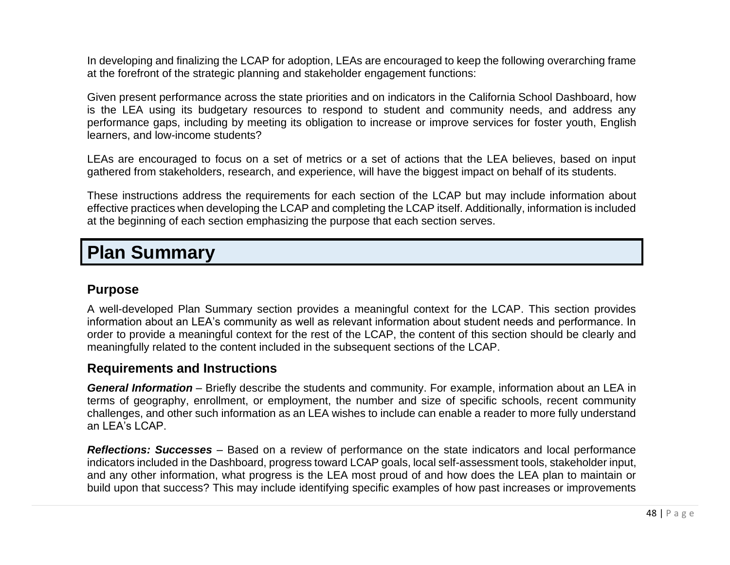In developing and finalizing the LCAP for adoption, LEAs are encouraged to keep the following overarching frame at the forefront of the strategic planning and stakeholder engagement functions:

Given present performance across the state priorities and on indicators in the California School Dashboard, how is the LEA using its budgetary resources to respond to student and community needs, and address any performance gaps, including by meeting its obligation to increase or improve services for foster youth, English learners, and low-income students?

LEAs are encouraged to focus on a set of metrics or a set of actions that the LEA believes, based on input gathered from stakeholders, research, and experience, will have the biggest impact on behalf of its students.

These instructions address the requirements for each section of the LCAP but may include information about effective practices when developing the LCAP and completing the LCAP itself. Additionally, information is included at the beginning of each section emphasizing the purpose that each section serves.

# **Plan Summary**

### **Purpose**

A well-developed Plan Summary section provides a meaningful context for the LCAP. This section provides information about an LEA's community as well as relevant information about student needs and performance. In order to provide a meaningful context for the rest of the LCAP, the content of this section should be clearly and meaningfully related to the content included in the subsequent sections of the LCAP.

### **Requirements and Instructions**

*General Information* – Briefly describe the students and community. For example, information about an LEA in terms of geography, enrollment, or employment, the number and size of specific schools, recent community challenges, and other such information as an LEA wishes to include can enable a reader to more fully understand an  $IFA's I CAP$ 

*Reflections: Successes* – Based on a review of performance on the state indicators and local performance indicators included in the Dashboard, progress toward LCAP goals, local self-assessment tools, stakeholder input, and any other information, what progress is the LEA most proud of and how does the LEA plan to maintain or build upon that success? This may include identifying specific examples of how past increases or improvements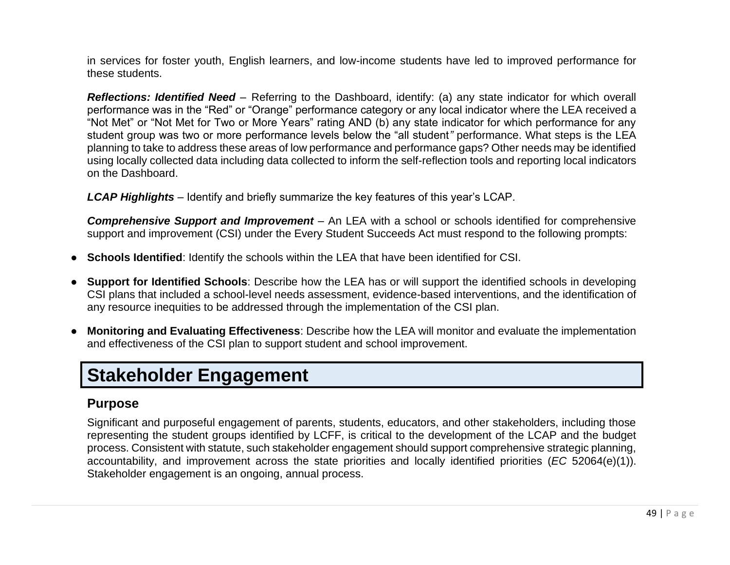in services for foster youth, English learners, and low-income students have led to improved performance for these students.

*Reflections: Identified Need* – Referring to the Dashboard, identify: (a) any state indicator for which overall performance was in the "Red" or "Orange" performance category or any local indicator where the LEA received a "Not Met" or "Not Met for Two or More Years" rating AND (b) any state indicator for which performance for any student group was two or more performance levels below the "all student*"* performance. What steps is the LEA planning to take to address these areas of low performance and performance gaps? Other needs may be identified using locally collected data including data collected to inform the self-reflection tools and reporting local indicators on the Dashboard.

*LCAP Highlights* – Identify and briefly summarize the key features of this year's LCAP.

**Comprehensive Support and Improvement** – An LEA with a school or schools identified for comprehensive support and improvement (CSI) under the Every Student Succeeds Act must respond to the following prompts:

- **Schools Identified**: Identify the schools within the LEA that have been identified for CSI.
- **Support for Identified Schools**: Describe how the LEA has or will support the identified schools in developing CSI plans that included a school-level needs assessment, evidence-based interventions, and the identification of any resource inequities to be addressed through the implementation of the CSI plan.
- **Monitoring and Evaluating Effectiveness**: Describe how the LEA will monitor and evaluate the implementation and effectiveness of the CSI plan to support student and school improvement.

## **Stakeholder Engagement**

### **Purpose**

Significant and purposeful engagement of parents, students, educators, and other stakeholders, including those representing the student groups identified by LCFF, is critical to the development of the LCAP and the budget process. Consistent with statute, such stakeholder engagement should support comprehensive strategic planning, accountability, and improvement across the state priorities and locally identified priorities (*EC* 52064(e)(1)). Stakeholder engagement is an ongoing, annual process.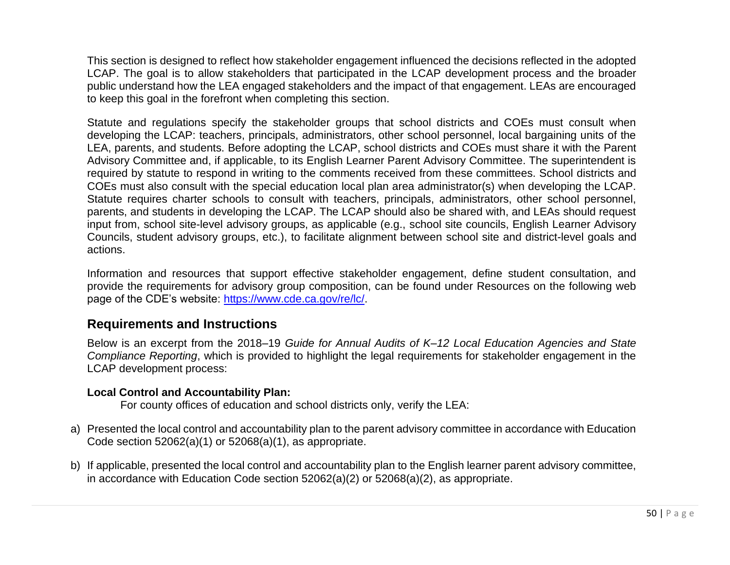This section is designed to reflect how stakeholder engagement influenced the decisions reflected in the adopted LCAP. The goal is to allow stakeholders that participated in the LCAP development process and the broader public understand how the LEA engaged stakeholders and the impact of that engagement. LEAs are encouraged to keep this goal in the forefront when completing this section.

Statute and regulations specify the stakeholder groups that school districts and COEs must consult when developing the LCAP: teachers, principals, administrators, other school personnel, local bargaining units of the LEA, parents, and students. Before adopting the LCAP, school districts and COEs must share it with the Parent Advisory Committee and, if applicable, to its English Learner Parent Advisory Committee. The superintendent is required by statute to respond in writing to the comments received from these committees. School districts and COEs must also consult with the special education local plan area administrator(s) when developing the LCAP. Statute requires charter schools to consult with teachers, principals, administrators, other school personnel, parents, and students in developing the LCAP. The LCAP should also be shared with, and LEAs should request input from, school site-level advisory groups, as applicable (e.g., school site councils, English Learner Advisory Councils, student advisory groups, etc.), to facilitate alignment between school site and district-level goals and actions.

Information and resources that support effective stakeholder engagement, define student consultation, and provide the requirements for advisory group composition, can be found under Resources on the following web page of the CDE's website: [https://www.cde.ca.gov/re/lc/.](https://www.cde.ca.gov/re/lc/)

### **Requirements and Instructions**

Below is an excerpt from the 2018–19 *Guide for Annual Audits of K–12 Local Education Agencies and State Compliance Reporting*, which is provided to highlight the legal requirements for stakeholder engagement in the LCAP development process:

#### **Local Control and Accountability Plan:**

For county offices of education and school districts only, verify the LEA:

- a) Presented the local control and accountability plan to the parent advisory committee in accordance with Education Code section 52062(a)(1) or 52068(a)(1), as appropriate.
- b) If applicable, presented the local control and accountability plan to the English learner parent advisory committee, in accordance with Education Code section 52062(a)(2) or 52068(a)(2), as appropriate.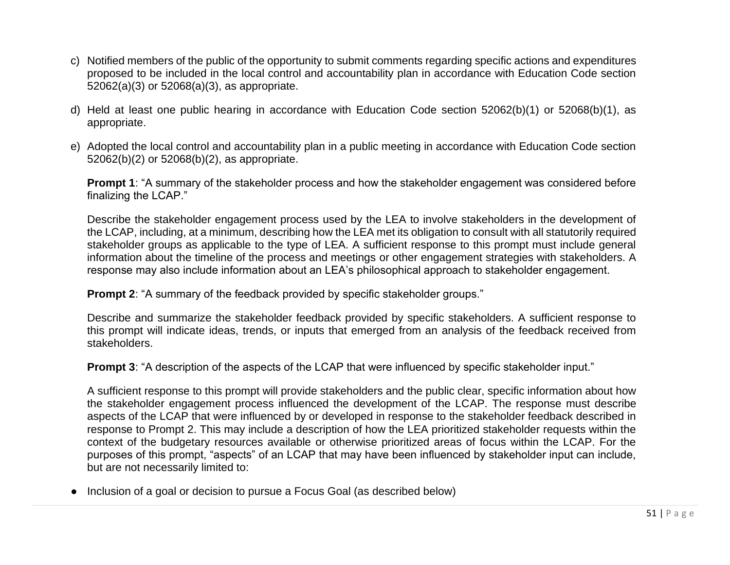- c) Notified members of the public of the opportunity to submit comments regarding specific actions and expenditures proposed to be included in the local control and accountability plan in accordance with Education Code section 52062(a)(3) or 52068(a)(3), as appropriate.
- d) Held at least one public hearing in accordance with Education Code section 52062(b)(1) or 52068(b)(1), as appropriate.
- e) Adopted the local control and accountability plan in a public meeting in accordance with Education Code section 52062(b)(2) or 52068(b)(2), as appropriate.

**Prompt 1:** "A summary of the stakeholder process and how the stakeholder engagement was considered before finalizing the LCAP."

Describe the stakeholder engagement process used by the LEA to involve stakeholders in the development of the LCAP, including, at a minimum, describing how the LEA met its obligation to consult with all statutorily required stakeholder groups as applicable to the type of LEA. A sufficient response to this prompt must include general information about the timeline of the process and meetings or other engagement strategies with stakeholders. A response may also include information about an LEA's philosophical approach to stakeholder engagement.

**Prompt 2:** "A summary of the feedback provided by specific stakeholder groups."

Describe and summarize the stakeholder feedback provided by specific stakeholders. A sufficient response to this prompt will indicate ideas, trends, or inputs that emerged from an analysis of the feedback received from stakeholders.

**Prompt 3:** "A description of the aspects of the LCAP that were influenced by specific stakeholder input."

A sufficient response to this prompt will provide stakeholders and the public clear, specific information about how the stakeholder engagement process influenced the development of the LCAP. The response must describe aspects of the LCAP that were influenced by or developed in response to the stakeholder feedback described in response to Prompt 2. This may include a description of how the LEA prioritized stakeholder requests within the context of the budgetary resources available or otherwise prioritized areas of focus within the LCAP. For the purposes of this prompt, "aspects" of an LCAP that may have been influenced by stakeholder input can include, but are not necessarily limited to:

• Inclusion of a goal or decision to pursue a Focus Goal (as described below)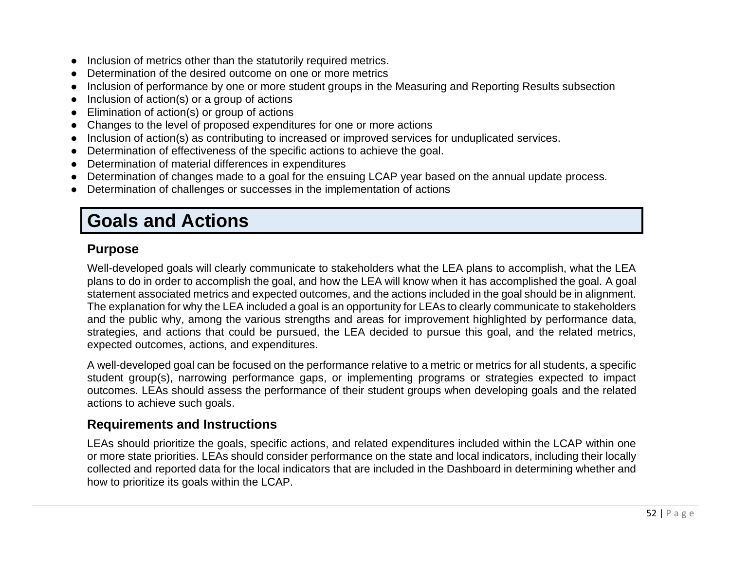- Inclusion of metrics other than the statutorily required metrics.
- Determination of the desired outcome on one or more metrics
- Inclusion of performance by one or more student groups in the Measuring and Reporting Results subsection
- Inclusion of action(s) or a group of actions
- Elimination of action(s) or group of actions
- Changes to the level of proposed expenditures for one or more actions
- Inclusion of action(s) as contributing to increased or improved services for unduplicated services.
- Determination of effectiveness of the specific actions to achieve the goal.
- Determination of material differences in expenditures
- Determination of changes made to a goal for the ensuing LCAP year based on the annual update process.
- Determination of challenges or successes in the implementation of actions

# **Goals and Actions**

## **Purpose**

Well-developed goals will clearly communicate to stakeholders what the LEA plans to accomplish, what the LEA plans to do in order to accomplish the goal, and how the LEA will know when it has accomplished the goal. A goal statement associated metrics and expected outcomes, and the actions included in the goal should be in alignment. The explanation for why the LEA included a goal is an opportunity for LEAs to clearly communicate to stakeholders and the public why, among the various strengths and areas for improvement highlighted by performance data, strategies, and actions that could be pursued, the LEA decided to pursue this goal, and the related metrics, expected outcomes, actions, and expenditures.

A well-developed goal can be focused on the performance relative to a metric or metrics for all students, a specific student group(s), narrowing performance gaps, or implementing programs or strategies expected to impact outcomes. LEAs should assess the performance of their student groups when developing goals and the related actions to achieve such goals.

## **Requirements and Instructions**

LEAs should prioritize the goals, specific actions, and related expenditures included within the LCAP within one or more state priorities. LEAs should consider performance on the state and local indicators, including their locally collected and reported data for the local indicators that are included in the Dashboard in determining whether and how to prioritize its goals within the LCAP.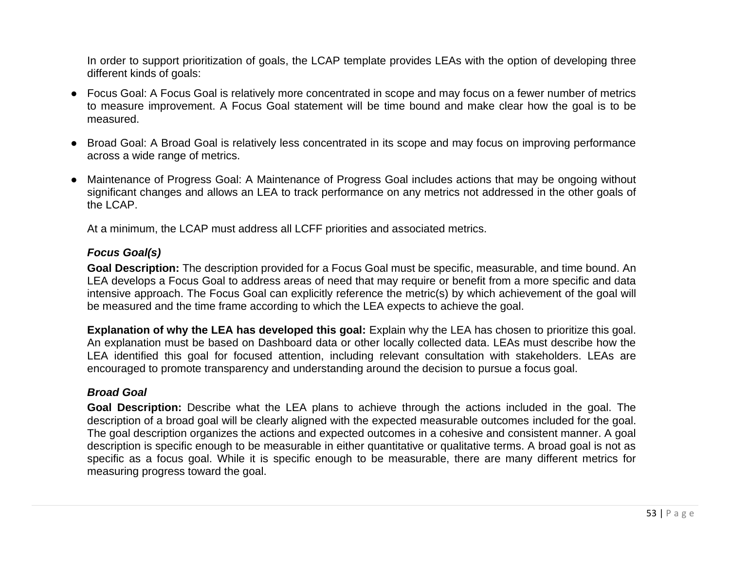In order to support prioritization of goals, the LCAP template provides LEAs with the option of developing three different kinds of goals:

- Focus Goal: A Focus Goal is relatively more concentrated in scope and may focus on a fewer number of metrics to measure improvement. A Focus Goal statement will be time bound and make clear how the goal is to be measured.
- Broad Goal: A Broad Goal is relatively less concentrated in its scope and may focus on improving performance across a wide range of metrics.
- Maintenance of Progress Goal: A Maintenance of Progress Goal includes actions that may be ongoing without significant changes and allows an LEA to track performance on any metrics not addressed in the other goals of the LCAP.

At a minimum, the LCAP must address all LCFF priorities and associated metrics.

#### *Focus Goal(s)*

**Goal Description:** The description provided for a Focus Goal must be specific, measurable, and time bound. An LEA develops a Focus Goal to address areas of need that may require or benefit from a more specific and data intensive approach. The Focus Goal can explicitly reference the metric(s) by which achievement of the goal will be measured and the time frame according to which the LEA expects to achieve the goal.

**Explanation of why the LEA has developed this goal:** Explain why the LEA has chosen to prioritize this goal. An explanation must be based on Dashboard data or other locally collected data. LEAs must describe how the LEA identified this goal for focused attention, including relevant consultation with stakeholders. LEAs are encouraged to promote transparency and understanding around the decision to pursue a focus goal.

#### *Broad Goal*

**Goal Description:** Describe what the LEA plans to achieve through the actions included in the goal. The description of a broad goal will be clearly aligned with the expected measurable outcomes included for the goal. The goal description organizes the actions and expected outcomes in a cohesive and consistent manner. A goal description is specific enough to be measurable in either quantitative or qualitative terms. A broad goal is not as specific as a focus goal. While it is specific enough to be measurable, there are many different metrics for measuring progress toward the goal.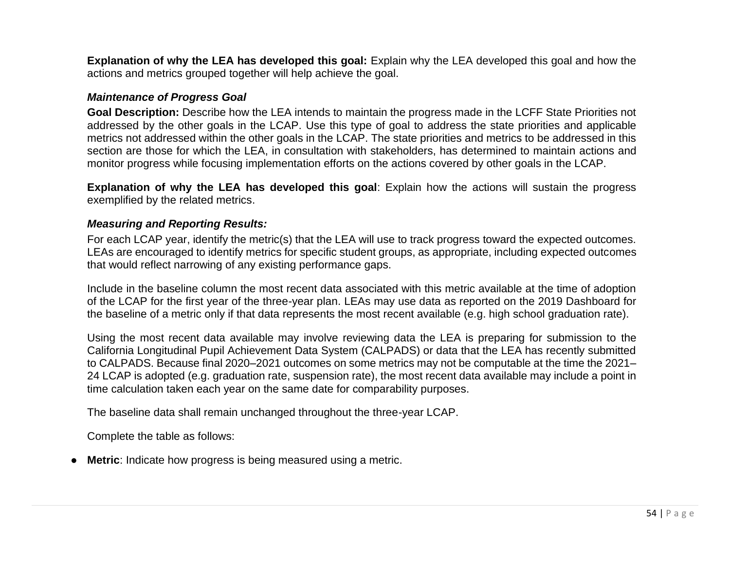**Explanation of why the LEA has developed this goal:** Explain why the LEA developed this goal and how the actions and metrics grouped together will help achieve the goal.

#### *Maintenance of Progress Goal*

**Goal Description:** Describe how the LEA intends to maintain the progress made in the LCFF State Priorities not addressed by the other goals in the LCAP. Use this type of goal to address the state priorities and applicable metrics not addressed within the other goals in the LCAP. The state priorities and metrics to be addressed in this section are those for which the LEA, in consultation with stakeholders, has determined to maintain actions and monitor progress while focusing implementation efforts on the actions covered by other goals in the LCAP.

**Explanation of why the LEA has developed this goal**: Explain how the actions will sustain the progress exemplified by the related metrics.

#### *Measuring and Reporting Results:*

For each LCAP year, identify the metric(s) that the LEA will use to track progress toward the expected outcomes. LEAs are encouraged to identify metrics for specific student groups, as appropriate, including expected outcomes that would reflect narrowing of any existing performance gaps.

Include in the baseline column the most recent data associated with this metric available at the time of adoption of the LCAP for the first year of the three-year plan. LEAs may use data as reported on the 2019 Dashboard for the baseline of a metric only if that data represents the most recent available (e.g. high school graduation rate).

Using the most recent data available may involve reviewing data the LEA is preparing for submission to the California Longitudinal Pupil Achievement Data System (CALPADS) or data that the LEA has recently submitted to CALPADS. Because final 2020–2021 outcomes on some metrics may not be computable at the time the 2021– 24 LCAP is adopted (e.g. graduation rate, suspension rate), the most recent data available may include a point in time calculation taken each year on the same date for comparability purposes.

The baseline data shall remain unchanged throughout the three-year LCAP.

Complete the table as follows:

**Metric:** Indicate how progress is being measured using a metric.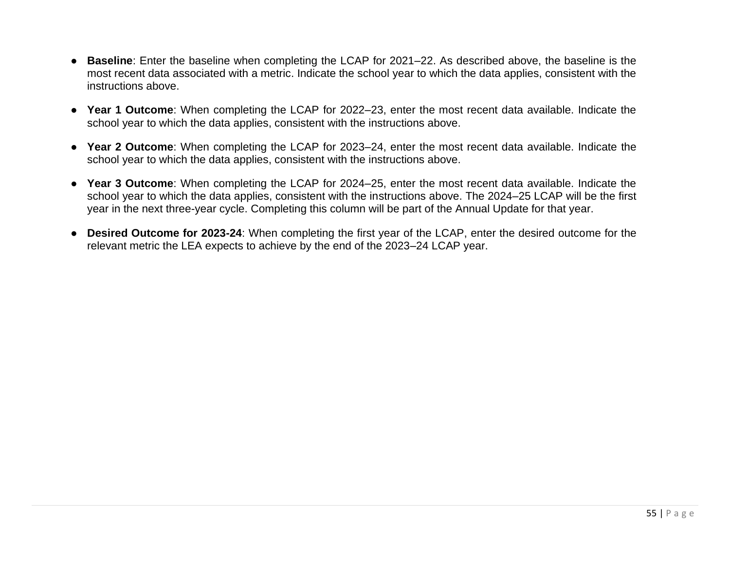- **Baseline**: Enter the baseline when completing the LCAP for 2021–22. As described above, the baseline is the most recent data associated with a metric. Indicate the school year to which the data applies, consistent with the instructions above.
- **Year 1 Outcome**: When completing the LCAP for 2022–23, enter the most recent data available. Indicate the school year to which the data applies, consistent with the instructions above.
- **Year 2 Outcome**: When completing the LCAP for 2023–24, enter the most recent data available. Indicate the school year to which the data applies, consistent with the instructions above.
- **Year 3 Outcome**: When completing the LCAP for 2024–25, enter the most recent data available. Indicate the school year to which the data applies, consistent with the instructions above. The 2024–25 LCAP will be the first year in the next three-year cycle. Completing this column will be part of the Annual Update for that year.
- **Desired Outcome for 2023-24**: When completing the first year of the LCAP, enter the desired outcome for the relevant metric the LEA expects to achieve by the end of the 2023–24 LCAP year.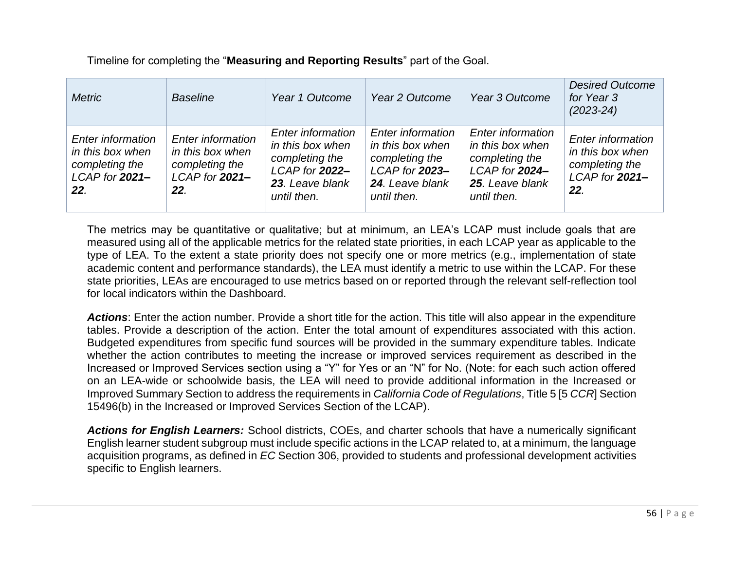Timeline for completing the "**Measuring and Reporting Results**" part of the Goal.

| <b>Metric</b>                                                                               | <b>Baseline</b>                                                                         | Year 1 Outcome                                                                                                     | Year 2 Outcome                                                                                                     | Year 3 Outcome                                                                                             | <b>Desired Outcome</b><br>for Year 3<br>$(2023 - 24)$                                   |
|---------------------------------------------------------------------------------------------|-----------------------------------------------------------------------------------------|--------------------------------------------------------------------------------------------------------------------|--------------------------------------------------------------------------------------------------------------------|------------------------------------------------------------------------------------------------------------|-----------------------------------------------------------------------------------------|
| <b>Enter information</b><br>in this box when<br>completing the<br>$LCAP$ for $2021-$<br>22. | <b>Enter information</b><br>in this box when<br>completing the<br>LCAP for 2021-<br>22. | <b>Enter information</b><br>in this box when<br>completing the<br>LCAP for 2022-<br>23. Leave blank<br>until then. | <b>Enter information</b><br>in this box when<br>completing the<br>LCAP for 2023-<br>24. Leave blank<br>until then. | Enter information<br>in this box when<br>completing the<br>LCAP for 2024<br>25. Leave blank<br>until then. | <b>Enter information</b><br>in this box when<br>completing the<br>LCAP for 2021-<br>22. |

The metrics may be quantitative or qualitative; but at minimum, an LEA's LCAP must include goals that are measured using all of the applicable metrics for the related state priorities, in each LCAP year as applicable to the type of LEA. To the extent a state priority does not specify one or more metrics (e.g., implementation of state academic content and performance standards), the LEA must identify a metric to use within the LCAP. For these state priorities, LEAs are encouraged to use metrics based on or reported through the relevant self-reflection tool for local indicators within the Dashboard.

*Actions*: Enter the action number. Provide a short title for the action. This title will also appear in the expenditure tables. Provide a description of the action. Enter the total amount of expenditures associated with this action. Budgeted expenditures from specific fund sources will be provided in the summary expenditure tables. Indicate whether the action contributes to meeting the increase or improved services requirement as described in the Increased or Improved Services section using a "Y" for Yes or an "N" for No. (Note: for each such action offered on an LEA-wide or schoolwide basis, the LEA will need to provide additional information in the Increased or Improved Summary Section to address the requirements in *California Code of Regulations*, Title 5 [5 *CCR*] Section 15496(b) in the Increased or Improved Services Section of the LCAP).

*Actions for English Learners:* School districts, COEs, and charter schools that have a numerically significant English learner student subgroup must include specific actions in the LCAP related to, at a minimum, the language acquisition programs, as defined in *EC* Section 306, provided to students and professional development activities specific to English learners.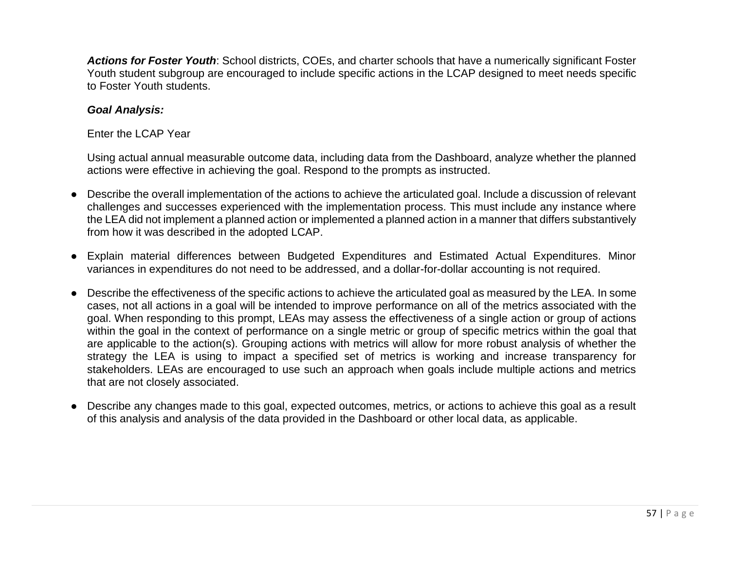*Actions for Foster Youth*: School districts, COEs, and charter schools that have a numerically significant Foster Youth student subgroup are encouraged to include specific actions in the LCAP designed to meet needs specific to Foster Youth students.

#### *Goal Analysis:*

#### Enter the LCAP Year

Using actual annual measurable outcome data, including data from the Dashboard, analyze whether the planned actions were effective in achieving the goal. Respond to the prompts as instructed.

- Describe the overall implementation of the actions to achieve the articulated goal. Include a discussion of relevant challenges and successes experienced with the implementation process. This must include any instance where the LEA did not implement a planned action or implemented a planned action in a manner that differs substantively from how it was described in the adopted LCAP.
- Explain material differences between Budgeted Expenditures and Estimated Actual Expenditures. Minor variances in expenditures do not need to be addressed, and a dollar-for-dollar accounting is not required.
- Describe the effectiveness of the specific actions to achieve the articulated goal as measured by the LEA. In some cases, not all actions in a goal will be intended to improve performance on all of the metrics associated with the goal. When responding to this prompt, LEAs may assess the effectiveness of a single action or group of actions within the goal in the context of performance on a single metric or group of specific metrics within the goal that are applicable to the action(s). Grouping actions with metrics will allow for more robust analysis of whether the strategy the LEA is using to impact a specified set of metrics is working and increase transparency for stakeholders. LEAs are encouraged to use such an approach when goals include multiple actions and metrics that are not closely associated.
- Describe any changes made to this goal, expected outcomes, metrics, or actions to achieve this goal as a result of this analysis and analysis of the data provided in the Dashboard or other local data, as applicable.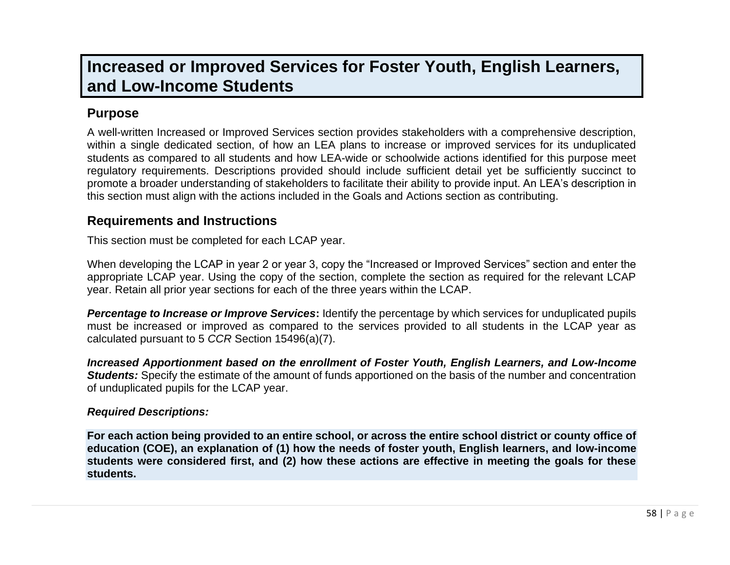## **Increased or Improved Services for Foster Youth, English Learners, and Low-Income Students**

## **Purpose**

A well-written Increased or Improved Services section provides stakeholders with a comprehensive description, within a single dedicated section, of how an LEA plans to increase or improved services for its unduplicated students as compared to all students and how LEA-wide or schoolwide actions identified for this purpose meet regulatory requirements. Descriptions provided should include sufficient detail yet be sufficiently succinct to promote a broader understanding of stakeholders to facilitate their ability to provide input. An LEA's description in this section must align with the actions included in the Goals and Actions section as contributing.

### **Requirements and Instructions**

This section must be completed for each LCAP year.

When developing the LCAP in year 2 or year 3, copy the "Increased or Improved Services" section and enter the appropriate LCAP year. Using the copy of the section, complete the section as required for the relevant LCAP year. Retain all prior year sections for each of the three years within the LCAP.

*Percentage to Increase or Improve Services***:** Identify the percentage by which services for unduplicated pupils must be increased or improved as compared to the services provided to all students in the LCAP year as calculated pursuant to 5 *CCR* Section 15496(a)(7).

*Increased Apportionment based on the enrollment of Foster Youth, English Learners, and Low-Income Students:* Specify the estimate of the amount of funds apportioned on the basis of the number and concentration of unduplicated pupils for the LCAP year.

#### *Required Descriptions:*

**For each action being provided to an entire school, or across the entire school district or county office of education (COE), an explanation of (1) how the needs of foster youth, English learners, and low-income students were considered first, and (2) how these actions are effective in meeting the goals for these students.**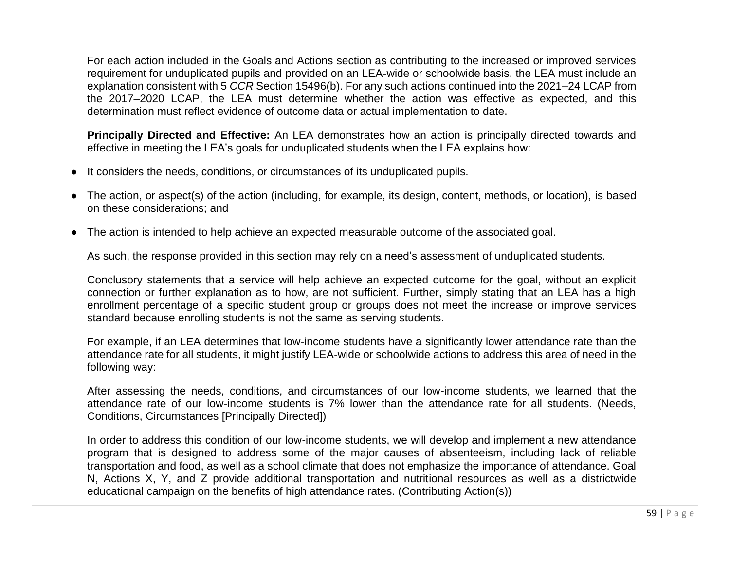For each action included in the Goals and Actions section as contributing to the increased or improved services requirement for unduplicated pupils and provided on an LEA-wide or schoolwide basis, the LEA must include an explanation consistent with 5 *CCR* Section 15496(b). For any such actions continued into the 2021–24 LCAP from the 2017–2020 LCAP, the LEA must determine whether the action was effective as expected, and this determination must reflect evidence of outcome data or actual implementation to date.

**Principally Directed and Effective:** An LEA demonstrates how an action is principally directed towards and effective in meeting the LEA's goals for unduplicated students when the LEA explains how:

- It considers the needs, conditions, or circumstances of its unduplicated pupils.
- The action, or aspect(s) of the action (including, for example, its design, content, methods, or location), is based on these considerations; and
- The action is intended to help achieve an expected measurable outcome of the associated goal.

As such, the response provided in this section may rely on a need's assessment of unduplicated students.

Conclusory statements that a service will help achieve an expected outcome for the goal, without an explicit connection or further explanation as to how, are not sufficient. Further, simply stating that an LEA has a high enrollment percentage of a specific student group or groups does not meet the increase or improve services standard because enrolling students is not the same as serving students.

For example, if an LEA determines that low-income students have a significantly lower attendance rate than the attendance rate for all students, it might justify LEA-wide or schoolwide actions to address this area of need in the following way:

After assessing the needs, conditions, and circumstances of our low-income students, we learned that the attendance rate of our low-income students is 7% lower than the attendance rate for all students. (Needs, Conditions, Circumstances [Principally Directed])

In order to address this condition of our low-income students, we will develop and implement a new attendance program that is designed to address some of the major causes of absenteeism, including lack of reliable transportation and food, as well as a school climate that does not emphasize the importance of attendance. Goal N, Actions X, Y, and Z provide additional transportation and nutritional resources as well as a districtwide educational campaign on the benefits of high attendance rates. (Contributing Action(s))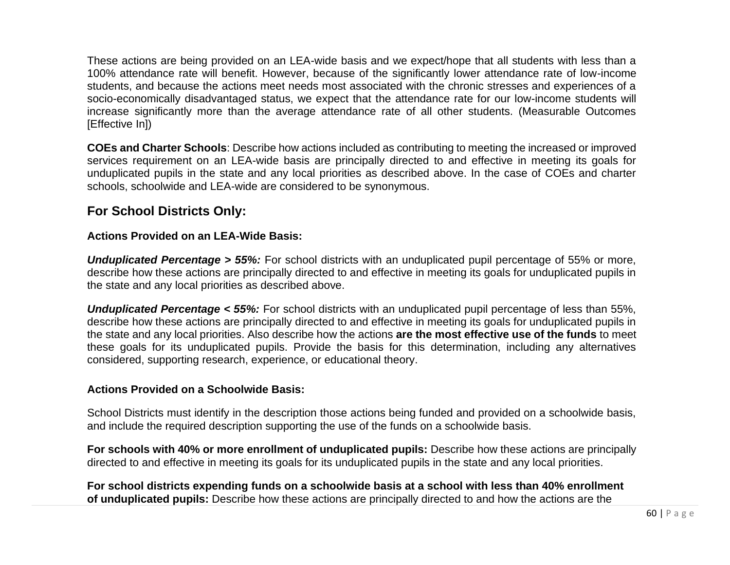These actions are being provided on an LEA-wide basis and we expect/hope that all students with less than a 100% attendance rate will benefit. However, because of the significantly lower attendance rate of low-income students, and because the actions meet needs most associated with the chronic stresses and experiences of a socio-economically disadvantaged status, we expect that the attendance rate for our low-income students will increase significantly more than the average attendance rate of all other students. (Measurable Outcomes [Effective In])

**COEs and Charter Schools**: Describe how actions included as contributing to meeting the increased or improved services requirement on an LEA-wide basis are principally directed to and effective in meeting its goals for unduplicated pupils in the state and any local priorities as described above. In the case of COEs and charter schools, schoolwide and LEA-wide are considered to be synonymous.

### **For School Districts Only:**

#### **Actions Provided on an LEA-Wide Basis:**

*Unduplicated Percentage > 55%:* For school districts with an unduplicated pupil percentage of 55% or more, describe how these actions are principally directed to and effective in meeting its goals for unduplicated pupils in the state and any local priorities as described above.

*Unduplicated Percentage < 55%:* For school districts with an unduplicated pupil percentage of less than 55%, describe how these actions are principally directed to and effective in meeting its goals for unduplicated pupils in the state and any local priorities. Also describe how the actions **are the most effective use of the funds** to meet these goals for its unduplicated pupils. Provide the basis for this determination, including any alternatives considered, supporting research, experience, or educational theory.

#### **Actions Provided on a Schoolwide Basis:**

School Districts must identify in the description those actions being funded and provided on a schoolwide basis, and include the required description supporting the use of the funds on a schoolwide basis.

**For schools with 40% or more enrollment of unduplicated pupils:** Describe how these actions are principally directed to and effective in meeting its goals for its unduplicated pupils in the state and any local priorities.

**For school districts expending funds on a schoolwide basis at a school with less than 40% enrollment of unduplicated pupils:** Describe how these actions are principally directed to and how the actions are the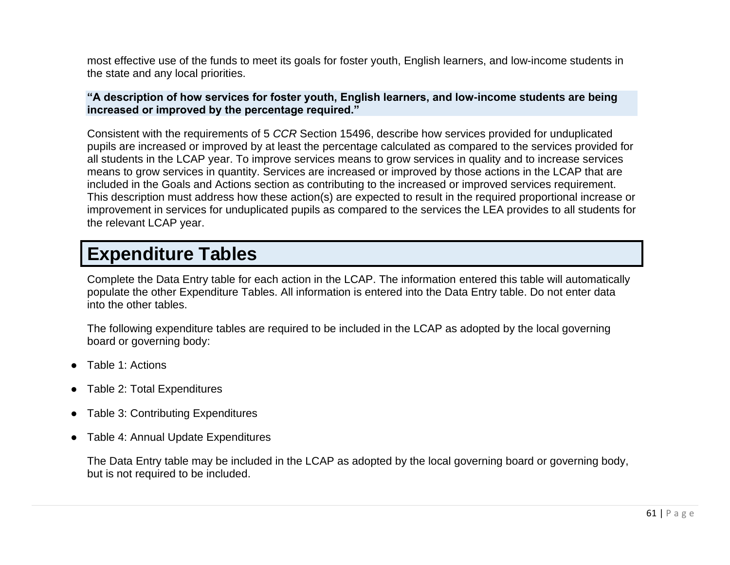most effective use of the funds to meet its goals for foster youth, English learners, and low-income students in the state and any local priorities.

#### **"A description of how services for foster youth, English learners, and low-income students are being increased or improved by the percentage required."**

Consistent with the requirements of 5 *CCR* Section 15496, describe how services provided for unduplicated pupils are increased or improved by at least the percentage calculated as compared to the services provided for all students in the LCAP year. To improve services means to grow services in quality and to increase services means to grow services in quantity. Services are increased or improved by those actions in the LCAP that are included in the Goals and Actions section as contributing to the increased or improved services requirement. This description must address how these action(s) are expected to result in the required proportional increase or improvement in services for unduplicated pupils as compared to the services the LEA provides to all students for the relevant LCAP year.

## **Expenditure Tables**

Complete the Data Entry table for each action in the LCAP. The information entered this table will automatically populate the other Expenditure Tables. All information is entered into the Data Entry table. Do not enter data into the other tables.

The following expenditure tables are required to be included in the LCAP as adopted by the local governing board or governing body:

- Table 1: Actions
- Table 2: Total Expenditures
- Table 3: Contributing Expenditures
- Table 4: Annual Update Expenditures

The Data Entry table may be included in the LCAP as adopted by the local governing board or governing body, but is not required to be included.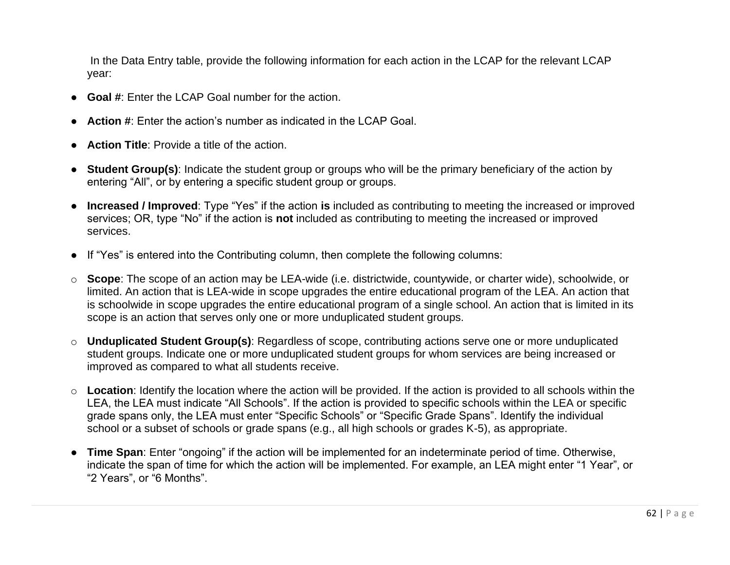In the Data Entry table, provide the following information for each action in the LCAP for the relevant LCAP year:

- **Goal #**: Enter the LCAP Goal number for the action.
- **Action #**: Enter the action's number as indicated in the LCAP Goal.
- **Action Title**: Provide a title of the action.
- **Student Group(s)**: Indicate the student group or groups who will be the primary beneficiary of the action by entering "All", or by entering a specific student group or groups.
- **Increased / Improved**: Type "Yes" if the action **is** included as contributing to meeting the increased or improved services; OR, type "No" if the action is **not** included as contributing to meeting the increased or improved services.
- If "Yes" is entered into the Contributing column, then complete the following columns:
- o **Scope**: The scope of an action may be LEA-wide (i.e. districtwide, countywide, or charter wide), schoolwide, or limited. An action that is LEA-wide in scope upgrades the entire educational program of the LEA. An action that is schoolwide in scope upgrades the entire educational program of a single school. An action that is limited in its scope is an action that serves only one or more unduplicated student groups.
- o **Unduplicated Student Group(s)**: Regardless of scope, contributing actions serve one or more unduplicated student groups. Indicate one or more unduplicated student groups for whom services are being increased or improved as compared to what all students receive.
- o **Location**: Identify the location where the action will be provided. If the action is provided to all schools within the LEA, the LEA must indicate "All Schools". If the action is provided to specific schools within the LEA or specific grade spans only, the LEA must enter "Specific Schools" or "Specific Grade Spans". Identify the individual school or a subset of schools or grade spans (e.g., all high schools or grades K-5), as appropriate.
- **Time Span**: Enter "ongoing" if the action will be implemented for an indeterminate period of time. Otherwise, indicate the span of time for which the action will be implemented. For example, an LEA might enter "1 Year", or "2 Years", or "6 Months".